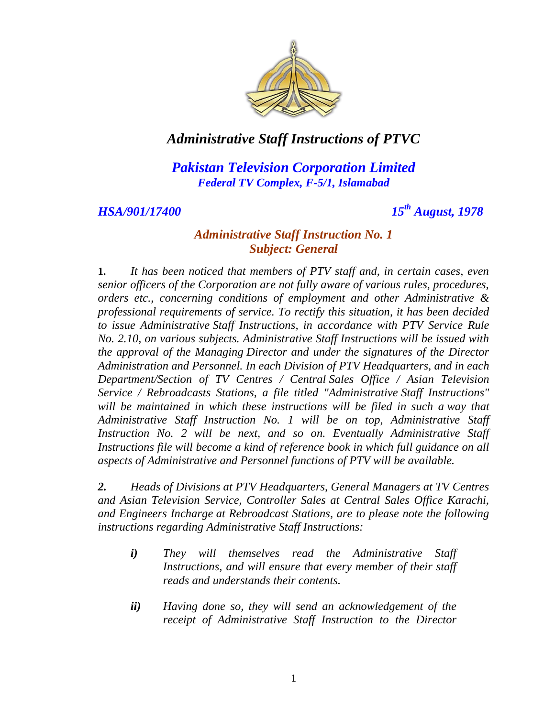

*Pakistan Television Corporation Limited Federal TV Complex, F-5/1, Islamabad*

*HSA/901/17400 15th August, 1978*

#### *Administrative Staff Instruction No. 1 Subject: General*

**1.** *It has been noticed that members of PTV staff and, in certain cases, even senior officers of the Corporation are not fully aware of various rules, procedures, orders etc., concerning conditions of employment and other Administrative & professional requirements of service. To rectify this situation, it has been decided to issue Administrative Staff Instructions, in accordance with PTV Service Rule No. 2.10, on various subjects. Administrative Staff Instructions will be issued with the approval of the Managing Director and under the signatures of the Director Administration and Personnel. In each Division of PTV Headquarters, and in each Department/Section of TV Centres / Central Sales Office / Asian Television Service / Rebroadcasts Stations, a file titled "Administrative Staff Instructions" will be maintained in which these instructions will be filed in such a way that Administrative Staff Instruction No. 1 will be on top, Administrative Staff Instruction No. 2 will be next, and so on. Eventually Administrative Staff Instructions file will become a kind of reference book in which full guidance on all aspects of Administrative and Personnel functions of PTV will be available.* 

*2. Heads of Divisions at PTV Headquarters, General Managers at TV Centres and Asian Television Service, Controller Sales at Central Sales Office Karachi, and Engineers Incharge at Rebroadcast Stations, are to please note the following instructions regarding Administrative Staff Instructions:* 

- *i) They will themselves read the Administrative Staff Instructions, and will ensure that every member of their staff reads and understands their contents.*
- *ii) Having done so, they will send an acknowledgement of the receipt of Administrative Staff Instruction to the Director*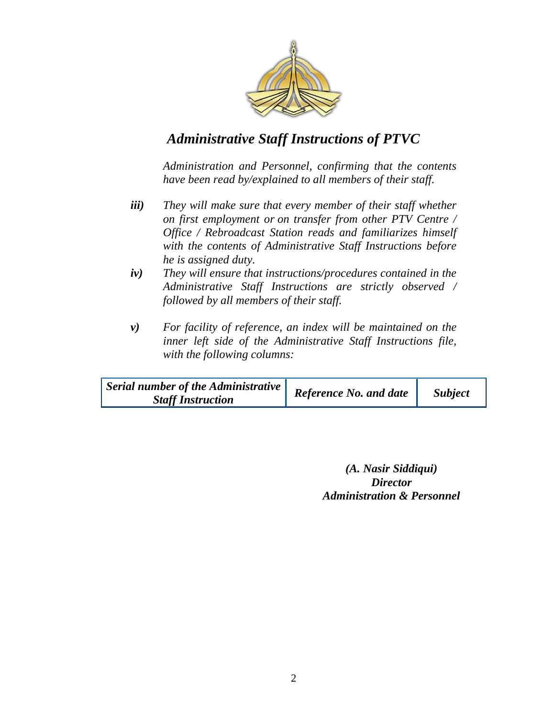

*Administration and Personnel, confirming that the contents have been read by/explained to all members of their staff.*

- *iii) They will make sure that every member of their staff whether on first employment or on transfer from other PTV Centre / Office / Rebroadcast Station reads and familiarizes himself with the contents of Administrative Staff Instructions before he is assigned duty.*
- *iv) They will ensure that instructions/procedures contained in the Administrative Staff Instructions are strictly observed / followed by all members of their staff.*
- *v) For facility of reference, an index will be maintained on the inner left side of the Administrative Staff Instructions file, with the following columns:*

| Serial number of the Administrative<br><b>Staff Instruction</b> | <b>Reference No. and date</b> | <b>Subject</b> |
|-----------------------------------------------------------------|-------------------------------|----------------|
|-----------------------------------------------------------------|-------------------------------|----------------|

*(A. Nasir Siddiqui) Director Administration & Personnel*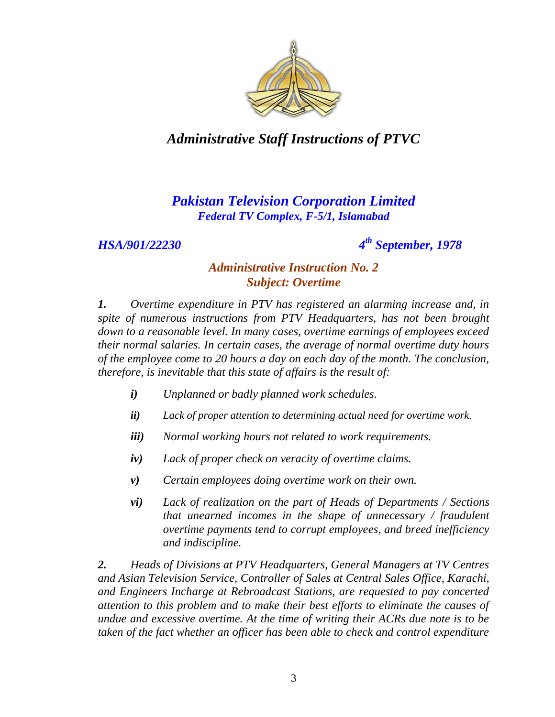

# *Pakistan Television Corporation Limited Federal TV Complex, F-5/1, Islamabad*

*HSA/901/22230 4*

*th September, 1978*

#### *Administrative Instruction No. 2 Subject: Overtime*

*1. Overtime expenditure in PTV has registered an alarming increase and, in spite of numerous instructions from PTV Headquarters, has not been brought down to a reasonable level. In many cases, overtime earnings of employees exceed their normal salaries. In certain cases, the average of normal overtime duty hours of the employee come to 20 hours a day on each day of the month. The conclusion, therefore, is inevitable that this state of affairs is the result of:*

- *i) Unplanned or badly planned work schedules.*
- *ii) Lack of proper attention to determining actual need for overtime work.*
- *iii) Normal working hours not related to work requirements.*
- *iv) Lack of proper check on veracity of overtime claims.*
- *v) Certain employees doing overtime work on their own.*
- *vi) Lack of realization on the part of Heads of Departments / Sections that unearned incomes in the shape of unnecessary / fraudulent overtime payments tend to corrupt employees, and breed inefficiency and indiscipline.*

*2. Heads of Divisions at PTV Headquarters, General Managers at TV Centres and Asian Television Service, Controller of Sales at Central Sales Office, Karachi, and Engineers Incharge at Rebroadcast Stations, are requested to pay concerted attention to this problem and to make their best efforts to eliminate the causes of undue and excessive overtime. At the time of writing their ACRs due note is to be taken of the fact whether an officer has been able to check and control expenditure*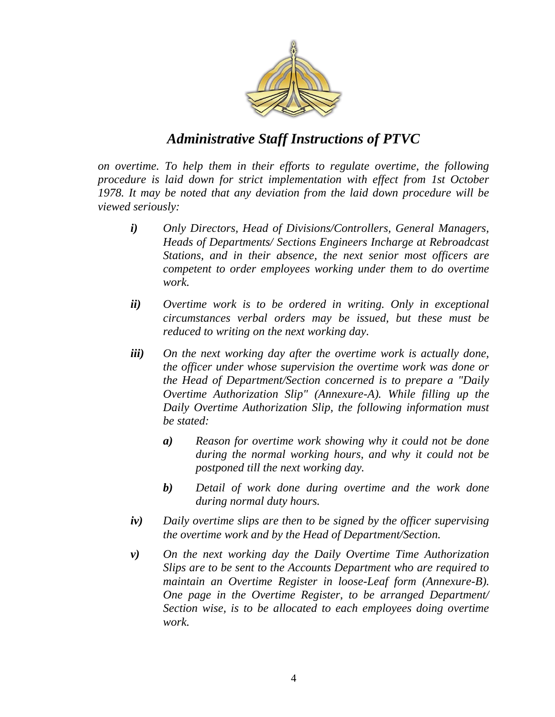

*on overtime. To help them in their efforts to regulate overtime, the following procedure is laid down for strict implementation with effect from 1st October 1978. It may be noted that any deviation from the laid down procedure will be viewed seriously:* 

- *i) Only Directors, Head of Divisions/Controllers, General Managers, Heads of Departments/ Sections Engineers Incharge at Rebroadcast Stations, and in their absence, the next senior most officers are competent to order employees working under them to do overtime work.*
- *ii) Overtime work is to be ordered in writing. Only in exceptional circumstances verbal orders may be issued, but these must be reduced to writing on the next working day.*
- *iii) On the next working day after the overtime work is actually done, the officer under whose supervision the overtime work was done or the Head of Department/Section concerned is to prepare a "Daily Overtime Authorization Slip" (Annexure-A). While filling up the Daily Overtime Authorization Slip, the following information must be stated:*
	- *a) Reason for overtime work showing why it could not be done during the normal working hours, and why it could not be postponed till the next working day.*
	- *b) Detail of work done during overtime and the work done during normal duty hours.*
- *iv) Daily overtime slips are then to be signed by the officer supervising the overtime work and by the Head of Department/Section.*
- *v) On the next working day the Daily Overtime Time Authorization Slips are to be sent to the Accounts Department who are required to maintain an Overtime Register in loose-Leaf form (Annexure-B). One page in the Overtime Register, to be arranged Department/ Section wise, is to be allocated to each employees doing overtime work.*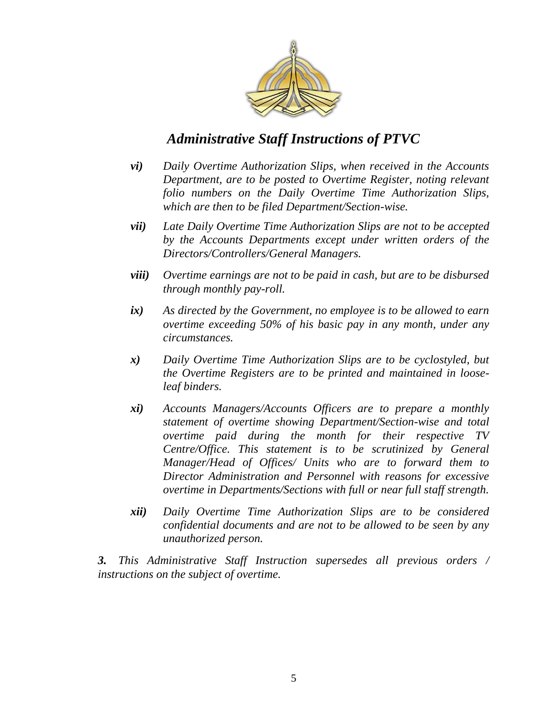

- *vi) Daily Overtime Authorization Slips, when received in the Accounts Department, are to be posted to Overtime Register, noting relevant folio numbers on the Daily Overtime Time Authorization Slips, which are then to be filed Department/Section-wise.*
- *vii) Late Daily Overtime Time Authorization Slips are not to be accepted by the Accounts Departments except under written orders of the Directors/Controllers/General Managers.*
- *viii) Overtime earnings are not to be paid in cash, but are to be disbursed through monthly pay-roll.*
- *ix) As directed by the Government, no employee is to be allowed to earn overtime exceeding 50% of his basic pay in any month, under any circumstances.*
- *x) Daily Overtime Time Authorization Slips are to be cyclostyled, but the Overtime Registers are to be printed and maintained in looseleaf binders.*
- *xi) Accounts Managers/Accounts Officers are to prepare a monthly statement of overtime showing Department/Section-wise and total overtime paid during the month for their respective TV Centre/Office. This statement is to be scrutinized by General Manager/Head of Offices/ Units who are to forward them to Director Administration and Personnel with reasons for excessive overtime in Departments/Sections with full or near full staff strength.*
- *xii) Daily Overtime Time Authorization Slips are to be considered confidential documents and are not to be allowed to be seen by any unauthorized person.*

*3. This Administrative Staff Instruction supersedes all previous orders / instructions on the subject of overtime.*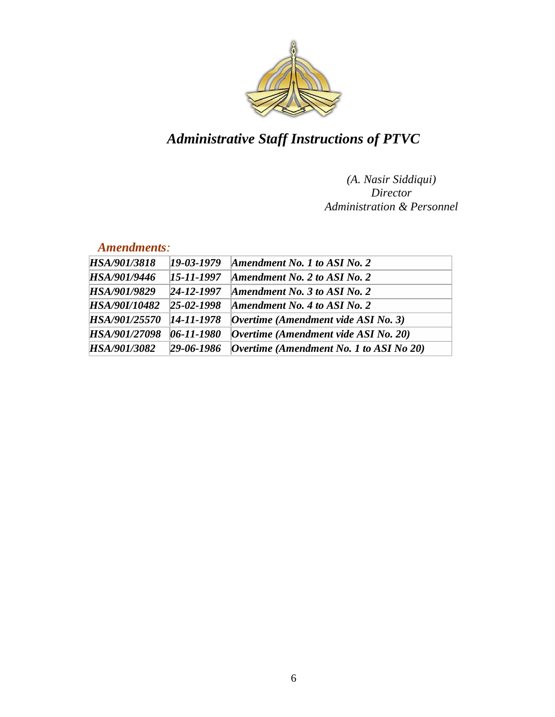

#### *(A. Nasir Siddiqui) Director Administration & Personnel*

#### *Amendments:*

| HSA/901/3818  | 19-03-1979       | Amendment No. 1 to ASI No. 2                           |
|---------------|------------------|--------------------------------------------------------|
| HSA/901/9446  | 15-11-1997       | Amendment No. 2 to ASI No. 2                           |
| HSA/901/9829  | $24 - 12 - 1997$ | Amendment No. 3 to ASI No. 2                           |
| HSA/90I/10482 | $25 - 02 - 1998$ | Amendment No. 4 to ASI No. 2                           |
| HSA/901/25570 | $14 - 11 - 1978$ | $\alpha$ Dvertime (Amendment vide ASI No. 3)           |
| HSA/901/27098 | $06 - 11 - 1980$ | $\sqrt{O}$ <i>Overtime</i> (Amendment vide ASI No. 20) |
| HSA/901/3082  | $29 - 06 - 1986$ | <i>Overtime (Amendment No. 1 to ASI No 20)</i>         |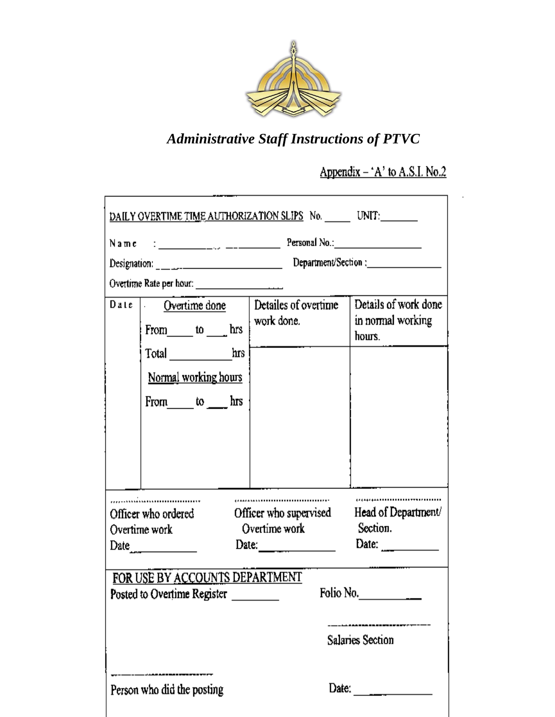

# Appendix  $-$  'A' to A.S.I. No.2

| <u>DAILY OVERTIME TIME AUTHORIZATION SLIPS</u> No. _______ UNIT:________ |                                                                    |                                                            |
|--------------------------------------------------------------------------|--------------------------------------------------------------------|------------------------------------------------------------|
|                                                                          |                                                                    |                                                            |
|                                                                          |                                                                    |                                                            |
|                                                                          |                                                                    |                                                            |
| Date Overtime done<br>From to hrs work done.                             | Detailes of overtime                                               | Details of work done<br>in normal working<br>hours.        |
| Total hrs<br>Normal working hours                                        |                                                                    |                                                            |
| From $\omega$ to $\omega$ hrs                                            |                                                                    |                                                            |
|                                                                          |                                                                    |                                                            |
| Officer who ordered<br>Overtime work<br>Date $\frac{1}{2}$               | <br>Officer who supervised<br>Overtime work<br>Date: $\frac{1}{2}$ | <br>Head of Department/<br>Section.<br>Date: $\frac{1}{2}$ |
| FOR USE BY ACCOUNTS DEPARTMENT<br>Posted to Overtime Register            |                                                                    | -------<br>Folio No. $\qquad \qquad \qquad \qquad$         |
|                                                                          |                                                                    | Salaries Section                                           |
|                                                                          |                                                                    |                                                            |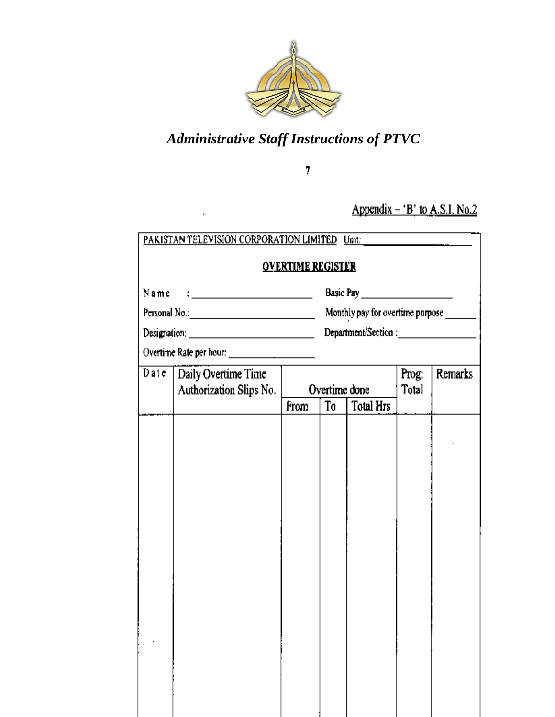

 $\bar{7}$ 

Appendix  $-$  'B' to A.S.I. No.2

|                                                       | <b>OVERTIME REGISTER</b> |    |                                         |                |         |
|-------------------------------------------------------|--------------------------|----|-----------------------------------------|----------------|---------|
|                                                       |                          |    |                                         |                |         |
|                                                       |                          |    | Monthly pay for overtime purpose ______ |                |         |
|                                                       |                          |    |                                         |                |         |
|                                                       |                          |    |                                         |                |         |
| Date   Daily Overtime Time<br>Authorization Slips No. |                          |    | Overtime done                           | Prog:<br>Total | Remarks |
|                                                       | From                     | To | Total Hrs                               |                |         |
|                                                       |                          |    |                                         |                |         |
|                                                       |                          |    |                                         |                |         |
|                                                       |                          |    |                                         |                |         |
|                                                       |                          |    |                                         |                |         |
|                                                       |                          |    |                                         |                |         |
|                                                       |                          |    |                                         |                |         |
|                                                       |                          |    |                                         |                |         |
|                                                       |                          |    |                                         |                |         |
|                                                       |                          |    |                                         |                |         |
|                                                       |                          |    |                                         |                |         |
|                                                       |                          |    |                                         |                |         |
|                                                       |                          |    |                                         |                |         |
|                                                       |                          |    |                                         |                |         |
|                                                       |                          |    |                                         |                |         |
|                                                       |                          |    |                                         |                |         |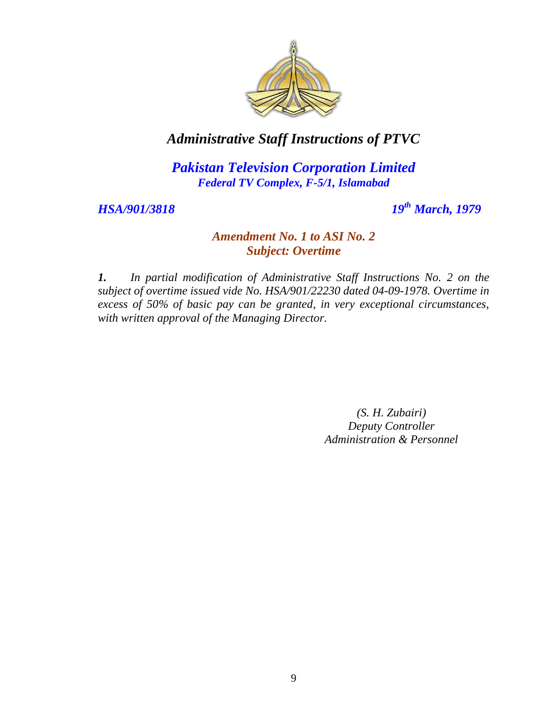

*Pakistan Television Corporation Limited Federal TV Complex, F-5/1, Islamabad*

*HSA/901/3818 19th March, 1979*

#### *Amendment No. 1 to ASI No. 2 Subject: Overtime*

*1. In partial modification of Administrative Staff Instructions No. 2 on the subject of overtime issued vide No. HSA/901/22230 dated 04-09-1978. Overtime in excess of 50% of basic pay can be granted, in very exceptional circumstances, with written approval of the Managing Director.*

> *(S. H. Zubairi) Deputy Controller Administration & Personnel*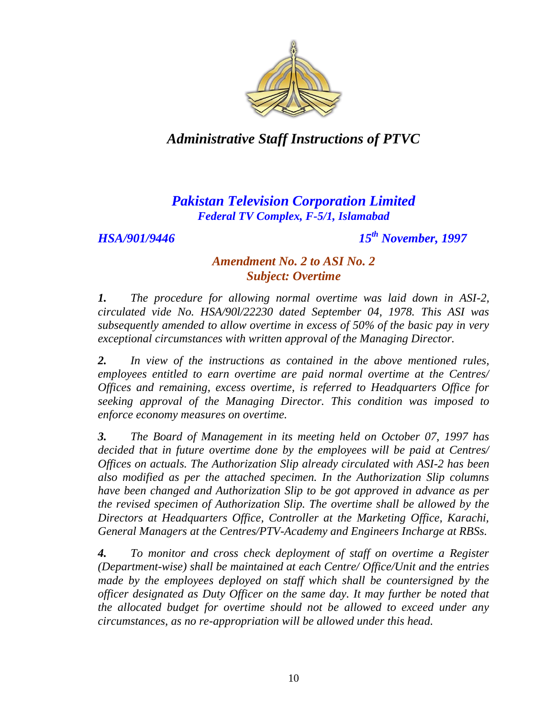

# *Pakistan Television Corporation Limited Federal TV Complex, F-5/1, Islamabad*

*HSA/901/9446 15th November, 1997*

#### *Amendment No. 2 to ASI No. 2 Subject: Overtime*

*1. The procedure for allowing normal overtime was laid down in ASI-2, circulated vide No. HSA/90l/22230 dated September 04, 1978. This ASI was subsequently amended to allow overtime in excess of 50% of the basic pay in very exceptional circumstances with written approval of the Managing Director.* 

*2. In view of the instructions as contained in the above mentioned rules, employees entitled to earn overtime are paid normal overtime at the Centres/ Offices and remaining, excess overtime, is referred to Headquarters Office for seeking approval of the Managing Director. This condition was imposed to enforce economy measures on overtime.* 

*3. The Board of Management in its meeting held on October 07, 1997 has decided that in future overtime done by the employees will be paid at Centres/ Offices on actuals. The Authorization Slip already circulated with ASI-2 has been also modified as per the attached specimen. In the Authorization Slip columns have been changed and Authorization Slip to be got approved in advance as per the revised specimen of Authorization Slip. The overtime shall be allowed by the Directors at Headquarters Office, Controller at the Marketing Office, Karachi, General Managers at the Centres/PTV-Academy and Engineers Incharge at RBSs.* 

*4. To monitor and cross check deployment of staff on overtime a Register (Department-wise) shall be maintained at each Centre/ Office/Unit and the entries*  made by the employees deployed on staff which shall be countersigned by the *officer designated as Duty Officer on the same day. It may further be noted that the allocated budget for overtime should not be allowed to exceed under any circumstances, as no re-appropriation will be allowed under this head.*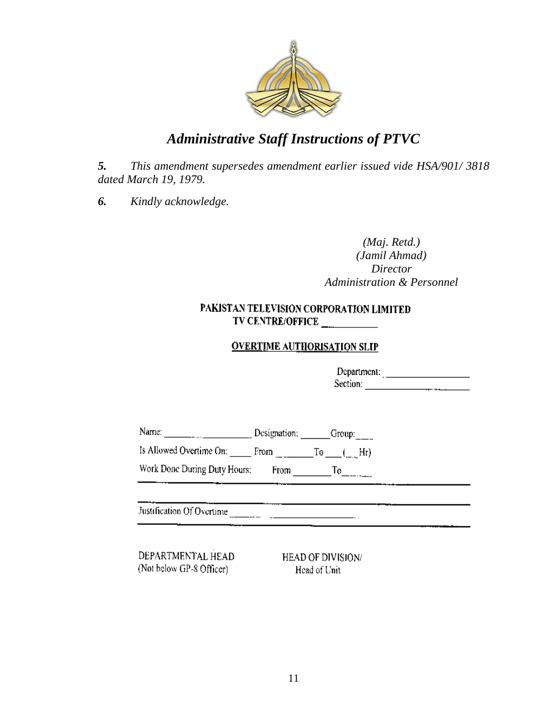

*5. This amendment supersedes amendment earlier issued vide HSA/901/ 3818 dated March 19, 1979.*

*6. Kindly acknowledge.* 

#### *(Maj. Retd.) (Jamil Ahmad) Director Administration & Personnel*

#### PAKISTAN TELEVISION CORPORATION LIMITED TV CENTRE/OFFICE

#### **OVERTIME AUTHORISATION SLIP**

Department: Section:

Name: Croup: Designation: Group:

Work Done During Duty Hours:  $From$   $T_0$ 

Justification Of Overtime

DEPARTMENTAL HEAD (Not below GP-8 Officer)

HEAD OF DIVISION/ Head of Unit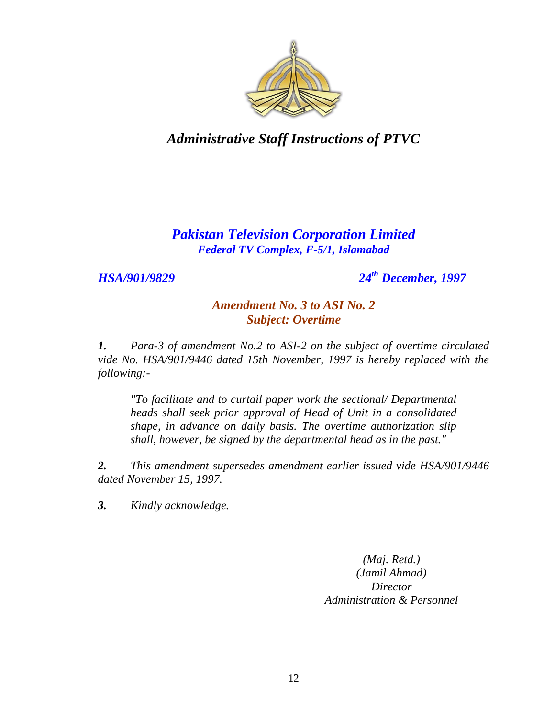

# *Pakistan Television Corporation Limited Federal TV Complex, F-5/1, Islamabad*

*HSA/901/9829 24th December, 1997*

### *Amendment No. 3 to ASI No. 2 Subject: Overtime*

*1. Para-3 of amendment No.2 to ASI-2 on the subject of overtime circulated vide No. HSA/901/9446 dated 15th November, 1997 is hereby replaced with the following:-*

*"To facilitate and to curtail paper work the sectional/ Departmental heads shall seek prior approval of Head of Unit in a consolidated shape, in advance on daily basis. The overtime authorization slip shall, however, be signed by the departmental head as in the past."*

*2. This amendment supersedes amendment earlier issued vide HSA/901/9446 dated November 15, 1997.* 

*3. Kindly acknowledge.*

*(Maj. Retd.) (Jamil Ahmad) Director Administration & Personnel*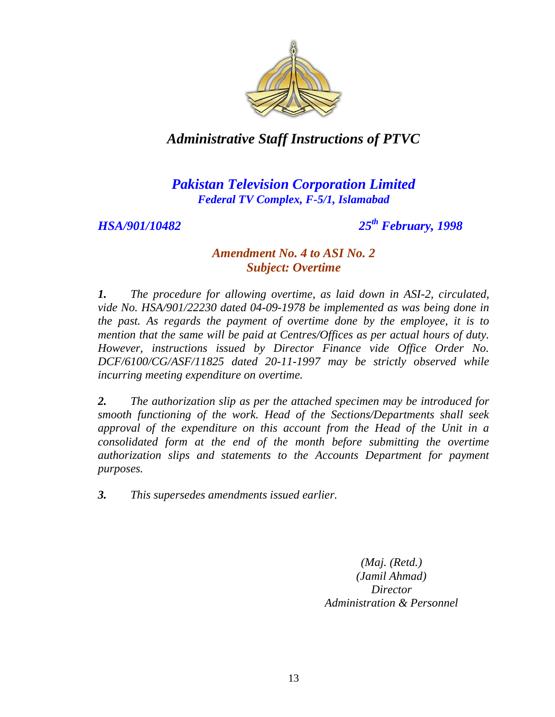

### *Pakistan Television Corporation Limited Federal TV Complex, F-5/1, Islamabad*

*HSA/901/10482 25th February, 1998*

#### *Amendment No. 4 to ASI No. 2 Subject: Overtime*

*1. The procedure for allowing overtime, as laid down in ASI-2, circulated, vide No. HSA/901/22230 dated 04-09-1978 be implemented as was being done in the past. As regards the payment of overtime done by the employee, it is to mention that the same will be paid at Centres/Offices as per actual hours of duty. However, instructions issued by Director Finance vide Office Order No. DCF/6100/CG/ASF/11825 dated 20-11-1997 may be strictly observed while incurring meeting expenditure on overtime.*

*2. The authorization slip as per the attached specimen may be introduced for smooth functioning of the work. Head of the Sections/Departments shall seek approval of the expenditure on this account from the Head of the Unit in a consolidated form at the end of the month before submitting the overtime authorization slips and statements to the Accounts Department for payment purposes.* 

*3. This supersedes amendments issued earlier.*

*(Maj. (Retd.) (Jamil Ahmad) Director Administration & Personnel*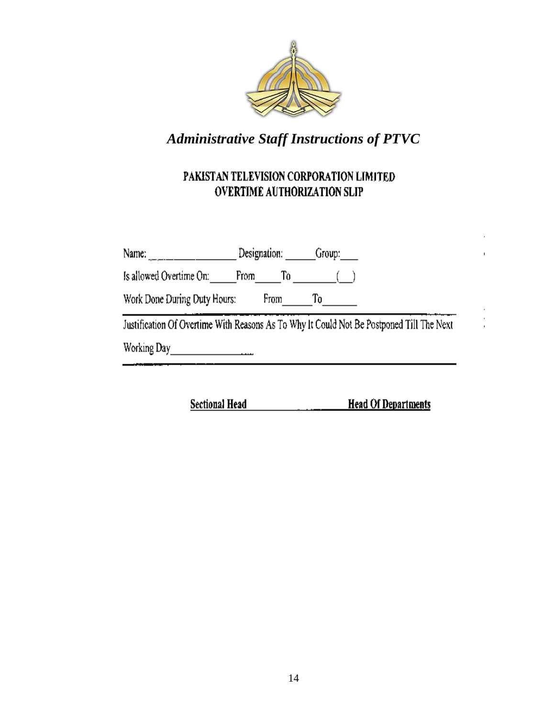

# PAKISTAN TELEVISION CORPORATION LIMITED OVERTIME AUTHORIZATION SLIP

|                                                                                          | Designation: Group: |    |  |
|------------------------------------------------------------------------------------------|---------------------|----|--|
| Is allowed Overtime On: [18] From To [18] [18] To [18] [18] To                           |                     |    |  |
| Work Done During Duty Hours:                                                             | From                | To |  |
| Justification Of Overtime With Reasons As To Why It Could Not Be Postponed Till The Next |                     |    |  |
| Working Day                                                                              |                     |    |  |
|                                                                                          |                     |    |  |

**Head Of Departments Sectional Head**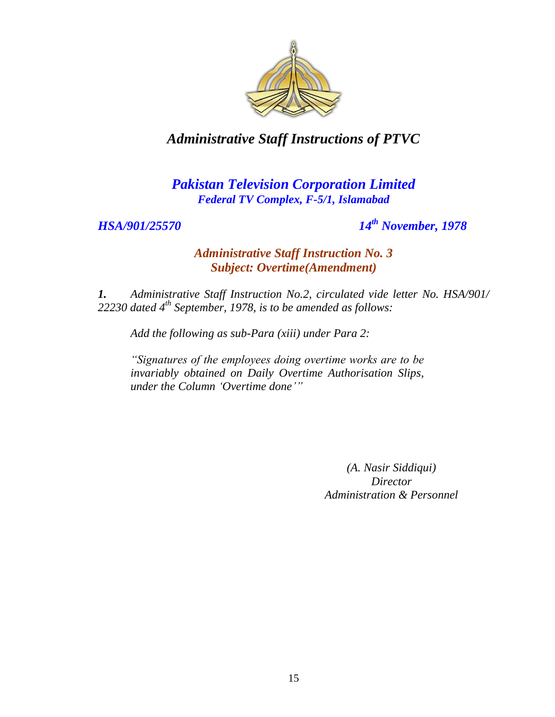

### *Pakistan Television Corporation Limited Federal TV Complex, F-5/1, Islamabad*

*HSA/901/25570 14th November, 1978*

#### *Administrative Staff Instruction No. 3 Subject: Overtime(Amendment)*

*1. Administrative Staff Instruction No.2, circulated vide letter No. HSA/901/ 22230 dated 4th September, 1978, is to be amended as follows:*

*Add the following as sub-Para (xiii) under Para 2:*

*"Signatures of the employees doing overtime works are to be invariably obtained on Daily Overtime Authorisation Slips, under the Column "Overtime done""*

> *(A. Nasir Siddiqui) Director Administration & Personnel*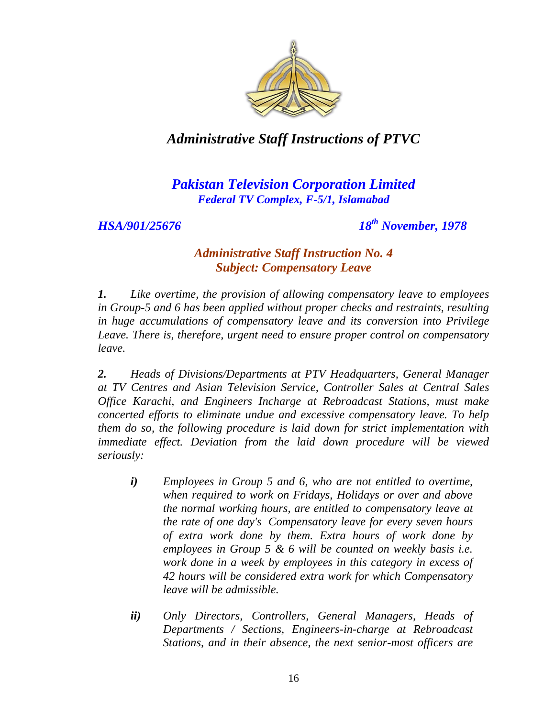

### *Pakistan Television Corporation Limited Federal TV Complex, F-5/1, Islamabad*

*HSA/901/25676 18th November, 1978*

#### *Administrative Staff Instruction No. 4 Subject: Compensatory Leave*

*1. Like overtime, the provision of allowing compensatory leave to employees in Group-5 and 6 has been applied without proper checks and restraints, resulting in huge accumulations of compensatory leave and its conversion into Privilege Leave. There is, therefore, urgent need to ensure proper control on compensatory leave.*

*2. Heads of Divisions/Departments at PTV Headquarters, General Manager at TV Centres and Asian Television Service, Controller Sales at Central Sales Office Karachi, and Engineers Incharge at Rebroadcast Stations, must make concerted efforts to eliminate undue and excessive compensatory leave. To help them do so, the following procedure is laid down for strict implementation with immediate effect. Deviation from the laid down procedure will be viewed seriously:* 

- *i) Employees in Group 5 and 6, who are not entitled to overtime, when required to work on Fridays, Holidays or over and above the normal working hours, are entitled to compensatory leave at the rate of one day's Compensatory leave for every seven hours of extra work done by them. Extra hours of work done by employees in Group 5 & 6 will be counted on weekly basis i.e. work done in a week by employees in this category in excess of 42 hours will be considered extra work for which Compensatory leave will be admissible.*
- *ii) Only Directors, Controllers, General Managers, Heads of Departments / Sections, Engineers-in-charge at Rebroadcast Stations, and in their absence, the next senior-most officers are*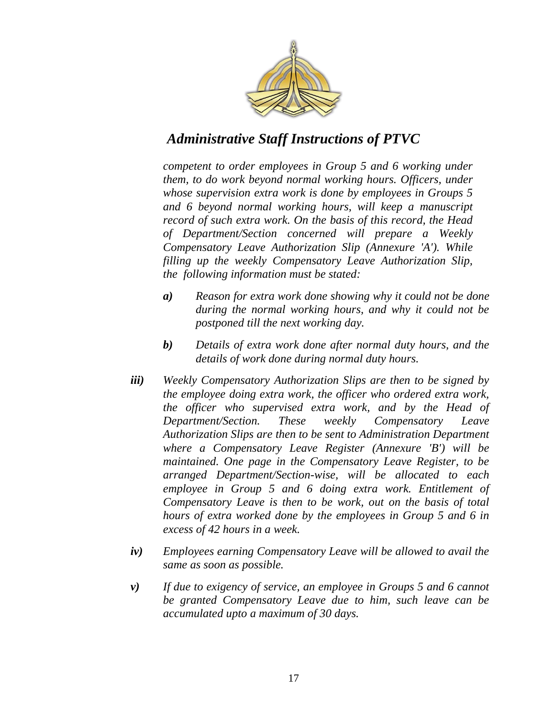

*competent to order employees in Group 5 and 6 working under them, to do work beyond normal working hours. Officers, under whose supervision extra work is done by employees in Groups 5 and 6 beyond normal working hours, will keep a manuscript record of such extra work. On the basis of this record, the Head of Department/Section concerned will prepare a Weekly Compensatory Leave Authorization Slip (Annexure 'A'). While filling up the weekly Compensatory Leave Authorization Slip, the following information must be stated:* 

- *a) Reason for extra work done showing why it could not be done during the normal working hours, and why it could not be postponed till the next working day.*
- *b) Details of extra work done after normal duty hours, and the details of work done during normal duty hours.*
- *iii) Weekly Compensatory Authorization Slips are then to be signed by the employee doing extra work, the officer who ordered extra work, the officer who supervised extra work, and by the Head of Department/Section. These weekly Compensatory Leave Authorization Slips are then to be sent to Administration Department where a Compensatory Leave Register (Annexure 'B') will be maintained. One page in the Compensatory Leave Register, to be arranged Department/Section-wise, will be allocated to each employee in Group 5 and 6 doing extra work. Entitlement of Compensatory Leave is then to be work, out on the basis of total hours of extra worked done by the employees in Group 5 and 6 in excess of 42 hours in a week.*
- *iv) Employees earning Compensatory Leave will be allowed to avail the same as soon as possible.*
- *v) If due to exigency of service, an employee in Groups 5 and 6 cannot be granted Compensatory Leave due to him, such leave can be accumulated upto a maximum of 30 days.*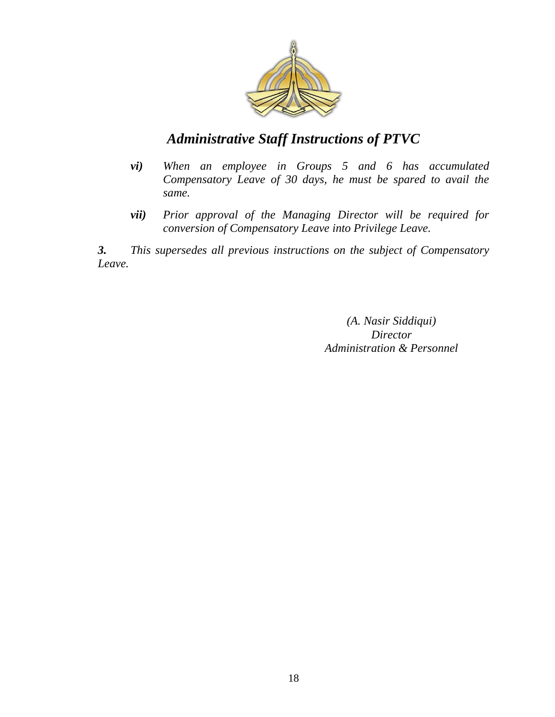

- *vi) When an employee in Groups 5 and 6 has accumulated Compensatory Leave of 30 days, he must be spared to avail the same.*
- *vii) Prior approval of the Managing Director will be required for conversion of Compensatory Leave into Privilege Leave.*

*3. This supersedes all previous instructions on the subject of Compensatory Leave.*

> *(A. Nasir Siddiqui) Director Administration & Personnel*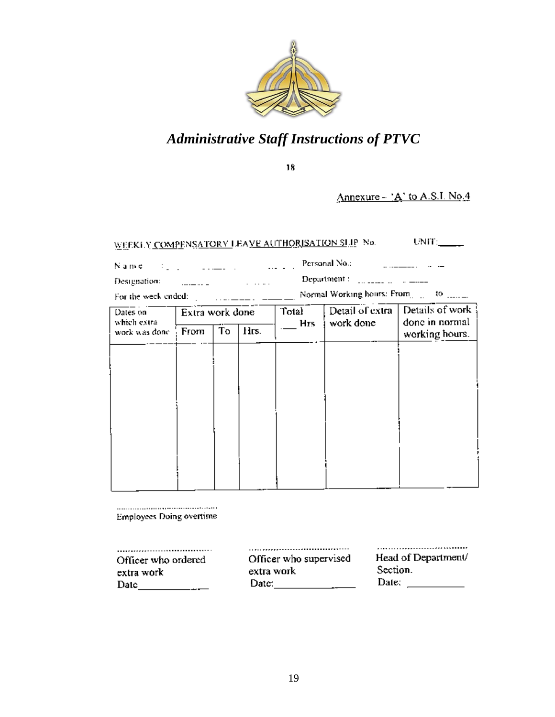

 $18$ 

Annexure - 'A' to A.S.I. No.4

|      |  |          | WEEKLY COMPENSATORY LEAVE AUTHORISATION SLIP No. | UNIT: |
|------|--|----------|--------------------------------------------------|-------|
| Name |  | $\cdots$ | Personal No.:-                                   |       |

Designation: المستحدث والمستقلة Department : [11] Language and a money

For the week ended:  $\frac{1}{2}$  ...  $\frac{1}{2}$  ...  $\frac{1}{2}$   $\frac{1}{2}$   $\frac{1}{2}$   $\frac{1}{2}$   $\frac{1}{2}$   $\frac{1}{2}$   $\frac{1}{2}$   $\frac{1}{2}$   $\frac{1}{2}$   $\frac{1}{2}$   $\frac{1}{2}$   $\frac{1}{2}$   $\frac{1}{2}$   $\frac{1}{2}$   $\frac{1}{2}$   $\frac{1}{2}$   $\frac{1}{2}$   $\frac$ 

| Dates on<br>which extra- | Extra work done |    |      | Detail of extra<br>Total<br>work done<br><b>Hrs</b> |  | Details of work<br>done in normal |  |
|--------------------------|-----------------|----|------|-----------------------------------------------------|--|-----------------------------------|--|
| work was done            | From            | To | Hrs. |                                                     |  | working hours.                    |  |
|                          |                 |    |      |                                                     |  |                                   |  |
|                          |                 |    |      |                                                     |  |                                   |  |
|                          |                 |    |      |                                                     |  |                                   |  |
|                          |                 |    |      |                                                     |  |                                   |  |
|                          |                 |    |      |                                                     |  |                                   |  |
|                          |                 |    |      |                                                     |  |                                   |  |
|                          |                 |    |      |                                                     |  |                                   |  |
|                          |                 |    |      |                                                     |  |                                   |  |

**Employees Doing overtime** 

| ,,,,,,,,,,,,        | ,,,,,,,,,,,,,,,,,,,,,,,,,,,,,,,,,,,,,, |                     |
|---------------------|----------------------------------------|---------------------|
| Officer who ordered | Officer who supervised                 | Head of Department/ |
| extra work          | extra work                             | Section.            |
| Daic                | Date:                                  | Date:               |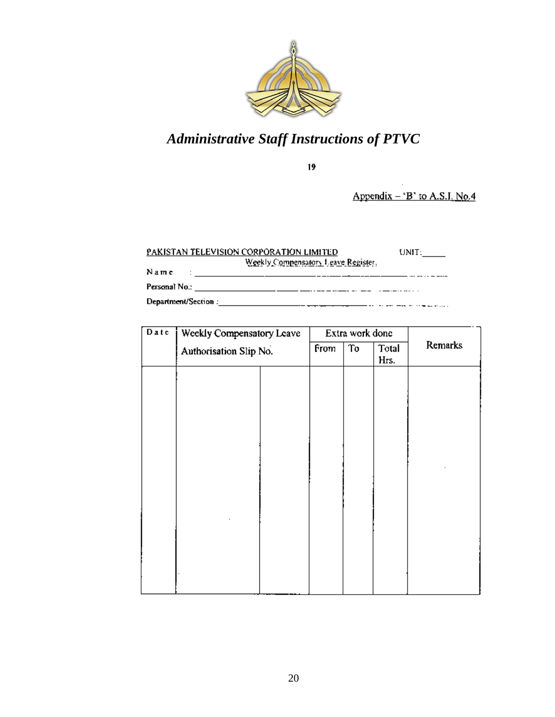

 $19$ 

Appendix  $-$  'B' to A.S.I. No.4

#### PAKISTAN TELEVISION CORPORATION LIMITED  $UNIT:\_\_$ Weekly Compensatory Leave Register, Name \_\_ ... \_\_ .. \_ \_..\_

| Date | Weekly Compensatory Leave<br>Authorisation Slip No. |  |      | Extra work done |               |         |
|------|-----------------------------------------------------|--|------|-----------------|---------------|---------|
|      |                                                     |  | From | To              | Total<br>Hrs. | Remarks |
|      |                                                     |  |      |                 |               |         |
|      |                                                     |  |      |                 |               |         |
|      |                                                     |  |      |                 |               |         |
|      |                                                     |  |      |                 |               |         |
|      |                                                     |  |      |                 |               |         |
|      |                                                     |  |      |                 |               |         |
|      |                                                     |  |      |                 |               |         |
|      |                                                     |  |      |                 |               |         |
|      |                                                     |  |      |                 |               |         |
|      |                                                     |  |      |                 |               |         |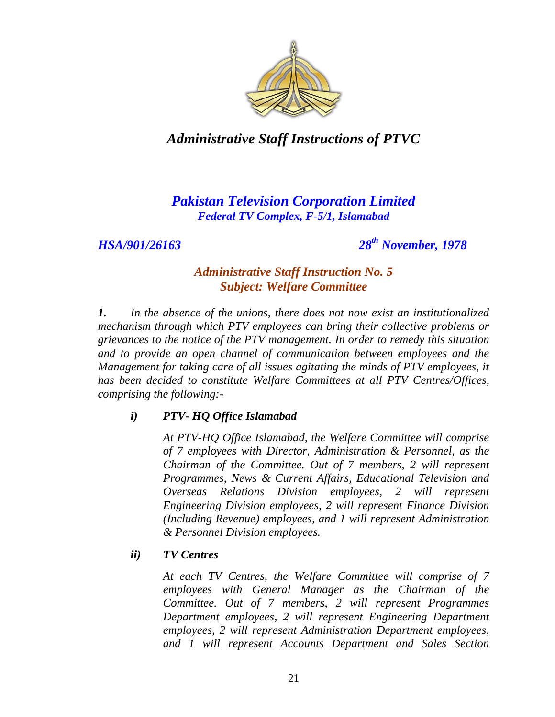

# *Pakistan Television Corporation Limited Federal TV Complex, F-5/1, Islamabad*

*HSA/901/26163 28th November, 1978*

#### *Administrative Staff Instruction No. 5 Subject: Welfare Committee*

*1. In the absence of the unions, there does not now exist an institutionalized mechanism through which PTV employees can bring their collective problems or grievances to the notice of the PTV management. In order to remedy this situation and to provide an open channel of communication between employees and the Management for taking care of all issues agitating the minds of PTV employees, it has been decided to constitute Welfare Committees at all PTV Centres/Offices, comprising the following:-*

#### *i) PTV- HQ Office Islamabad*

*At PTV-HQ Office Islamabad, the Welfare Committee will comprise of 7 employees with Director, Administration & Personnel, as the Chairman of the Committee. Out of 7 members, 2 will represent Programmes, News & Current Affairs, Educational Television and Overseas Relations Division employees, 2 will represent Engineering Division employees, 2 will represent Finance Division (Including Revenue) employees, and 1 will represent Administration & Personnel Division employees.* 

#### *ii) TV Centres*

*At each TV Centres, the Welfare Committee will comprise of 7 employees with General Manager as the Chairman of the Committee. Out of 7 members, 2 will represent Programmes Department employees, 2 will represent Engineering Department employees, 2 will represent Administration Department employees, and 1 will represent Accounts Department and Sales Section*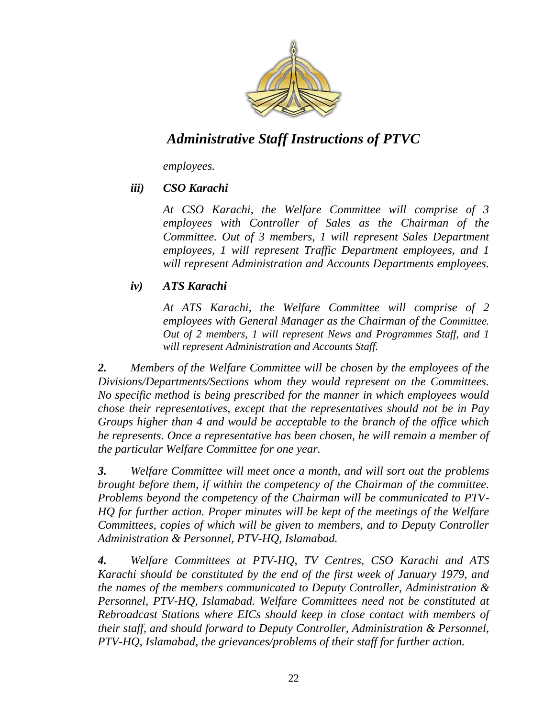

*employees.* 

#### *iii) CSO Karachi*

*At CSO Karachi, the Welfare Committee will comprise of 3 employees with Controller of Sales as the Chairman of the Committee. Out of 3 members, 1 will represent Sales Department employees, 1 will represent Traffic Department employees, and 1 will represent Administration and Accounts Departments employees.* 

#### *iv) ATS Karachi*

*At ATS Karachi, the Welfare Committee will comprise of 2 employees with General Manager as the Chairman of the Committee. Out of 2 members, 1 will represent News and Programmes Staff, and 1 will represent Administration and Accounts Staff.* 

*2. Members of the Welfare Committee will be chosen by the employees of the Divisions/Departments/Sections whom they would represent on the Committees. No specific method is being prescribed for the manner in which employees would chose their representatives, except that the representatives should not be in Pay Groups higher than 4 and would be acceptable to the branch of the office which he represents. Once a representative has been chosen, he will remain a member of the particular Welfare Committee for one year.* 

*3. Welfare Committee will meet once a month, and will sort out the problems brought before them, if within the competency of the Chairman of the committee. Problems beyond the competency of the Chairman will be communicated to PTV-HQ for further action. Proper minutes will be kept of the meetings of the Welfare Committees, copies of which will be given to members, and to Deputy Controller Administration & Personnel, PTV-HQ, Islamabad.* 

*4. Welfare Committees at PTV-HQ, TV Centres, CSO Karachi and ATS Karachi should be constituted by the end of the first week of January 1979, and the names of the members communicated to Deputy Controller, Administration & Personnel, PTV-HQ, Islamabad. Welfare Committees need not be constituted at Rebroadcast Stations where EICs should keep in close contact with members of their staff, and should forward to Deputy Controller, Administration & Personnel, PTV-HQ, Islamabad, the grievances/problems of their staff for further action.*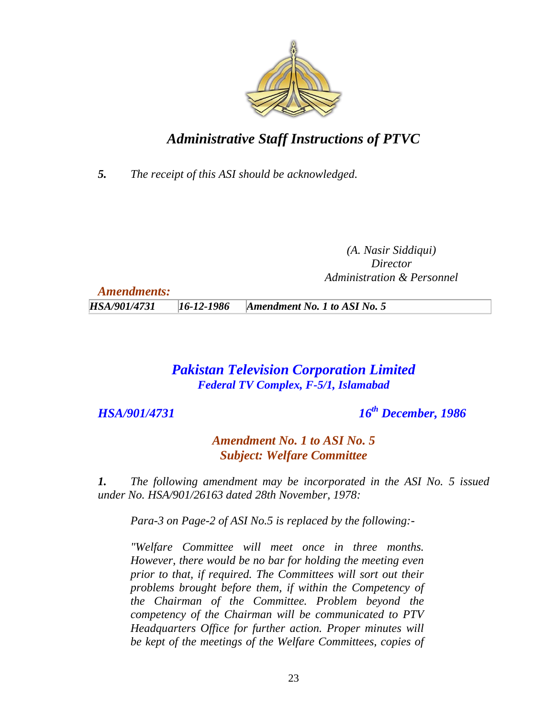

*5. The receipt of this ASI should be acknowledged.*

*(A. Nasir Siddiqui) Director Administration & Personnel*

| <b>Amendments:</b> |                  |                              |
|--------------------|------------------|------------------------------|
| HSA/901/4731       | $16 - 12 - 1986$ | Amendment No. 1 to ASI No. 5 |

### *Pakistan Television Corporation Limited Federal TV Complex, F-5/1, Islamabad*

*HSA/901/4731 16th December, 1986*

*Amendment No. 1 to ASI No. 5 Subject: Welfare Committee*

*1. The following amendment may be incorporated in the ASI No. 5 issued under No. HSA/901/26163 dated 28th November, 1978:*

*Para-3 on Page-2 of ASI No.5 is replaced by the following:-*

*"Welfare Committee will meet once in three months. However, there would be no bar for holding the meeting even prior to that, if required. The Committees will sort out their problems brought before them, if within the Competency of the Chairman of the Committee. Problem beyond the competency of the Chairman will be communicated to PTV Headquarters Office for further action. Proper minutes will be kept of the meetings of the Welfare Committees, copies of*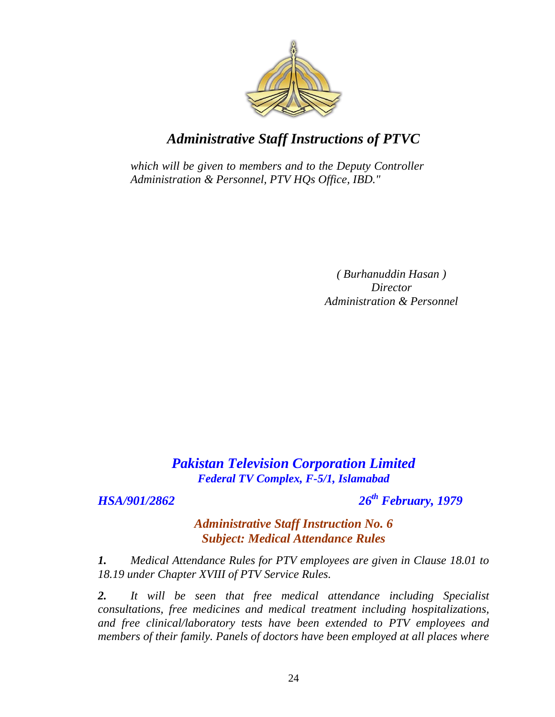

*which will be given to members and to the Deputy Controller Administration & Personnel, PTV HQs Office, IBD."*

> *( Burhanuddin Hasan ) Director Administration & Personnel*

# *Pakistan Television Corporation Limited Federal TV Complex, F-5/1, Islamabad*

*HSA/901/2862 26th February, 1979*

#### *Administrative Staff Instruction No. 6 Subject: Medical Attendance Rules*

*1. Medical Attendance Rules for PTV employees are given in Clause 18.01 to 18.19 under Chapter XVIII of PTV Service Rules.*

*2. It will be seen that free medical attendance including Specialist consultations, free medicines and medical treatment including hospitalizations, and free clinical/laboratory tests have been extended to PTV employees and members of their family. Panels of doctors have been employed at all places where*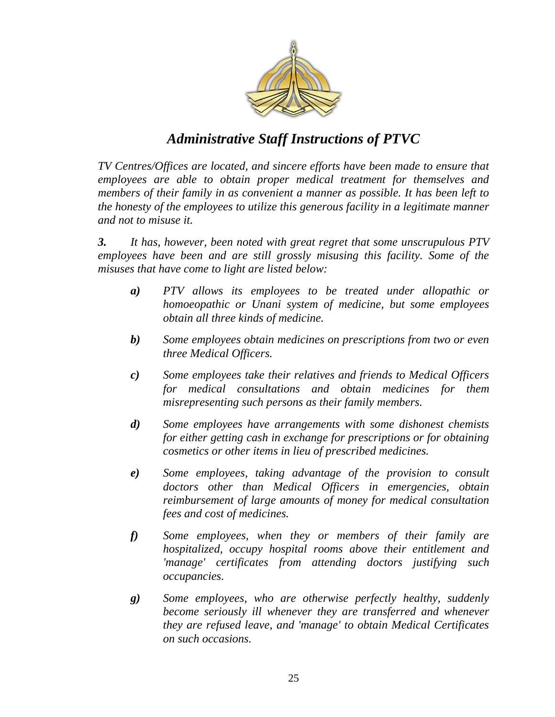

*TV Centres/Offices are located, and sincere efforts have been made to ensure that employees are able to obtain proper medical treatment for themselves and members of their family in as convenient a manner as possible. It has been left to the honesty of the employees to utilize this generous facility in a legitimate manner and not to misuse it.* 

*3. It has, however, been noted with great regret that some unscrupulous PTV employees have been and are still grossly misusing this facility. Some of the misuses that have come to light are listed below:* 

- *a) PTV allows its employees to be treated under allopathic or homoeopathic or Unani system of medicine, but some employees obtain all three kinds of medicine.*
- *b) Some employees obtain medicines on prescriptions from two or even three Medical Officers.*
- *c) Some employees take their relatives and friends to Medical Officers for medical consultations and obtain medicines for them misrepresenting such persons as their family members.*
- *d) Some employees have arrangements with some dishonest chemists for either getting cash in exchange for prescriptions or for obtaining cosmetics or other items in lieu of prescribed medicines.*
- *e) Some employees, taking advantage of the provision to consult doctors other than Medical Officers in emergencies, obtain reimbursement of large amounts of money for medical consultation fees and cost of medicines.*
- *f) Some employees, when they or members of their family are hospitalized, occupy hospital rooms above their entitlement and 'manage' certificates from attending doctors justifying such occupancies.*
- *g) Some employees, who are otherwise perfectly healthy, suddenly become seriously ill whenever they are transferred and whenever they are refused leave, and 'manage' to obtain Medical Certificates on such occasions.*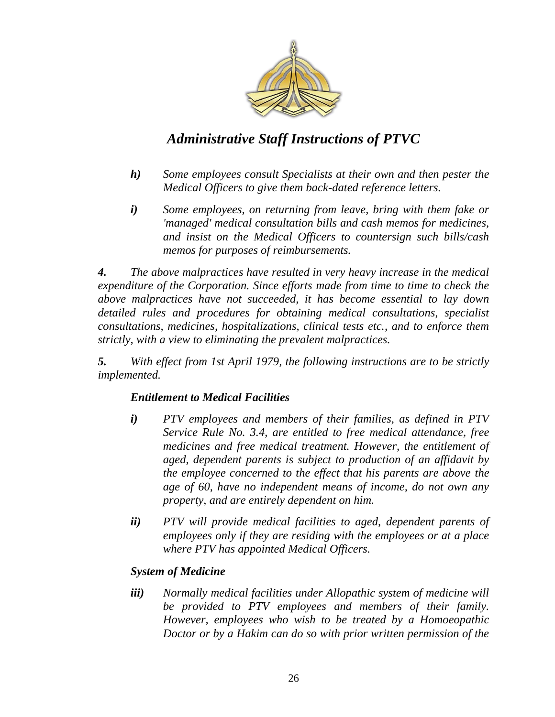

- *h) Some employees consult Specialists at their own and then pester the Medical Officers to give them back-dated reference letters.*
- *i) Some employees, on returning from leave, bring with them fake or 'managed' medical consultation bills and cash memos for medicines, and insist on the Medical Officers to countersign such bills/cash memos for purposes of reimbursements.*

*4. The above malpractices have resulted in very heavy increase in the medical expenditure of the Corporation. Since efforts made from time to time to check the above malpractices have not succeeded, it has become essential to lay down detailed rules and procedures for obtaining medical consultations, specialist consultations, medicines, hospitalizations, clinical tests etc., and to enforce them strictly, with a view to eliminating the prevalent malpractices.* 

*5. With effect from 1st April 1979, the following instructions are to be strictly implemented.* 

#### *Entitlement to Medical Facilities*

- *i) PTV employees and members of their families, as defined in PTV Service Rule No. 3.4, are entitled to free medical attendance, free medicines and free medical treatment. However, the entitlement of aged, dependent parents is subject to production of an affidavit by the employee concerned to the effect that his parents are above the age of 60, have no independent means of income, do not own any property, and are entirely dependent on him.*
- *ii) PTV will provide medical facilities to aged, dependent parents of employees only if they are residing with the employees or at a place where PTV has appointed Medical Officers.*

#### *System of Medicine*

*iii) Normally medical facilities under Allopathic system of medicine will be provided to PTV employees and members of their family. However, employees who wish to be treated by a Homoeopathic Doctor or by a Hakim can do so with prior written permission of the*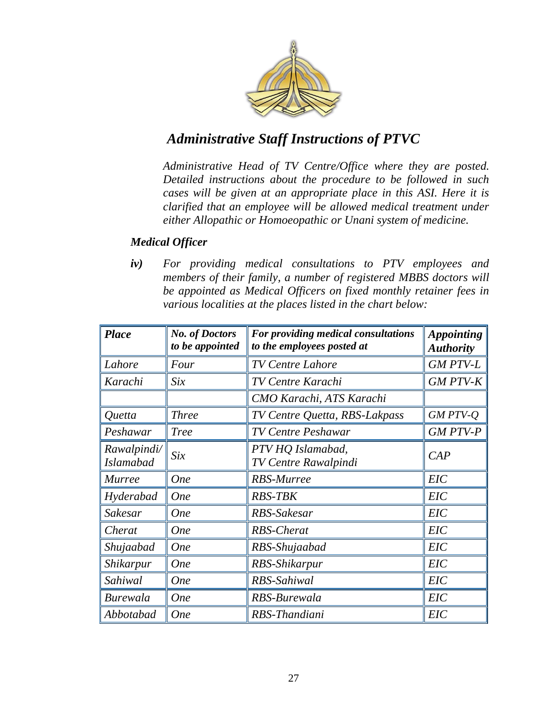

*Administrative Head of TV Centre/Office where they are posted. Detailed instructions about the procedure to be followed in such cases will be given at an appropriate place in this ASI. Here it is clarified that an employee will be allowed medical treatment under either Allopathic or Homoeopathic or Unani system of medicine.* 

#### *Medical Officer*

*iv) For providing medical consultations to PTV employees and members of their family, a number of registered MBBS doctors will be appointed as Medical Officers on fixed monthly retainer fees in various localities at the places listed in the chart below:* 

| <b>Place</b>     | <b>No. of Doctors</b><br>to be appointed | For providing medical consultations<br>to the employees posted at | <b>Appointing</b><br><b>Authority</b> |
|------------------|------------------------------------------|-------------------------------------------------------------------|---------------------------------------|
| Lahore           | Four                                     | <b>TV Centre Lahore</b>                                           | <b>GM PTV-L</b>                       |
| Karachi          | Six                                      | <b>TV Centre Karachi</b>                                          | <b>GM PTV-K</b>                       |
|                  |                                          | CMO Karachi, ATS Karachi                                          |                                       |
| Quetta           | <b>Three</b>                             | TV Centre Quetta, RBS-Lakpass                                     | GM PTV-Q                              |
| Peshawar         | <b>Tree</b>                              | <b>TV Centre Peshawar</b>                                         | <b>GM PTV-P</b>                       |
| Rawalpindi/      | Six                                      | PTV HQ Islamabad,                                                 | CAP                                   |
| <b>Islamabad</b> |                                          | <b>TV Centre Rawalpindi</b>                                       |                                       |
| <b>Murree</b>    | <b>One</b>                               | <b>RBS-Murree</b>                                                 | <b>EIC</b>                            |
| Hyderabad        | <b>One</b>                               | <b>RBS-TBK</b>                                                    | <b>EIC</b>                            |
| Sakesar          | <b>One</b>                               | RBS-Sakesar                                                       | <b>EIC</b>                            |
| Cherat           | <b>One</b>                               | <b>RBS-Cherat</b>                                                 | <b>EIC</b>                            |
| Shujaabad        | <b>One</b>                               | RBS-Shujaabad                                                     | EIC                                   |
| Shikarpur        | <b>One</b>                               | RBS-Shikarpur                                                     | EIC                                   |
| Sahiwal          | <b>One</b>                               | RBS-Sahiwal                                                       | EIC                                   |
| <b>Burewala</b>  | <b>One</b>                               | RBS-Burewala                                                      | <b>EIC</b>                            |
| Abbotabad        | <b>One</b>                               | RBS-Thandiani                                                     | EIC                                   |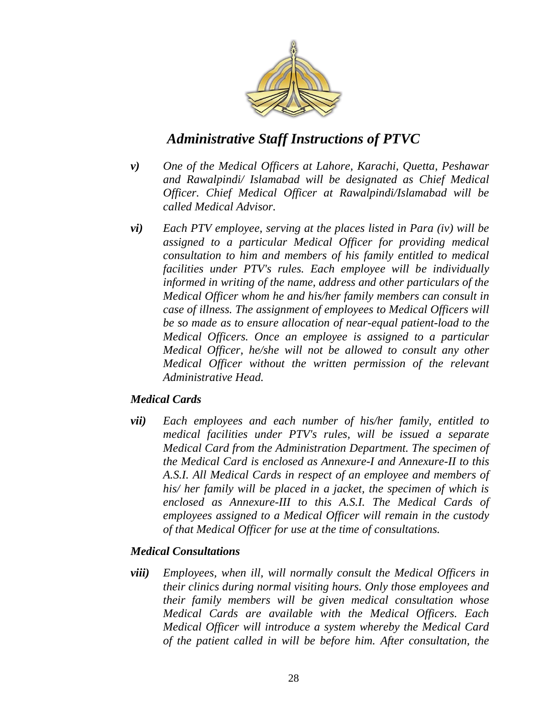

- *v) One of the Medical Officers at Lahore, Karachi, Quetta, Peshawar and Rawalpindi/ Islamabad will be designated as Chief Medical Officer. Chief Medical Officer at Rawalpindi/Islamabad will be called Medical Advisor.*
- *vi) Each PTV employee, serving at the places listed in Para (iv) will be assigned to a particular Medical Officer for providing medical consultation to him and members of his family entitled to medical facilities under PTV's rules. Each employee will be individually informed in writing of the name, address and other particulars of the Medical Officer whom he and his/her family members can consult in case of illness. The assignment of employees to Medical Officers will be so made as to ensure allocation of near-equal patient-load to the Medical Officers. Once an employee is assigned to a particular Medical Officer, he/she will not be allowed to consult any other Medical Officer without the written permission of the relevant Administrative Head.*

#### *Medical Cards*

*vii) Each employees and each number of his/her family, entitled to medical facilities under PTV's rules, will be issued a separate Medical Card from the Administration Department. The specimen of the Medical Card is enclosed as Annexure-I and Annexure-II to this A.S.I. All Medical Cards in respect of an employee and members of his/ her family will be placed in a jacket, the specimen of which is enclosed as Annexure-III to this A.S.I. The Medical Cards of employees assigned to a Medical Officer will remain in the custody of that Medical Officer for use at the time of consultations.* 

#### *Medical Consultations*

*viii) Employees, when ill, will normally consult the Medical Officers in their clinics during normal visiting hours. Only those employees and their family members will be given medical consultation whose Medical Cards are available with the Medical Officers. Each Medical Officer will introduce a system whereby the Medical Card of the patient called in will be before him. After consultation, the*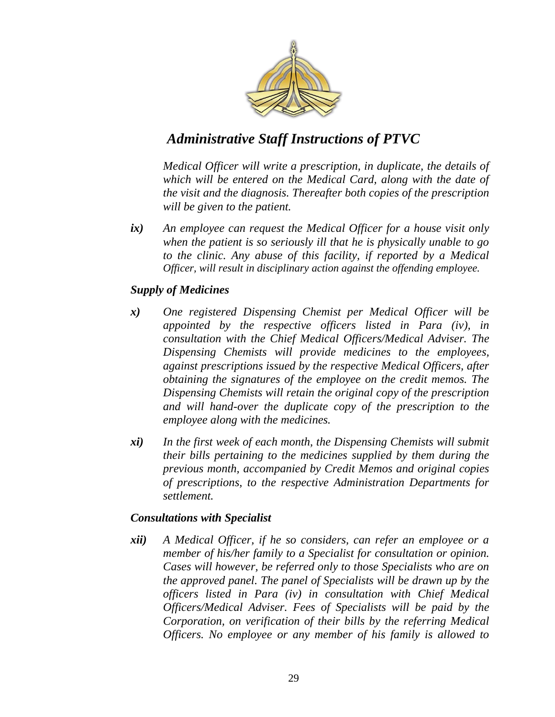

*Medical Officer will write a prescription, in duplicate, the details of which will be entered on the Medical Card, along with the date of the visit and the diagnosis. Thereafter both copies of the prescription will be given to the patient.* 

*ix) An employee can request the Medical Officer for a house visit only when the patient is so seriously ill that he is physically unable to go to the clinic. Any abuse of this facility, if reported by a Medical Officer, will result in disciplinary action against the offending employee.* 

#### *Supply of Medicines*

- *x) One registered Dispensing Chemist per Medical Officer will be appointed by the respective officers listed in Para (iv), in consultation with the Chief Medical Officers/Medical Adviser. The Dispensing Chemists will provide medicines to the employees, against prescriptions issued by the respective Medical Officers, after obtaining the signatures of the employee on the credit memos. The Dispensing Chemists will retain the original copy of the prescription and will hand-over the duplicate copy of the prescription to the employee along with the medicines.*
- *xi) In the first week of each month, the Dispensing Chemists will submit their bills pertaining to the medicines supplied by them during the previous month, accompanied by Credit Memos and original copies of prescriptions, to the respective Administration Departments for settlement.*

#### *Consultations with Specialist*

*xii) A Medical Officer, if he so considers, can refer an employee or a member of his/her family to a Specialist for consultation or opinion. Cases will however, be referred only to those Specialists who are on the approved panel. The panel of Specialists will be drawn up by the officers listed in Para (iv) in consultation with Chief Medical Officers/Medical Adviser. Fees of Specialists will be paid by the Corporation, on verification of their bills by the referring Medical Officers. No employee or any member of his family is allowed to*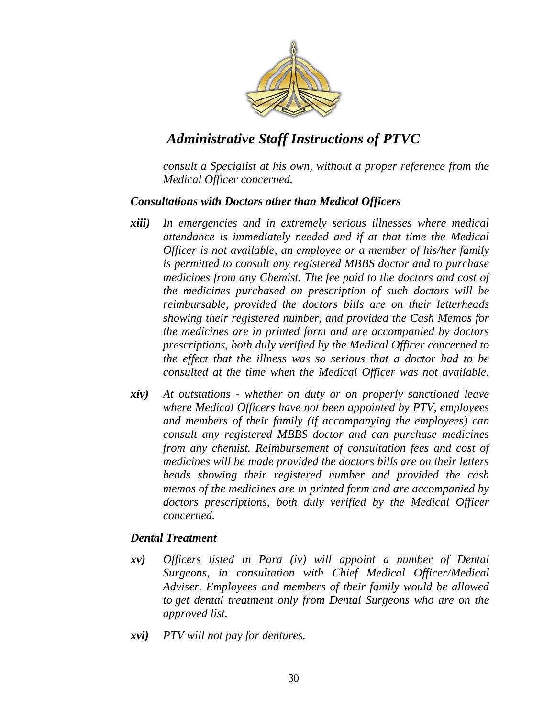

*consult a Specialist at his own, without a proper reference from the Medical Officer concerned.* 

#### *Consultations with Doctors other than Medical Officers*

- *xiii) In emergencies and in extremely serious illnesses where medical attendance is immediately needed and if at that time the Medical Officer is not available, an employee or a member of his/her family is permitted to consult any registered MBBS doctor and to purchase medicines from any Chemist. The fee paid to the doctors and cost of the medicines purchased on prescription of such doctors will be reimbursable, provided the doctors bills are on their letterheads showing their registered number, and provided the Cash Memos for the medicines are in printed form and are accompanied by doctors prescriptions, both duly verified by the Medical Officer concerned to the effect that the illness was so serious that a doctor had to be consulted at the time when the Medical Officer was not available.*
- *xiv) At outstations - whether on duty or on properly sanctioned leave where Medical Officers have not been appointed by PTV, employees and members of their family (if accompanying the employees) can consult any registered MBBS doctor and can purchase medicines from any chemist. Reimbursement of consultation fees and cost of medicines will be made provided the doctors bills are on their letters heads showing their registered number and provided the cash memos of the medicines are in printed form and are accompanied by doctors prescriptions, both duly verified by the Medical Officer concerned.*

#### *Dental Treatment*

- *xv) Officers listed in Para (iv) will appoint a number of Dental Surgeons, in consultation with Chief Medical Officer/Medical Adviser. Employees and members of their family would be allowed to get dental treatment only from Dental Surgeons who are on the approved list.*
- *xvi) PTV will not pay for dentures.*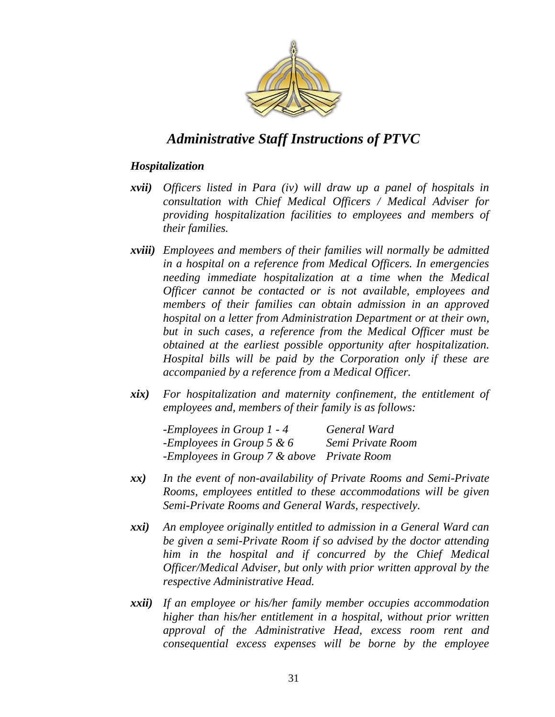

#### *Hospitalization*

- *xvii) Officers listed in Para (iv) will draw up a panel of hospitals in consultation with Chief Medical Officers / Medical Adviser for providing hospitalization facilities to employees and members of their families.*
- *xviii) Employees and members of their families will normally be admitted in a hospital on a reference from Medical Officers. In emergencies needing immediate hospitalization at a time when the Medical Officer cannot be contacted or is not available, employees and members of their families can obtain admission in an approved hospital on a letter from Administration Department or at their own, but in such cases, a reference from the Medical Officer must be obtained at the earliest possible opportunity after hospitalization. Hospital bills will be paid by the Corporation only if these are accompanied by a reference from a Medical Officer.*
- *xix) For hospitalization and maternity confinement, the entitlement of employees and, members of their family is as follows:*

*-Employees in Group 1 - 4 General Ward -Employees in Group 5 & 6 Semi Private Room -Employees in Group 7 & above Private Room* 

- *xx) In the event of non-availability of Private Rooms and Semi-Private Rooms, employees entitled to these accommodations will be given Semi-Private Rooms and General Wards, respectively.*
- *xxi) An employee originally entitled to admission in a General Ward can be given a semi-Private Room if so advised by the doctor attending him in the hospital and if concurred by the Chief Medical Officer/Medical Adviser, but only with prior written approval by the respective Administrative Head.*
- *xxii) If an employee or his/her family member occupies accommodation higher than his/her entitlement in a hospital, without prior written approval of the Administrative Head, excess room rent and consequential excess expenses will be borne by the employee*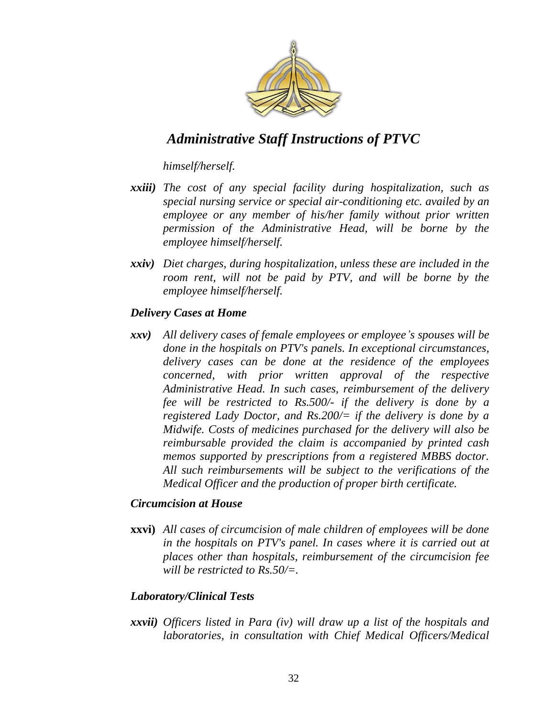

*himself/herself.* 

- *xxiii) The cost of any special facility during hospitalization, such as special nursing service or special air-conditioning etc. availed by an employee or any member of his/her family without prior written permission of the Administrative Head, will be borne by the employee himself/herself.*
- *xxiv) Diet charges, during hospitalization, unless these are included in the room rent, will not be paid by PTV, and will be borne by the employee himself/herself.*

#### *Delivery Cases at Home*

*xxv) All delivery cases of female employees or employee"s spouses will be done in the hospitals on PTV's panels. In exceptional circumstances, delivery cases can be done at the residence of the employees concerned, with prior written approval of the respective Administrative Head. In such cases, reimbursement of the delivery fee will be restricted to Rs.500/- if the delivery is done by a registered Lady Doctor, and Rs.200/= if the delivery is done by a Midwife. Costs of medicines purchased for the delivery will also be reimbursable provided the claim is accompanied by printed cash memos supported by prescriptions from a registered MBBS doctor. All such reimbursements will be subject to the verifications of the Medical Officer and the production of proper birth certificate.* 

#### *Circumcision at House*

**xxvi)** *All cases of circumcision of male children of employees will be done in the hospitals on PTV's panel. In cases where it is carried out at places other than hospitals, reimbursement of the circumcision fee will be restricted to Rs.50/=.* 

#### *Laboratory/Clinical Tests*

*xxvii) Officers listed in Para (iv) will draw up a list of the hospitals and laboratories, in consultation with Chief Medical Officers/Medical*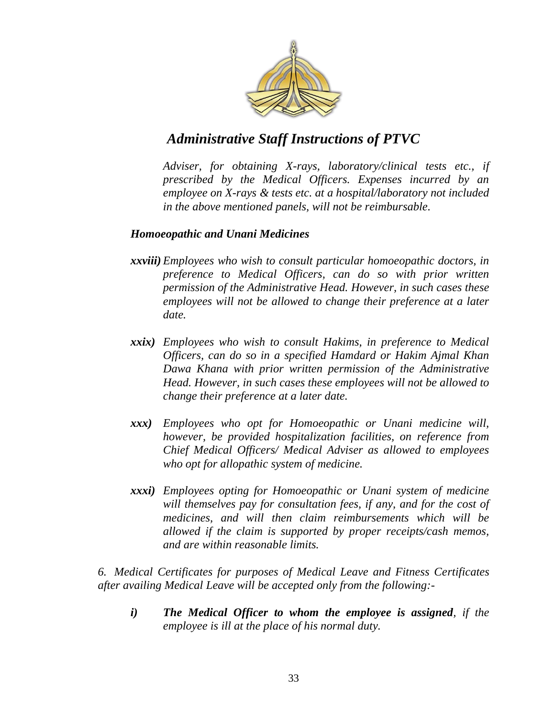

*Adviser, for obtaining X-rays, laboratory/clinical tests etc., if prescribed by the Medical Officers. Expenses incurred by an employee on X-rays & tests etc. at a hospital/laboratory not included in the above mentioned panels, will not be reimbursable.* 

#### *Homoeopathic and Unani Medicines*

- *xxviii) Employees who wish to consult particular homoeopathic doctors, in preference to Medical Officers, can do so with prior written permission of the Administrative Head. However, in such cases these employees will not be allowed to change their preference at a later date.*
- *xxix) Employees who wish to consult Hakims, in preference to Medical Officers, can do so in a specified Hamdard or Hakim Ajmal Khan Dawa Khana with prior written permission of the Administrative Head. However, in such cases these employees will not be allowed to change their preference at a later date.*
- *xxx) Employees who opt for Homoeopathic or Unani medicine will, however, be provided hospitalization facilities, on reference from Chief Medical Officers/ Medical Adviser as allowed to employees who opt for allopathic system of medicine.*
- *xxxi) Employees opting for Homoeopathic or Unani system of medicine will themselves pay for consultation fees, if any, and for the cost of medicines, and will then claim reimbursements which will be allowed if the claim is supported by proper receipts/cash memos, and are within reasonable limits.*

*6. Medical Certificates for purposes of Medical Leave and Fitness Certificates after availing Medical Leave will be accepted only from the following:-*

*i) The Medical Officer to whom the employee is assigned, if the employee is ill at the place of his normal duty.*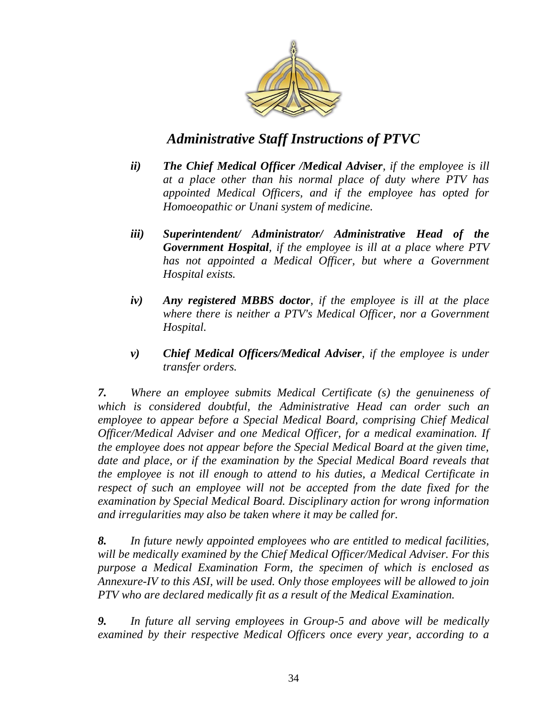

- *ii) The Chief Medical Officer /Medical Adviser, if the employee is ill at a place other than his normal place of duty where PTV has appointed Medical Officers, and if the employee has opted for Homoeopathic or Unani system of medicine.*
- *iii) Superintendent/ Administrator/ Administrative Head of the Government Hospital, if the employee is ill at a place where PTV has not appointed a Medical Officer, but where a Government Hospital exists.*
- *iv) Any registered MBBS doctor, if the employee is ill at the place where there is neither a PTV's Medical Officer, nor a Government Hospital.*
- *v) Chief Medical Officers/Medical Adviser, if the employee is under transfer orders.*

*7. Where an employee submits Medical Certificate (s) the genuineness of which is considered doubtful, the Administrative Head can order such an employee to appear before a Special Medical Board, comprising Chief Medical Officer/Medical Adviser and one Medical Officer, for a medical examination. If the employee does not appear before the Special Medical Board at the given time, date and place, or if the examination by the Special Medical Board reveals that the employee is not ill enough to attend to his duties, a Medical Certificate in respect of such an employee will not be accepted from the date fixed for the examination by Special Medical Board. Disciplinary action for wrong information and irregularities may also be taken where it may be called for.* 

*8. In future newly appointed employees who are entitled to medical facilities, will be medically examined by the Chief Medical Officer/Medical Adviser. For this purpose a Medical Examination Form, the specimen of which is enclosed as Annexure-IV to this ASI, will be used. Only those employees will be allowed to join PTV who are declared medically fit as a result of the Medical Examination.* 

*9. In future all serving employees in Group-5 and above will be medically examined by their respective Medical Officers once every year, according to a*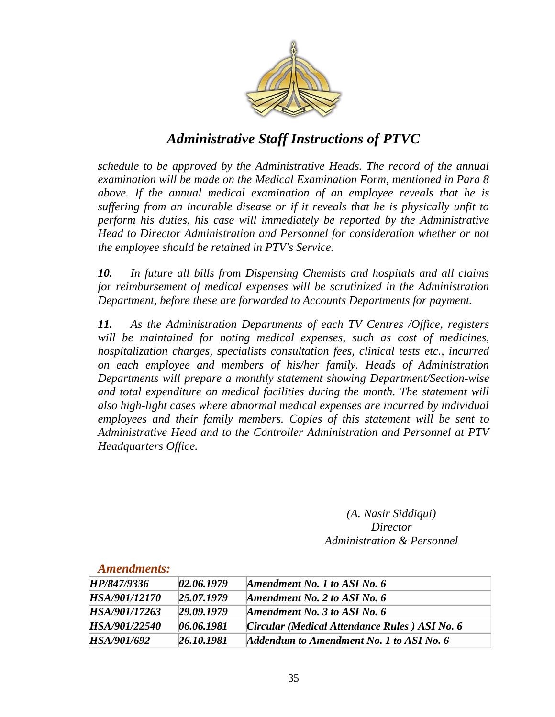

*schedule to be approved by the Administrative Heads. The record of the annual examination will be made on the Medical Examination Form, mentioned in Para 8 above. If the annual medical examination of an employee reveals that he is suffering from an incurable disease or if it reveals that he is physically unfit to perform his duties, his case will immediately be reported by the Administrative Head to Director Administration and Personnel for consideration whether or not the employee should be retained in PTV's Service.* 

*10. In future all bills from Dispensing Chemists and hospitals and all claims for reimbursement of medical expenses will be scrutinized in the Administration Department, before these are forwarded to Accounts Departments for payment.* 

*11. As the Administration Departments of each TV Centres /Office, registers will be maintained for noting medical expenses, such as cost of medicines, hospitalization charges, specialists consultation fees, clinical tests etc., incurred on each employee and members of his/her family. Heads of Administration Departments will prepare a monthly statement showing Department/Section-wise and total expenditure on medical facilities during the month. The statement will also high-light cases where abnormal medical expenses are incurred by individual employees and their family members. Copies of this statement will be sent to Administrative Head and to the Controller Administration and Personnel at PTV Headquarters Office.* 

> *(A. Nasir Siddiqui) Director Administration & Personnel*

| диненитених.  |            |                                               |
|---------------|------------|-----------------------------------------------|
| HP/847/9336   | 02.06.1979 | Amendment No. 1 to ASI No. 6                  |
| HSA/901/12170 | 25.07.1979 | Amendment No. 2 to ASI No. $6$                |
| HSA/901/17263 | 29.09.1979 | Amendment No. 3 to ASI No. $6$                |
| HSA/901/22540 | 06.06.1981 | Circular (Medical Attendance Rules) ASI No. 6 |
| HSA/901/692   | 26.10.1981 | Addendum to Amendment No. 1 to ASI No. 6      |

#### *Amendments:*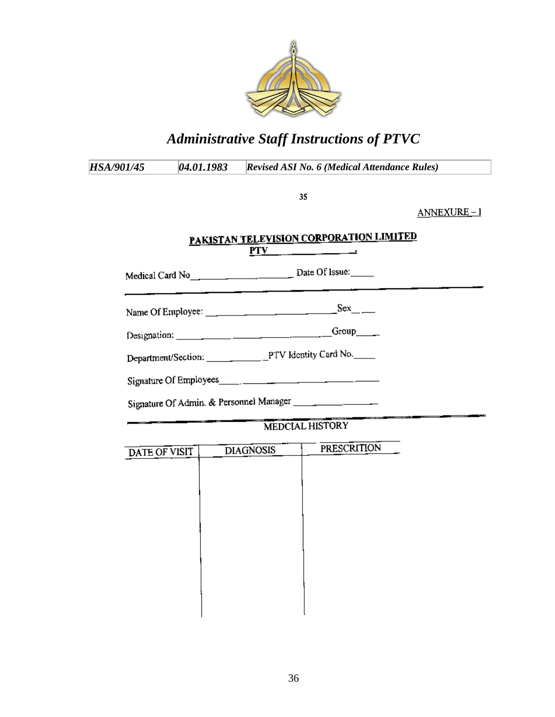

| <i>HSA/901/45</i> | 04.01.1983 | <b>Revised ASI No. 6 (Medical Attendance Rules)</b>                             |                                      |
|-------------------|------------|---------------------------------------------------------------------------------|--------------------------------------|
|                   |            | 35                                                                              |                                      |
|                   |            |                                                                                 | ANNEXURE-1                           |
|                   |            | PAKISTAN TELEVISION CORPORATION LIMITED<br>$PTV$ $\qquad \qquad \qquad$         |                                      |
|                   |            | Medical Card No <sub>_______________________________</sub> Date Of Issue:______ |                                      |
|                   |            |                                                                                 |                                      |
|                   |            | Group $\qquad$                                                                  |                                      |
|                   |            |                                                                                 |                                      |
|                   |            | Signature Of Employees                                                          |                                      |
|                   |            |                                                                                 |                                      |
|                   |            | MEDCIAL HISTORY                                                                 | a a component and a component of the |

| DATE OF VISIT | <b>DIAGNOSIS</b> | <b>PRESCRITION</b> |
|---------------|------------------|--------------------|
|               |                  |                    |
|               |                  |                    |
|               |                  |                    |
|               |                  |                    |
|               |                  |                    |
|               |                  |                    |
|               |                  |                    |
|               |                  |                    |
|               |                  |                    |
|               |                  |                    |
|               |                  |                    |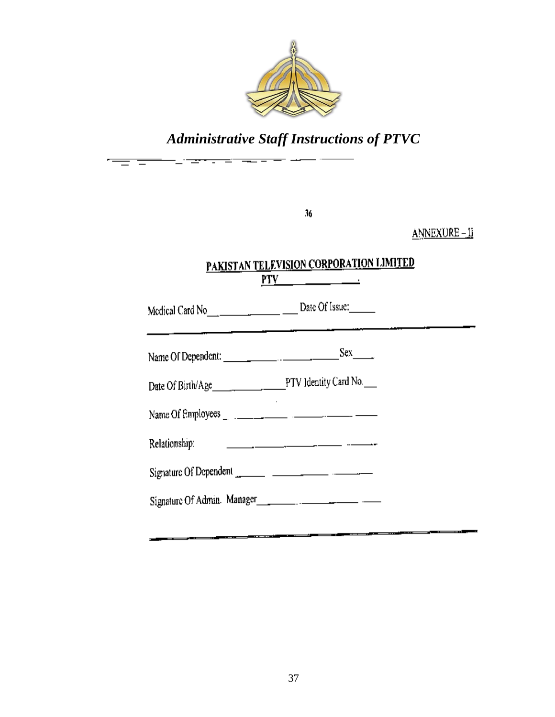

゠

|               | 36                                                       | <u> ANNEXURE – II</u> |
|---------------|----------------------------------------------------------|-----------------------|
|               | PAKISTAN TELEVISION CORPORATION LIMITED<br>$PTV$ and $T$ |                       |
|               |                                                          |                       |
|               |                                                          |                       |
|               |                                                          |                       |
|               |                                                          |                       |
| Relationship: |                                                          |                       |
|               |                                                          |                       |
|               |                                                          |                       |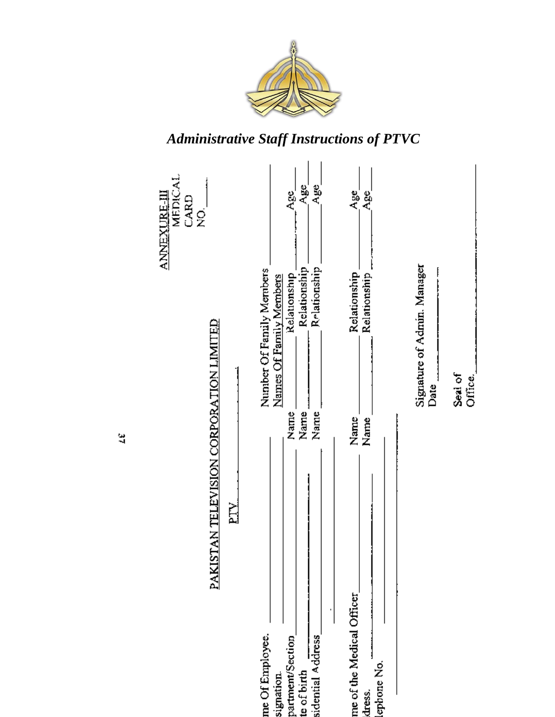



ă,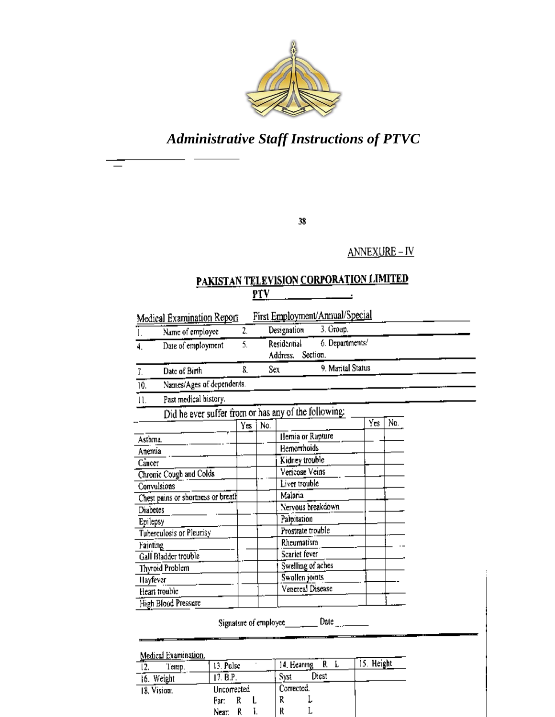

38

ANNEXURE-IV

#### PAKISTAN TELEVISION CORPORATION LIMITED  $PTV$

|          | Name of employee                                     | 2.  |     | 3. Group.<br>Designation                               |     |     |  |
|----------|------------------------------------------------------|-----|-----|--------------------------------------------------------|-----|-----|--|
| 4.       | Date of employment                                   | 5.  |     | 6. Departments/<br>Residential<br>Address.<br>Section. |     |     |  |
| 7.       | Date of Birth                                        | 8.  | Sex | 9. Marital Status                                      |     |     |  |
| 10.      | Names/Ages of dependents.                            |     |     |                                                        |     |     |  |
| 11.      | Past medical history.                                |     |     |                                                        |     |     |  |
|          | Did he ever suffer from or has any of the following: |     |     |                                                        |     |     |  |
|          |                                                      | Yes | No. |                                                        | Yes | No. |  |
| Asthma.  |                                                      |     |     | Hemia or Rupture                                       |     |     |  |
| Anemia   |                                                      |     |     | Hemorrhoids                                            |     |     |  |
| Cancer   |                                                      |     |     | Kidney trouble                                         |     |     |  |
|          | Chronic Cough and Colds                              |     |     | Vericose Veins                                         |     |     |  |
|          | Convulsions                                          |     |     | Liver trouble                                          |     |     |  |
|          | Chest pains or shortness or breath                   |     |     | Malaria                                                |     |     |  |
| Diabetes |                                                      |     |     | Nervous breakdown                                      |     |     |  |
| Epilepsy |                                                      |     |     | Palpitation                                            |     |     |  |
|          | Tuberculosis or Pleurisy                             |     |     | Prostrate trouble                                      |     |     |  |
| Fainting |                                                      |     |     | Rheumatism                                             |     |     |  |
|          | Gall Bladder trouble                                 |     |     | Scarlet fever                                          |     |     |  |
|          | Thyroid Problem                                      |     |     | Swelling of aches                                      |     |     |  |
| Hayfever |                                                      |     |     | Swollen joints                                         |     |     |  |
|          | Heart trouble                                        |     |     | Venereal Disease                                       |     |     |  |
|          | High Blood Pressure                                  |     |     |                                                        |     |     |  |

| Medical Examination. |             |               |                 |
|----------------------|-------------|---------------|-----------------|
| Temp.<br>2.          | 13. Pulsc   | 14. Hearing   | . Height<br>15. |
| 16. Weight           | 17. B.P.    | Diest<br>Syst |                 |
| 18. Vision:          | Uncorrected | Corrected.    |                 |
|                      | Far:        | R             |                 |
|                      | Near,       | ĸ             |                 |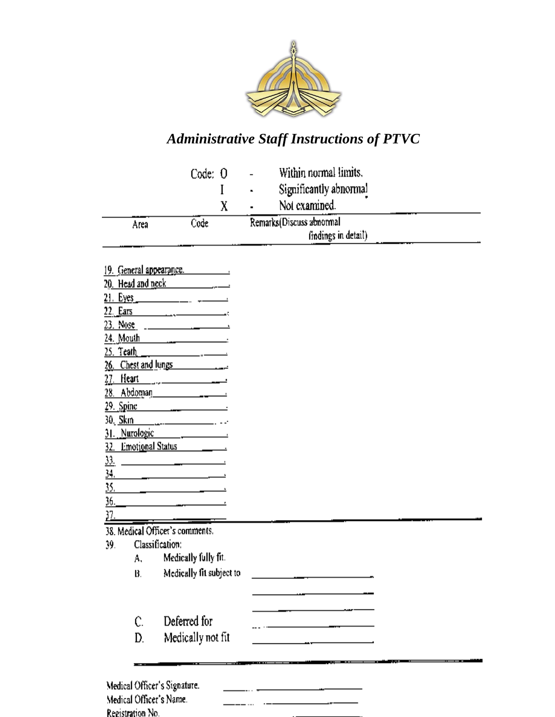

|      | Code: 0 | Within normal limits.<br>$\overline{\phantom{0}}$<br>Significantly abnormal<br>$\blacksquare$<br>Not examined. |
|------|---------|----------------------------------------------------------------------------------------------------------------|
| Area | Code    | Remarks (Discuss abnormal<br>findings in detail)<br>---                                                        |

19. General appearance.  $\overline{20. \text{ Head and neck}}$  $22.$  Ears  $\overline{\phantom{a}}$ 24. Mouth  $\frac{1}{2}$   $\frac{1}{2}$   $\frac{1}{2}$   $\frac{1}{2}$   $\frac{1}{2}$   $\frac{1}{2}$   $\frac{1}{2}$   $\frac{1}{2}$   $\frac{1}{2}$   $\frac{1}{2}$   $\frac{1}{2}$   $\frac{1}{2}$   $\frac{1}{2}$   $\frac{1}{2}$   $\frac{1}{2}$   $\frac{1}{2}$   $\frac{1}{2}$   $\frac{1}{2}$   $\frac{1}{2}$   $\frac{1}{2}$   $\frac{1}{2}$   $25.$  Teath  $\_\$  $-$ 26. Chest and lungs 27. Heart 28. Abdoman  $\overline{\phantom{a}1}$ 29. Spine 30. Skm 31. Nurologic 32. Emotional Status \_\_\_\_\_\_\_\_  $\frac{33}{2}$ 34. <u> 1990 - Jan Barbara Barat, p</u> 35. 36.  $\frac{37}{2}$ 38. Medical Officer's comments. Classification: 39. Medically fully fit. А. Medically fit subject to В.  $\overline{\phantom{a}}$ Deferred for Ċ. Medically not fit D. Medical Officer's Signature.  $\cdots$ Medical Officer's Name.  $=$   $\overline{\phantom{a}}$ 

Registration No.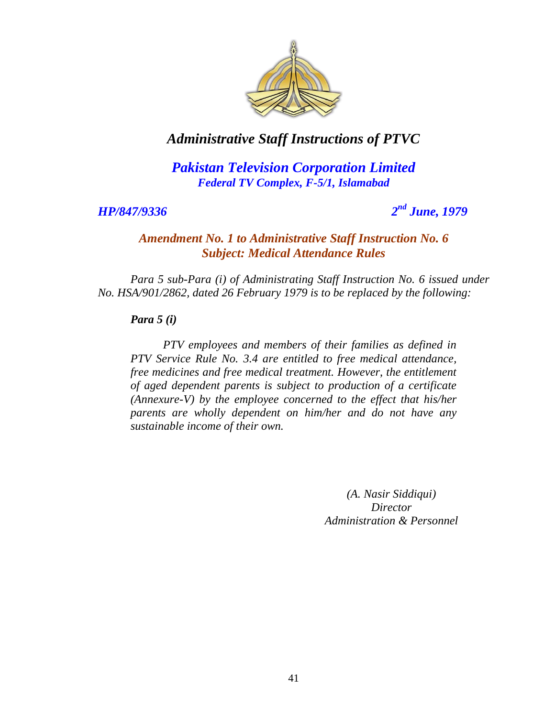

*Pakistan Television Corporation Limited Federal TV Complex, F-5/1, Islamabad*

*HP/847/9336 2*

### *nd June, 1979*

#### *Amendment No. 1 to Administrative Staff Instruction No. 6 Subject: Medical Attendance Rules*

*Para 5 sub-Para (i) of Administrating Staff Instruction No. 6 issued under No. HSA/901/2862, dated 26 February 1979 is to be replaced by the following:*

*Para 5 (i)*

*PTV employees and members of their families as defined in PTV Service Rule No. 3.4 are entitled to free medical attendance, free medicines and free medical treatment. However, the entitlement of aged dependent parents is subject to production of a certificate (Annexure-V) by the employee concerned to the effect that his/her parents are wholly dependent on him/her and do not have any sustainable income of their own.*

> *(A. Nasir Siddiqui) Director Administration & Personnel*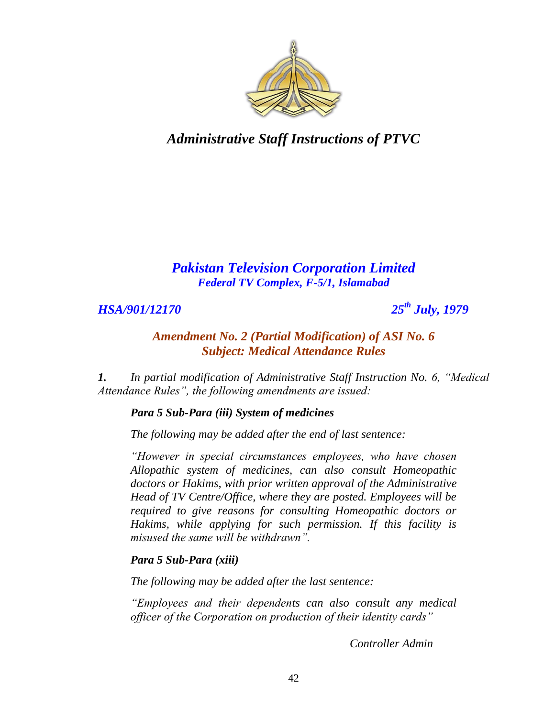

### *Pakistan Television Corporation Limited Federal TV Complex, F-5/1, Islamabad*

*HSA/901/12170 25th July, 1979*

#### *Amendment No. 2 (Partial Modification) of ASI No. 6 Subject: Medical Attendance Rules*

*1. In partial modification of Administrative Staff Instruction No. 6, "Medical Attendance Rules", the following amendments are issued:*

*Para 5 Sub-Para (iii) System of medicines*

*The following may be added after the end of last sentence:*

*"However in special circumstances employees, who have chosen Allopathic system of medicines, can also consult Homeopathic doctors or Hakims, with prior written approval of the Administrative Head of TV Centre/Office, where they are posted. Employees will be required to give reasons for consulting Homeopathic doctors or Hakims, while applying for such permission. If this facility is misused the same will be withdrawn".*

#### *Para 5 Sub-Para (xiii)*

*The following may be added after the last sentence:*

*"Employees and their dependents can also consult any medical officer of the Corporation on production of their identity cards"*

*Controller Admin*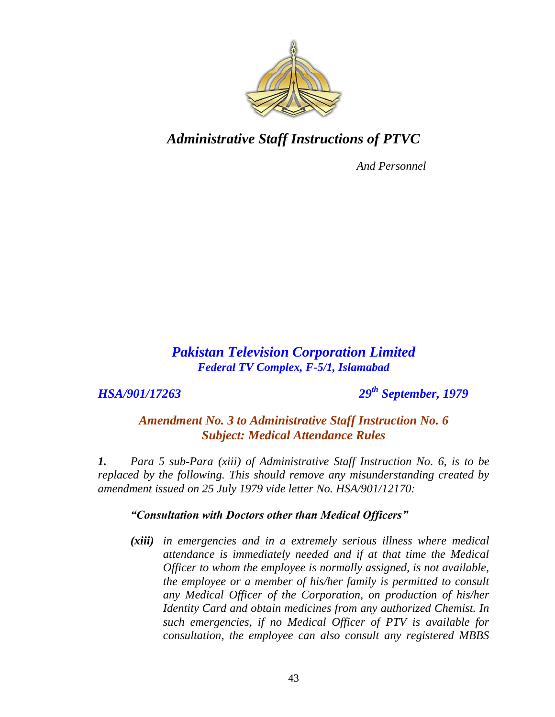

*And Personnel*

#### *Pakistan Television Corporation Limited Federal TV Complex, F-5/1, Islamabad*

*HSA/901/17263 29th September, 1979*

*Amendment No. 3 to Administrative Staff Instruction No. 6 Subject: Medical Attendance Rules*

*1. Para 5 sub-Para (xiii) of Administrative Staff Instruction No. 6, is to be replaced by the following. This should remove any misunderstanding created by amendment issued on 25 July 1979 vide letter No. HSA/901/12170:*

#### *"Consultation with Doctors other than Medical Officers"*

*(xiii) in emergencies and in a extremely serious illness where medical attendance is immediately needed and if at that time the Medical Officer to whom the employee is normally assigned, is not available, the employee or a member of his/her family is permitted to consult any Medical Officer of the Corporation, on production of his/her Identity Card and obtain medicines from any authorized Chemist. In such emergencies, if no Medical Officer of PTV is available for consultation, the employee can also consult any registered MBBS*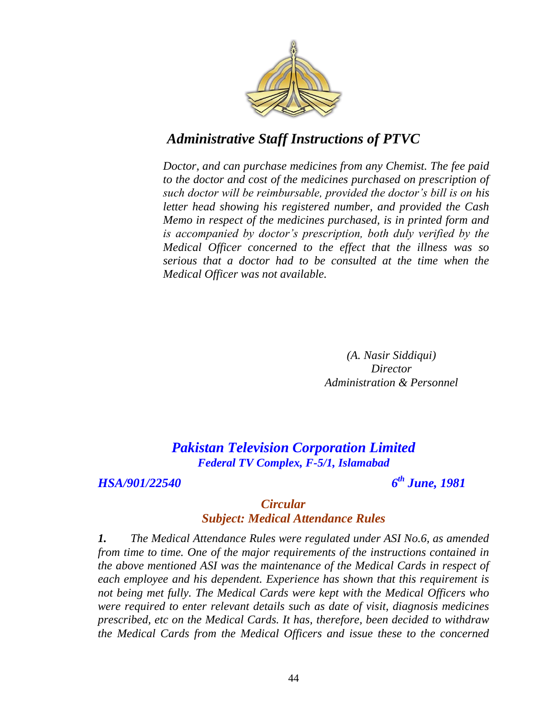

*Doctor, and can purchase medicines from any Chemist. The fee paid to the doctor and cost of the medicines purchased on prescription of such doctor will be reimbursable, provided the doctor"s bill is on his letter head showing his registered number, and provided the Cash Memo in respect of the medicines purchased, is in printed form and is accompanied by doctor"s prescription, both duly verified by the Medical Officer concerned to the effect that the illness was so serious that a doctor had to be consulted at the time when the Medical Officer was not available.*

> *(A. Nasir Siddiqui) Director Administration & Personnel*

*Pakistan Television Corporation Limited Federal TV Complex, F-5/1, Islamabad*

*HSA/901/22540 6*

*th June, 1981*

#### *Circular Subject: Medical Attendance Rules*

*1. The Medical Attendance Rules were regulated under ASI No.6, as amended from time to time. One of the major requirements of the instructions contained in the above mentioned ASI was the maintenance of the Medical Cards in respect of each employee and his dependent. Experience has shown that this requirement is not being met fully. The Medical Cards were kept with the Medical Officers who were required to enter relevant details such as date of visit, diagnosis medicines prescribed, etc on the Medical Cards. It has, therefore, been decided to withdraw the Medical Cards from the Medical Officers and issue these to the concerned*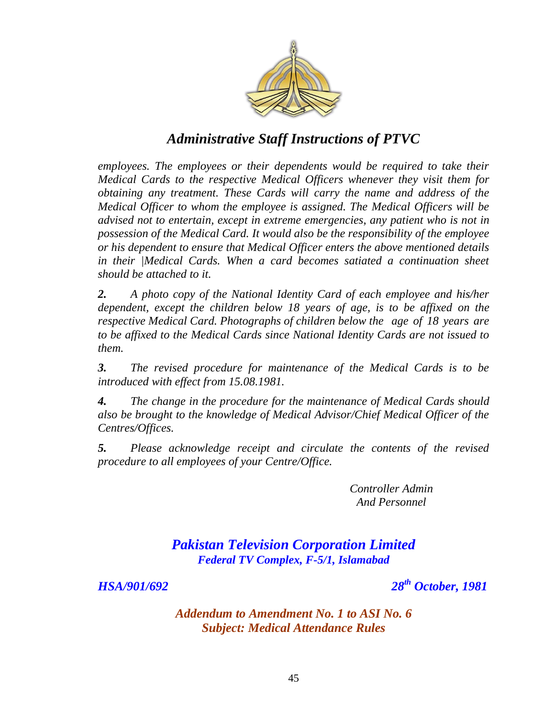

*employees. The employees or their dependents would be required to take their Medical Cards to the respective Medical Officers whenever they visit them for obtaining any treatment. These Cards will carry the name and address of the Medical Officer to whom the employee is assigned. The Medical Officers will be advised not to entertain, except in extreme emergencies, any patient who is not in possession of the Medical Card. It would also be the responsibility of the employee or his dependent to ensure that Medical Officer enters the above mentioned details in their |Medical Cards. When a card becomes satiated a continuation sheet should be attached to it.*

*2. A photo copy of the National Identity Card of each employee and his/her dependent, except the children below 18 years of age, is to be affixed on the respective Medical Card. Photographs of children below the age of 18 years are to be affixed to the Medical Cards since National Identity Cards are not issued to them.*

*3. The revised procedure for maintenance of the Medical Cards is to be introduced with effect from 15.08.1981.*

*4. The change in the procedure for the maintenance of Medical Cards should also be brought to the knowledge of Medical Advisor/Chief Medical Officer of the Centres/Offices.*

*5. Please acknowledge receipt and circulate the contents of the revised procedure to all employees of your Centre/Office.*

> *Controller Admin And Personnel*

*Pakistan Television Corporation Limited Federal TV Complex, F-5/1, Islamabad*

*HSA/901/692 28th October, 1981*

*Addendum to Amendment No. 1 to ASI No. 6 Subject: Medical Attendance Rules*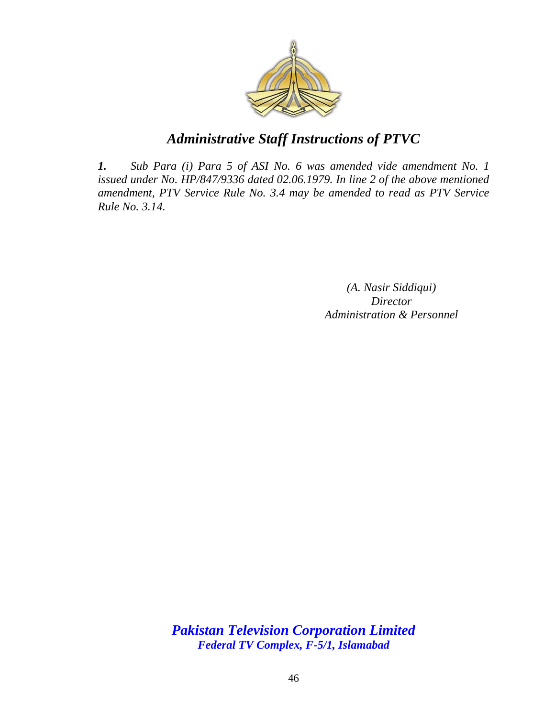

*1. Sub Para (i) Para 5 of ASI No. 6 was amended vide amendment No. 1 issued under No. HP/847/9336 dated 02.06.1979. In line 2 of the above mentioned amendment, PTV Service Rule No. 3.4 may be amended to read as PTV Service Rule No. 3.14.*

> *(A. Nasir Siddiqui) Director Administration & Personnel*

*Pakistan Television Corporation Limited Federal TV Complex, F-5/1, Islamabad*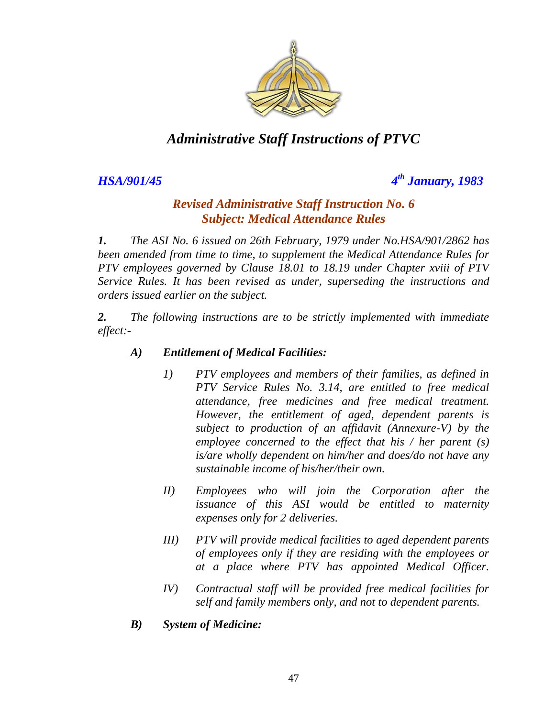

*HSA/901/45 4*

*th January, 1983*

#### *Revised Administrative Staff Instruction No. 6 Subject: Medical Attendance Rules*

*1. The ASI No. 6 issued on 26th February, 1979 under No.HSA/901/2862 has been amended from time to time, to supplement the Medical Attendance Rules for PTV employees governed by Clause 18.01 to 18.19 under Chapter xviii of PTV Service Rules. It has been revised as under, superseding the instructions and orders issued earlier on the subject.*

*2. The following instructions are to be strictly implemented with immediate effect:-*

#### *A) Entitlement of Medical Facilities:*

- *1) PTV employees and members of their families, as defined in PTV Service Rules No. 3.14, are entitled to free medical attendance, free medicines and free medical treatment. However, the entitlement of aged, dependent parents is subject to production of an affidavit (Annexure-V) by the employee concerned to the effect that his / her parent (s) is/are wholly dependent on him/her and does/do not have any sustainable income of his/her/their own.*
- *II) Employees who will join the Corporation after the issuance of this ASI would be entitled to maternity expenses only for 2 deliveries.*
- *III) PTV will provide medical facilities to aged dependent parents of employees only if they are residing with the employees or at a place where PTV has appointed Medical Officer.*
- *IV) Contractual staff will be provided free medical facilities for self and family members only, and not to dependent parents.*
- *B) System of Medicine:*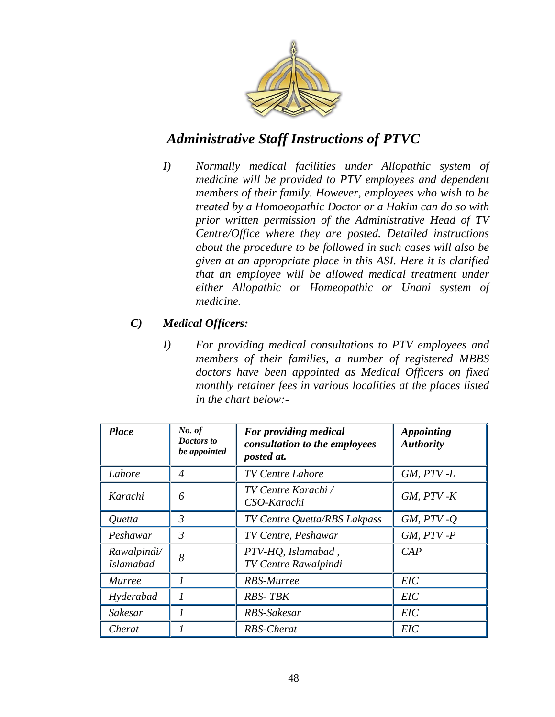

*I) Normally medical facilities under Allopathic system of medicine will be provided to PTV employees and dependent members of their family. However, employees who wish to be treated by a Homoeopathic Doctor or a Hakim can do so with prior written permission of the Administrative Head of TV Centre/Office where they are posted. Detailed instructions about the procedure to be followed in such cases will also be given at an appropriate place in this ASI. Here it is clarified that an employee will be allowed medical treatment under either Allopathic or Homeopathic or Unani system of medicine.* 

#### *C) Medical Officers:*

*I) For providing medical consultations to PTV employees and members of their families, a number of registered MBBS doctors have been appointed as Medical Officers on fixed monthly retainer fees in various localities at the places listed in the chart below:-*

| <b>Place</b>                    | No. of<br>For providing medical<br>Doctors to<br>consultation to the employees<br>be appointed<br>posted at. |                                                   | <b>Appointing</b><br><b>Authority</b> |
|---------------------------------|--------------------------------------------------------------------------------------------------------------|---------------------------------------------------|---------------------------------------|
| Lahore                          | 4                                                                                                            | <b>TV Centre Lahore</b>                           | $GM, PTV-L$                           |
| Karachi                         | 6                                                                                                            | TV Centre Karachi /<br>CSO-Karachi                | $GM, PTV - K$                         |
| <i>Ouetta</i>                   | $\mathfrak{Z}$                                                                                               | TV Centre Quetta/RBS Lakpass                      | $GM, PTV - Q$                         |
| Peshawar                        | 3                                                                                                            | TV Centre, Peshawar                               | $GM, PTV - P$                         |
| Rawalpindi/<br><b>Islamabad</b> | 8                                                                                                            | PTV-HQ, Islamabad,<br><b>TV Centre Rawalpindi</b> | CAP                                   |
| <i>Murree</i>                   |                                                                                                              | RBS-Murree                                        | <b>EIC</b>                            |
| Hyderabad                       |                                                                                                              | <b>RBS-TBK</b>                                    | <b>EIC</b>                            |
| Sakesar                         |                                                                                                              | RBS-Sakesar                                       | EIC                                   |
| Cherat                          |                                                                                                              | RBS-Cherat                                        | EIC                                   |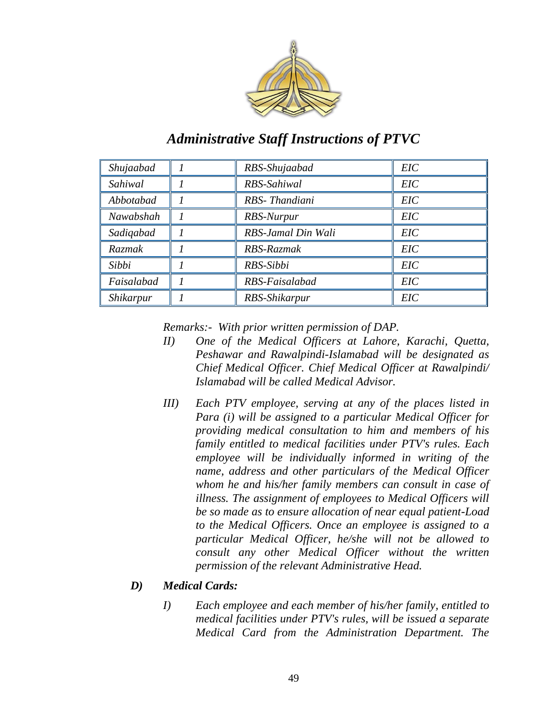

| Shujaabad  | RBS-Shujaabad      | <b>EIC</b> |
|------------|--------------------|------------|
| Sahiwal    | RBS-Sahiwal        | <b>EIC</b> |
| Abbotabad  | RBS-Thandiani      | <b>EIC</b> |
| Nawabshah  | RBS-Nurpur         | <b>EIC</b> |
| Sadigabad  | RBS-Jamal Din Wali | EIC        |
| Razmak     | RBS-Razmak         | <b>EIC</b> |
| Sibbi      | RBS-Sibbi          | <b>EIC</b> |
| Faisalabad | RBS-Faisalabad     | <b>EIC</b> |
| Shikarpur  | RBS-Shikarpur      | <b>EIC</b> |

*Remarks:- With prior written permission of DAP.*

- *II) One of the Medical Officers at Lahore, Karachi, Quetta, Peshawar and Rawalpindi-Islamabad will be designated as Chief Medical Officer. Chief Medical Officer at Rawalpindi/ Islamabad will be called Medical Advisor.*
- *III) Each PTV employee, serving at any of the places listed in Para (i) will be assigned to a particular Medical Officer for providing medical consultation to him and members of his family entitled to medical facilities under PTV's rules. Each employee will be individually informed in writing of the name, address and other particulars of the Medical Officer whom he and his/her family members can consult in case of illness. The assignment of employees to Medical Officers will be so made as to ensure allocation of near equal patient-Load to the Medical Officers. Once an employee is assigned to a particular Medical Officer, he/she will not be allowed to consult any other Medical Officer without the written permission of the relevant Administrative Head.*

#### *D) Medical Cards:*

*I) Each employee and each member of his/her family, entitled to medical facilities under PTV's rules, will be issued a separate Medical Card from the Administration Department. The*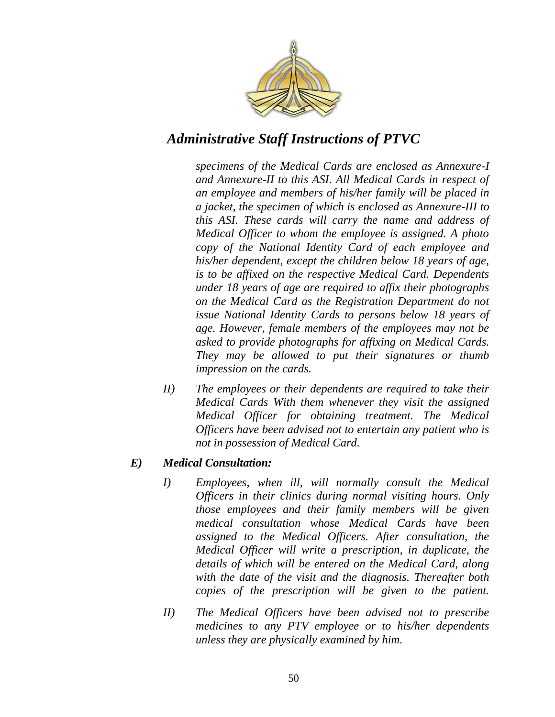

*specimens of the Medical Cards are enclosed as Annexure-I and Annexure-II to this ASI. All Medical Cards in respect of an employee and members of his/her family will be placed in a jacket, the specimen of which is enclosed as Annexure-III to this ASI. These cards will carry the name and address of Medical Officer to whom the employee is assigned. A photo copy of the National Identity Card of each employee and his/her dependent, except the children below 18 years of age, is to be affixed on the respective Medical Card. Dependents under 18 years of age are required to affix their photographs on the Medical Card as the Registration Department do not issue National Identity Cards to persons below 18 years of age. However, female members of the employees may not be asked to provide photographs for affixing on Medical Cards. They may be allowed to put their signatures or thumb impression on the cards.* 

*II) The employees or their dependents are required to take their Medical Cards With them whenever they visit the assigned Medical Officer for obtaining treatment. The Medical Officers have been advised not to entertain any patient who is not in possession of Medical Card.* 

#### *E) Medical Consultation:*

- *I) Employees, when ill, will normally consult the Medical Officers in their clinics during normal visiting hours. Only those employees and their family members will be given medical consultation whose Medical Cards have been assigned to the Medical Officers. After consultation, the Medical Officer will write a prescription, in duplicate, the details of which will be entered on the Medical Card, along with the date of the visit and the diagnosis. Thereafter both copies of the prescription will be given to the patient.*
- *II) The Medical Officers have been advised not to prescribe medicines to any PTV employee or to his/her dependents unless they are physically examined by him.*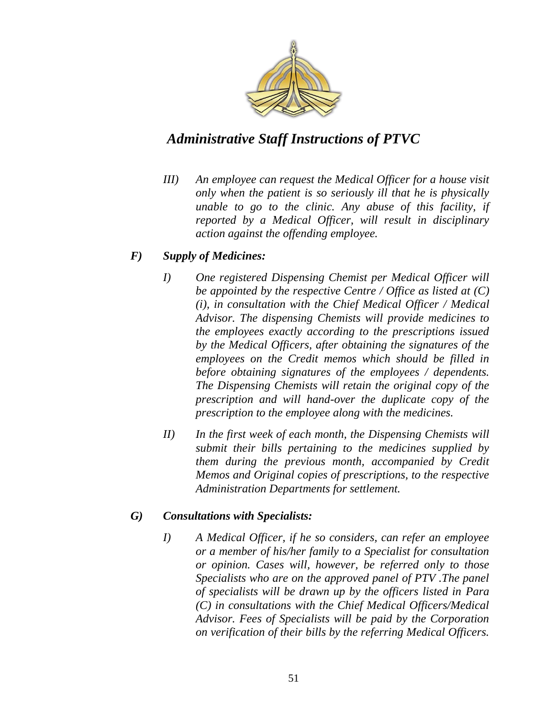

*III) An employee can request the Medical Officer for a house visit only when the patient is so seriously ill that he is physically unable to go to the clinic. Any abuse of this facility, if reported by a Medical Officer, will result in disciplinary action against the offending employee.* 

#### *F) Supply of Medicines:*

- *I) One registered Dispensing Chemist per Medical Officer will be appointed by the respective Centre / Office as listed at (C) (i), in consultation with the Chief Medical Officer / Medical Advisor. The dispensing Chemists will provide medicines to the employees exactly according to the prescriptions issued by the Medical Officers, after obtaining the signatures of the employees on the Credit memos which should be filled in before obtaining signatures of the employees / dependents. The Dispensing Chemists will retain the original copy of the prescription and will hand-over the duplicate copy of the prescription to the employee along with the medicines.*
- *II) In the first week of each month, the Dispensing Chemists will submit their bills pertaining to the medicines supplied by them during the previous month, accompanied by Credit Memos and Original copies of prescriptions, to the respective Administration Departments for settlement.*

#### *G) Consultations with Specialists:*

*I) A Medical Officer, if he so considers, can refer an employee or a member of his/her family to a Specialist for consultation or opinion. Cases will, however, be referred only to those Specialists who are on the approved panel of PTV .The panel of specialists will be drawn up by the officers listed in Para (C) in consultations with the Chief Medical Officers/Medical Advisor. Fees of Specialists will be paid by the Corporation on verification of their bills by the referring Medical Officers.*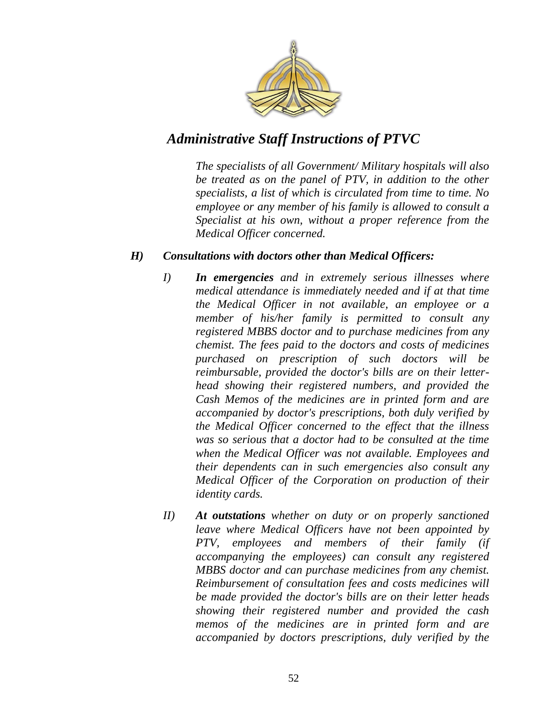

*The specialists of all Government/ Military hospitals will also be treated as on the panel of PTV, in addition to the other specialists, a list of which is circulated from time to time. No employee or any member of his family is allowed to consult a Specialist at his own, without a proper reference from the Medical Officer concerned.* 

#### *H) Consultations with doctors other than Medical Officers:*

- *I) In emergencies and in extremely serious illnesses where medical attendance is immediately needed and if at that time the Medical Officer in not available, an employee or a member of his/her family is permitted to consult any registered MBBS doctor and to purchase medicines from any chemist. The fees paid to the doctors and costs of medicines purchased on prescription of such doctors will be reimbursable, provided the doctor's bills are on their letterhead showing their registered numbers, and provided the Cash Memos of the medicines are in printed form and are accompanied by doctor's prescriptions, both duly verified by the Medical Officer concerned to the effect that the illness was so serious that a doctor had to be consulted at the time when the Medical Officer was not available. Employees and their dependents can in such emergencies also consult any Medical Officer of the Corporation on production of their identity cards.*
- *II) At outstations whether on duty or on properly sanctioned leave where Medical Officers have not been appointed by PTV, employees and members of their family (if accompanying the employees) can consult any registered MBBS doctor and can purchase medicines from any chemist. Reimbursement of consultation fees and costs medicines will be made provided the doctor's bills are on their letter heads showing their registered number and provided the cash memos of the medicines are in printed form and are accompanied by doctors prescriptions, duly verified by the*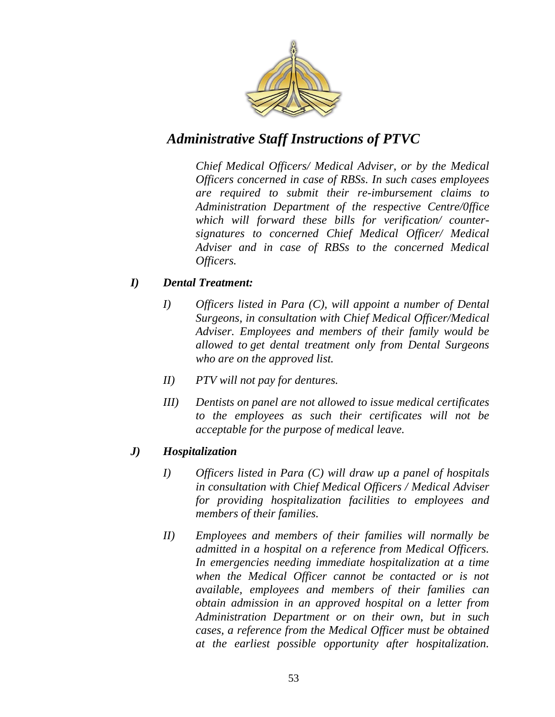

*Chief Medical Officers/ Medical Adviser, or by the Medical Officers concerned in case of RBSs. In such cases employees are required to submit their re-imbursement claims to Administration Department of the respective Centre/0ffice which will forward these bills for verification/ countersignatures to concerned Chief Medical Officer/ Medical Adviser and in case of RBSs to the concerned Medical Officers.*

#### *I) Dental Treatment:*

- *I) Officers listed in Para (C), will appoint a number of Dental Surgeons, in consultation with Chief Medical Officer/Medical Adviser. Employees and members of their family would be allowed to get dental treatment only from Dental Surgeons who are on the approved list.*
- *II) PTV will not pay for dentures.*
- *III) Dentists on panel are not allowed to issue medical certificates to the employees as such their certificates will not be acceptable for the purpose of medical leave.*

#### *J) Hospitalization*

- *I) Officers listed in Para (C) will draw up a panel of hospitals in consultation with Chief Medical Officers / Medical Adviser for providing hospitalization facilities to employees and members of their families.*
- *II) Employees and members of their families will normally be admitted in a hospital on a reference from Medical Officers. In emergencies needing immediate hospitalization at a time when the Medical Officer cannot be contacted or is not available, employees and members of their families can obtain admission in an approved hospital on a letter from Administration Department or on their own, but in such cases, a reference from the Medical Officer must be obtained at the earliest possible opportunity after hospitalization.*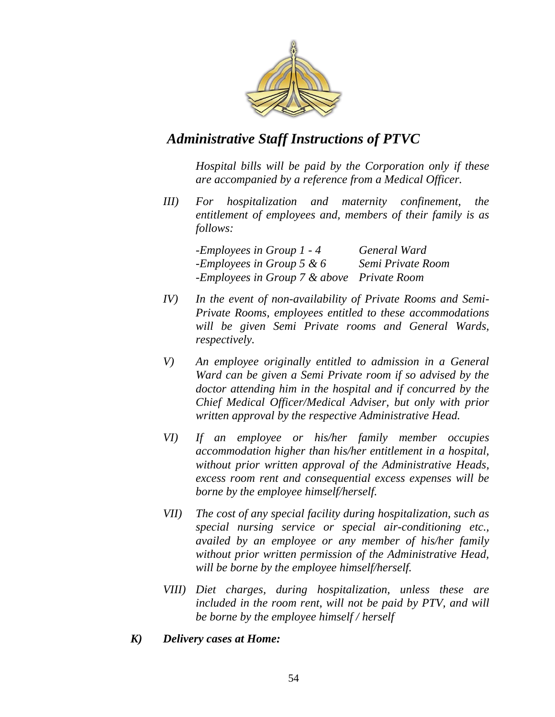

*Hospital bills will be paid by the Corporation only if these are accompanied by a reference from a Medical Officer.* 

*III) For hospitalization and maternity confinement, the entitlement of employees and, members of their family is as follows:*

| -Employees in Group $1 - 4$                | General Ward      |
|--------------------------------------------|-------------------|
| -Employees in Group 5 & $6$                | Semi Private Room |
| -Employees in Group 7 & above Private Room |                   |

- *IV) In the event of non-availability of Private Rooms and Semi-Private Rooms, employees entitled to these accommodations will be given Semi Private rooms and General Wards, respectively.*
- *V) An employee originally entitled to admission in a General Ward can be given a Semi Private room if so advised by the doctor attending him in the hospital and if concurred by the Chief Medical Officer/Medical Adviser, but only with prior written approval by the respective Administrative Head.*
- *VI) If an employee or his/her family member occupies accommodation higher than his/her entitlement in a hospital, without prior written approval of the Administrative Heads, excess room rent and consequential excess expenses will be borne by the employee himself/herself.*
- *VII) The cost of any special facility during hospitalization, such as special nursing service or special air-conditioning etc., availed by an employee or any member of his/her family without prior written permission of the Administrative Head, will be borne by the employee himself/herself.*
- *VIII) Diet charges, during hospitalization, unless these are included in the room rent, will not be paid by PTV, and will be borne by the employee himself / herself*
- *K) Delivery cases at Home:*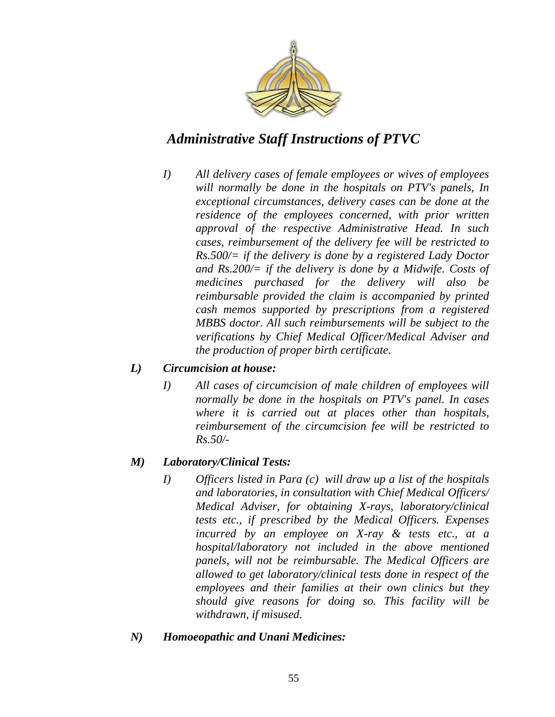

*I) All delivery cases of female employees or wives of employees will normally be done in the hospitals on PTV's panels, In exceptional circumstances, delivery cases can be done at the residence of the employees concerned, with prior written approval of the respective Administrative Head. In such cases, reimbursement of the delivery fee will be restricted to Rs.500/= if the delivery is done by a registered Lady Doctor and Rs.200/= if the delivery is done by a Midwife. Costs of medicines purchased for the delivery will also be reimbursable provided the claim is accompanied by printed cash memos supported by prescriptions from a registered MBBS doctor. All such reimbursements will be subject to the verifications by Chief Medical Officer/Medical Adviser and the production of proper birth certificate.* 

#### *L) Circumcision at house:*

*I) All cases of circumcision of male children of employees will normally be done in the hospitals on PTV's panel. In cases where it is carried out at places other than hospitals, reimbursement of the circumcision fee will be restricted to Rs.50/-*

#### *M) Laboratory/Clinical Tests:*

- *I) Officers listed in Para (c) will draw up a list of the hospitals and laboratories, in consultation with Chief Medical Officers/ Medical Adviser, for obtaining X-rays, laboratory/clinical tests etc., if prescribed by the Medical Officers. Expenses incurred by an employee on X-ray & tests etc., at a hospital/laboratory not included in the above mentioned panels, will not be reimbursable. The Medical Officers are allowed to get laboratory/clinical tests done in respect of the employees and their families at their own clinics but they should give reasons for doing so. This facility will be withdrawn, if misused.*
- *N) Homoeopathic and Unani Medicines:*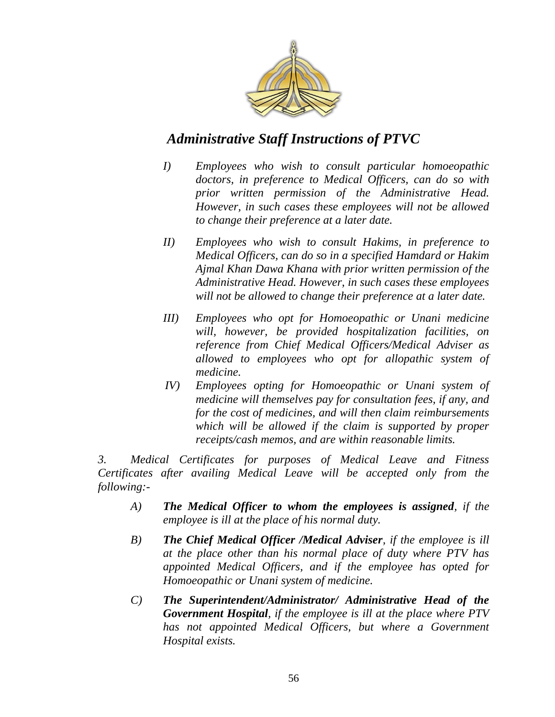

- *I) Employees who wish to consult particular homoeopathic doctors, in preference to Medical Officers, can do so with prior written permission of the Administrative Head. However, in such cases these employees will not be allowed to change their preference at a later date.*
- *II) Employees who wish to consult Hakims, in preference to Medical Officers, can do so in a specified Hamdard or Hakim Ajmal Khan Dawa Khana with prior written permission of the Administrative Head. However, in such cases these employees will not be allowed to change their preference at a later date.*
- *III) Employees who opt for Homoeopathic or Unani medicine will, however, be provided hospitalization facilities, on reference from Chief Medical Officers/Medical Adviser as allowed to employees who opt for allopathic system of medicine.*
- *IV) Employees opting for Homoeopathic or Unani system of medicine will themselves pay for consultation fees, if any, and for the cost of medicines, and will then claim reimbursements which will be allowed if the claim is supported by proper receipts/cash memos, and are within reasonable limits.*

*3. Medical Certificates for purposes of Medical Leave and Fitness Certificates after availing Medical Leave will be accepted only from the following:-*

- *A) The Medical Officer to whom the employees is assigned, if the employee is ill at the place of his normal duty.*
- *B) The Chief Medical Officer /Medical Adviser, if the employee is ill at the place other than his normal place of duty where PTV has appointed Medical Officers, and if the employee has opted for Homoeopathic or Unani system of medicine.*
- *C) The Superintendent/Administrator/ Administrative Head of the Government Hospital, if the employee is ill at the place where PTV has not appointed Medical Officers, but where a Government Hospital exists.*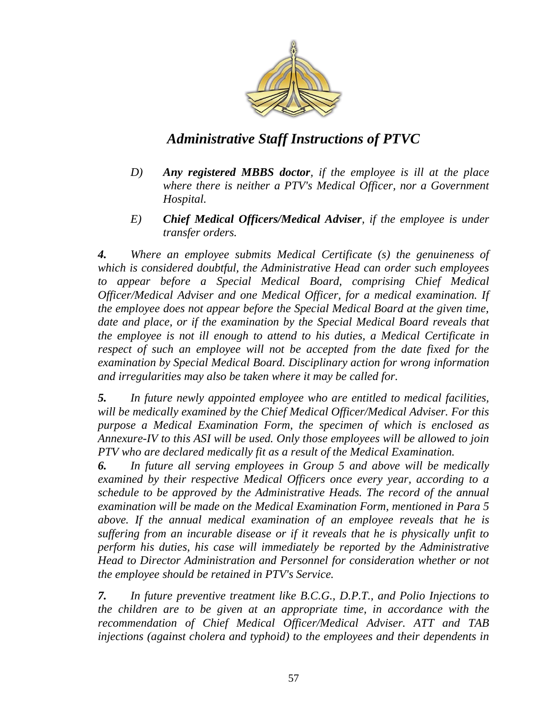

- *D) Any registered MBBS doctor, if the employee is ill at the place where there is neither a PTV's Medical Officer, nor a Government Hospital.*
- *E) Chief Medical Officers/Medical Adviser, if the employee is under transfer orders.*

*4. Where an employee submits Medical Certificate (s) the genuineness of which is considered doubtful, the Administrative Head can order such employees to appear before a Special Medical Board, comprising Chief Medical Officer/Medical Adviser and one Medical Officer, for a medical examination. If the employee does not appear before the Special Medical Board at the given time, date and place, or if the examination by the Special Medical Board reveals that the employee is not ill enough to attend to his duties, a Medical Certificate in respect of such an employee will not be accepted from the date fixed for the examination by Special Medical Board. Disciplinary action for wrong information and irregularities may also be taken where it may be called for.* 

*5. In future newly appointed employee who are entitled to medical facilities, will be medically examined by the Chief Medical Officer/Medical Adviser. For this purpose a Medical Examination Form, the specimen of which is enclosed as Annexure-IV to this ASI will be used. Only those employees will be allowed to join PTV who are declared medically fit as a result of the Medical Examination.* 

*6. In future all serving employees in Group 5 and above will be medically examined by their respective Medical Officers once every year, according to a schedule to be approved by the Administrative Heads. The record of the annual examination will be made on the Medical Examination Form, mentioned in Para 5 above. If the annual medical examination of an employee reveals that he is suffering from an incurable disease or if it reveals that he is physically unfit to perform his duties, his case will immediately be reported by the Administrative Head to Director Administration and Personnel for consideration whether or not the employee should be retained in PTV's Service.* 

*7. In future preventive treatment like B.C.G., D.P.T., and Polio Injections to the children are to be given at an appropriate time, in accordance with the recommendation of Chief Medical Officer/Medical Adviser. ATT and TAB injections (against cholera and typhoid) to the employees and their dependents in*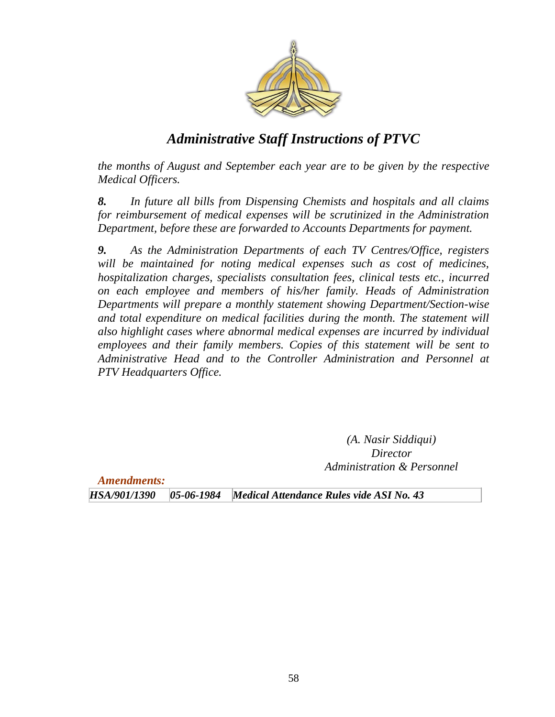

*the months of August and September each year are to be given by the respective Medical Officers.* 

*8. In future all bills from Dispensing Chemists and hospitals and all claims for reimbursement of medical expenses will be scrutinized in the Administration Department, before these are forwarded to Accounts Departments for payment.* 

*9. As the Administration Departments of each TV Centres/Office, registers will be maintained for noting medical expenses such as cost of medicines, hospitalization charges, specialists consultation fees, clinical tests etc., incurred on each employee and members of his/her family. Heads of Administration Departments will prepare a monthly statement showing Department/Section-wise and total expenditure on medical facilities during the month. The statement will also highlight cases where abnormal medical expenses are incurred by individual employees and their family members. Copies of this statement will be sent to Administrative Head and to the Controller Administration and Personnel at PTV Headquarters Office.*

> *(A. Nasir Siddiqui) Director Administration & Personnel*

*Amendments:*

*HSA/901/1390 05-06-1984 Medical Attendance Rules vide ASI No. 43*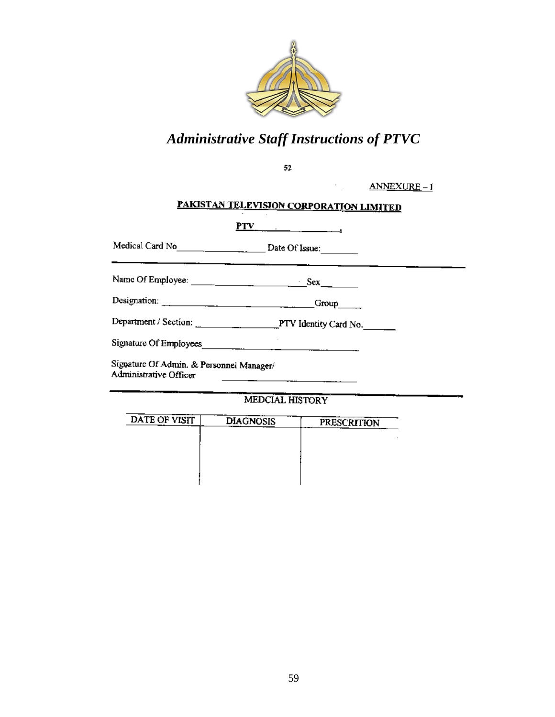

 $52\,$ 

 $ANNEXURE - 1$ 

# PAKISTAN TELEVISION CORPORATION LIMITED

 $\mathcal{C}_{\mathcal{A}}$ 

| PTV                                                                | $\frac{1}{2}$ . The contract of the contract of the contract of the contract of the contract of the contract of the contract of the contract of the contract of the contract of the contract of the contract of the contract of t |
|--------------------------------------------------------------------|-----------------------------------------------------------------------------------------------------------------------------------------------------------------------------------------------------------------------------------|
|                                                                    |                                                                                                                                                                                                                                   |
|                                                                    |                                                                                                                                                                                                                                   |
|                                                                    | $Group$ <sub>____</sub>                                                                                                                                                                                                           |
|                                                                    |                                                                                                                                                                                                                                   |
| Signature Of Employees                                             |                                                                                                                                                                                                                                   |
| Signature Of Admin. & Personnel Manager/<br>Administrative Officer |                                                                                                                                                                                                                                   |

MEDCIAL HISTORY

| DATE OF VISIT | <b>DIAGNOSIS</b> | <b>PRESCRITION</b> |
|---------------|------------------|--------------------|
|               |                  |                    |
|               |                  |                    |
|               |                  |                    |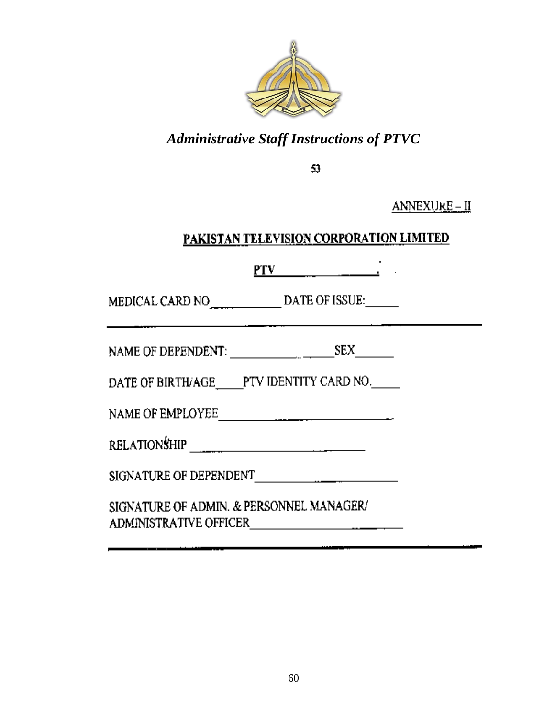

53.

ANNEXU<u>re – II</u>

### PAKISTAN TELEVISION CORPORATION LIMITED

 $PTV$ 

DATE OF BIRTH/AGE\_\_\_\_\_PTV IDENTITY CARD NO.

| <b>RELATIONSHIP</b> |  |
|---------------------|--|
|                     |  |

SIGNATURE OF ADMIN. & PERSONNEL MANAGER/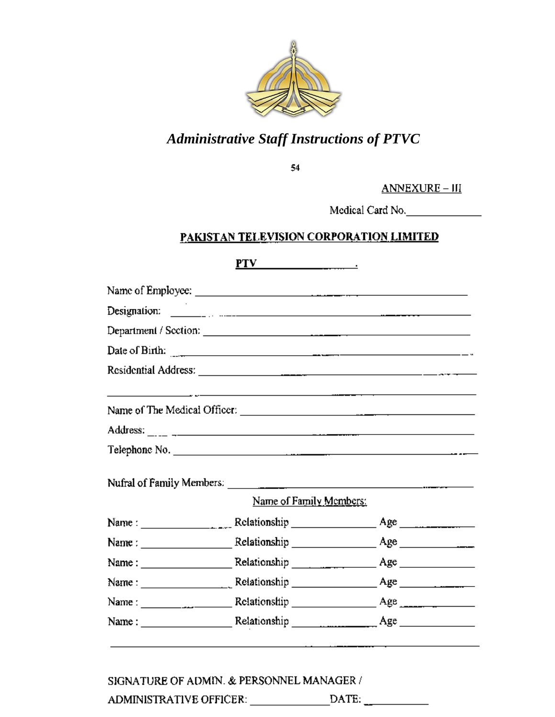

54

ANNEXURE - III

Medical Card No.

#### PAKISTAN TELEVISION CORPORATION LIMITED

| PTV<br>the contract of the contract of the                                                                                                                                                        |                                                                                                                       |
|---------------------------------------------------------------------------------------------------------------------------------------------------------------------------------------------------|-----------------------------------------------------------------------------------------------------------------------|
|                                                                                                                                                                                                   |                                                                                                                       |
|                                                                                                                                                                                                   |                                                                                                                       |
|                                                                                                                                                                                                   |                                                                                                                       |
| Date of Birth: $\frac{1}{2}$                                                                                                                                                                      |                                                                                                                       |
|                                                                                                                                                                                                   |                                                                                                                       |
|                                                                                                                                                                                                   | <u> 1980 - Jan Barat, amerikan bahasa perang di sebagai perang berakhir perang berakhir perang di sebagai perang </u> |
|                                                                                                                                                                                                   |                                                                                                                       |
| Telephone No.                                                                                                                                                                                     |                                                                                                                       |
|                                                                                                                                                                                                   |                                                                                                                       |
| Name of Family Members:                                                                                                                                                                           |                                                                                                                       |
| Name: $\frac{1}{\sqrt{1-\frac{1}{2}}}\left[\frac{1}{2}\right]$ Relationship $\frac{1}{\sqrt{1-\frac{1}{2}}}\left[\frac{1}{2}\right]$ Age $\frac{1}{\sqrt{1-\frac{1}{2}}}\left[\frac{1}{2}\right]$ |                                                                                                                       |
|                                                                                                                                                                                                   |                                                                                                                       |
|                                                                                                                                                                                                   |                                                                                                                       |
|                                                                                                                                                                                                   |                                                                                                                       |
|                                                                                                                                                                                                   |                                                                                                                       |
|                                                                                                                                                                                                   |                                                                                                                       |

SIGNATURE OF ADMIN. & PERSONNEL MANAGER / ADMINISTRATIVE OFFICER: \_\_\_\_\_\_\_\_\_\_\_\_\_\_\_\_DATE: \_\_\_\_\_\_\_\_\_\_\_\_\_\_\_\_\_\_\_\_\_\_\_\_\_\_\_\_\_\_\_\_\_\_\_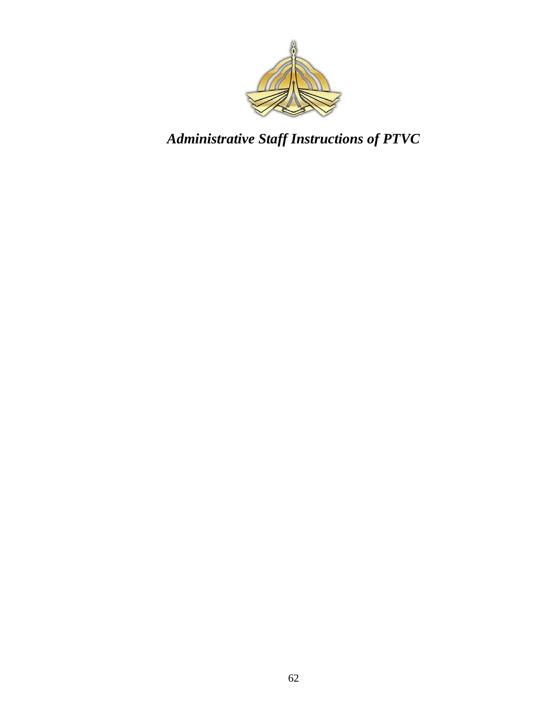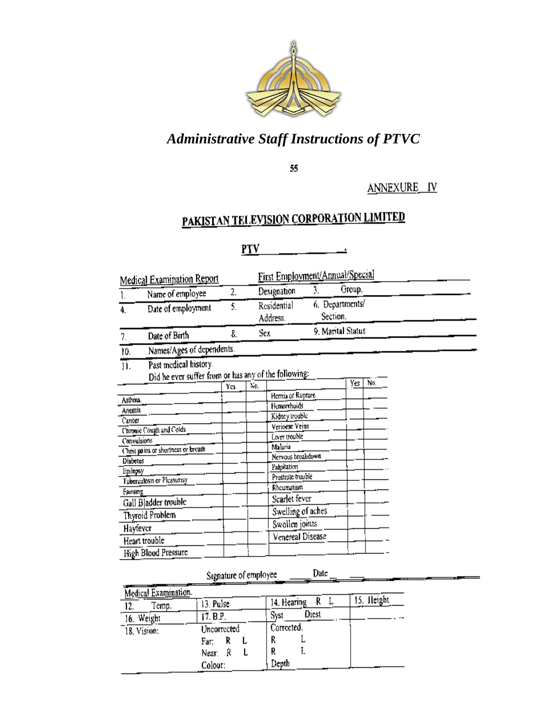

55

ANNEXURE IV

# PAKISTAN TELEVISION CORPORATION LIMITED

#### $PTV$ Ŀ

|             | Medical Examination Report                                                    |     |     | First Employment/Annual/Special  |                             |     |
|-------------|-------------------------------------------------------------------------------|-----|-----|----------------------------------|-----------------------------|-----|
|             | Name of employee                                                              | 2.  |     | Designation                      | Group.                      |     |
| 4.          | Date of employment                                                            | 5.  |     | Residential<br>Address.          | 6. Departments/<br>Section. |     |
| 7.          | Date of Birth                                                                 | 8.  |     | Sex                              | 9. Marital Status           |     |
| 10.         | Names/Ages of dependents.                                                     |     |     |                                  |                             |     |
| 11.         | Past medical history.<br>Did he ever suffer from or has any of the following: |     |     |                                  |                             |     |
|             |                                                                               | Yes | No. |                                  | Yes                         | No. |
| Asthma.     |                                                                               |     |     | Hernia or Rupture                |                             |     |
| Anemia      |                                                                               |     |     | Hemorrhoids                      |                             |     |
| Cancer      |                                                                               |     |     | Kidney trouble                   |                             |     |
|             | Chronic Cough and Colds                                                       |     |     | Verioese Veins                   |                             |     |
| Convulsions |                                                                               |     |     | Liver trouble                    |                             |     |
|             | Chest pains or shortness or breath                                            |     |     | Malaria                          |                             |     |
| Diabetes    |                                                                               |     |     | Nervous hreakdown                |                             |     |
| Lpilepsy    |                                                                               |     |     | Palpitation<br>Prostrate trouble |                             |     |
|             | Tuberculosis or Pleasurisy                                                    |     |     | Rheumatism                       |                             |     |
| Farnsing    |                                                                               |     |     |                                  |                             |     |
|             | Gall Bladder trouble                                                          |     |     | Scarlet fever                    |                             |     |
|             | Thyroid Problem                                                               |     |     | Swelling of aches                |                             |     |
| Hayfever    |                                                                               |     |     | Swollen joints                   |                             |     |
|             | Heart trouble                                                                 |     |     | Venereal Disease                 |                             |     |
|             | High Blood Pressure                                                           |     |     |                                  |                             |     |

Date

#### Signature of employee

| Medical Examination. |             |               |            |
|----------------------|-------------|---------------|------------|
| Temp.<br>12.         | 13. Pulse   | 14. Hearing   | 15. Height |
| 16. Weight           | 17. B.P.    | Diest<br>Syst |            |
| 18. Vision:          | Uncorrected | Corrected.    |            |
|                      | Fат:        |               |            |
|                      | Near:<br>R  |               |            |
|                      | Colour:     | Depth         |            |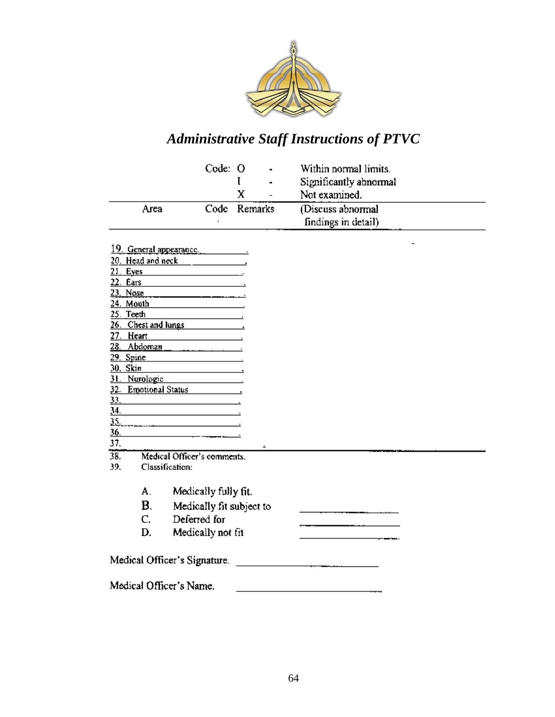

|      | Code: O | $\blacksquare$ | Within normal limits.  |
|------|---------|----------------|------------------------|
|      |         | $\blacksquare$ | Significantly abnormal |
|      |         |                | Not examined.          |
| Area |         | Code Remarks   | (Discuss abnormal      |
|      |         |                | findings in detail)    |

| <u>19. General appearance</u>                                                                                                        | $\overline{\phantom{0}}$ |
|--------------------------------------------------------------------------------------------------------------------------------------|--------------------------|
| Head and neck head of the state of the state of the state of the state of the state of the state of the state o<br>20.               |                          |
| 21.<br>Eyes<br><u> 1980 - Andrea Andrew Maria III, prima postala prima prima prima prima prima prima prima prima prima prima pri</u> |                          |
| 22.<br>Ears                                                                                                                          |                          |
| Nose<br>73                                                                                                                           |                          |
| Mouth<br>24.                                                                                                                         |                          |
| 25. Teeth                                                                                                                            |                          |
| 26. Chest and lungs                                                                                                                  |                          |
| 27. Heart<br>the control of the control of the control of                                                                            |                          |
| $Abdoman$ $\qquad \qquad \ldots \qquad \qquad$<br>28.                                                                                |                          |
| <u>29. Spine</u>                                                                                                                     |                          |
| 30. Skin<br><b>Contract Contract Contract Contract</b>                                                                               |                          |
| 31. Nurologie                                                                                                                        |                          |
| 32. Emotional Status 1997.                                                                                                           |                          |
| <u>33.</u><br><u> 1989 - Johann Barbara, martxa al III-lea (h. 1974).</u><br><u>34.</u>                                              |                          |
| the control of the control of the control of the control of the control of                                                           |                          |
| 35.<br><u>36.</u>                                                                                                                    |                          |
| 37.                                                                                                                                  |                          |
| $\hat{\phantom{a}}$<br>38.<br>Medical Officer's comments.                                                                            |                          |
| 39.<br>Classification:                                                                                                               |                          |
|                                                                                                                                      |                          |
| A.<br>Medically fully fit.                                                                                                           |                          |
| B.<br>Medically fit subject to                                                                                                       |                          |
| Deferred for<br>C.                                                                                                                   |                          |
|                                                                                                                                      |                          |
| Medically not fit<br>D.                                                                                                              |                          |
|                                                                                                                                      |                          |
| Medical Officer's Signature.                                                                                                         |                          |
|                                                                                                                                      |                          |
| Medical Officer's Name.                                                                                                              |                          |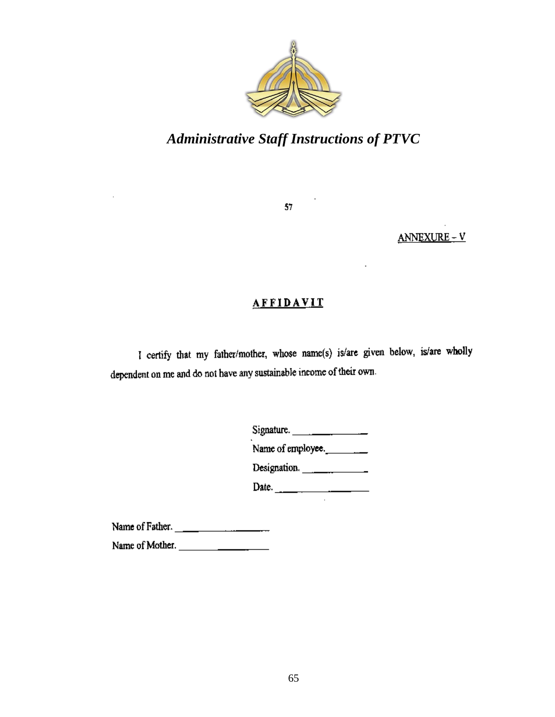

57

ANNEXURE-V

#### **AFFIDAVIT**

I certify that my father/mother, whose name(s) is/are given below, is/are wholly dependent on me and do not have any sustainable income of their own.

| Signature.        |
|-------------------|
| Name of employee. |
| Designation.      |
| Date.             |

Name of Father.

Name of Mother.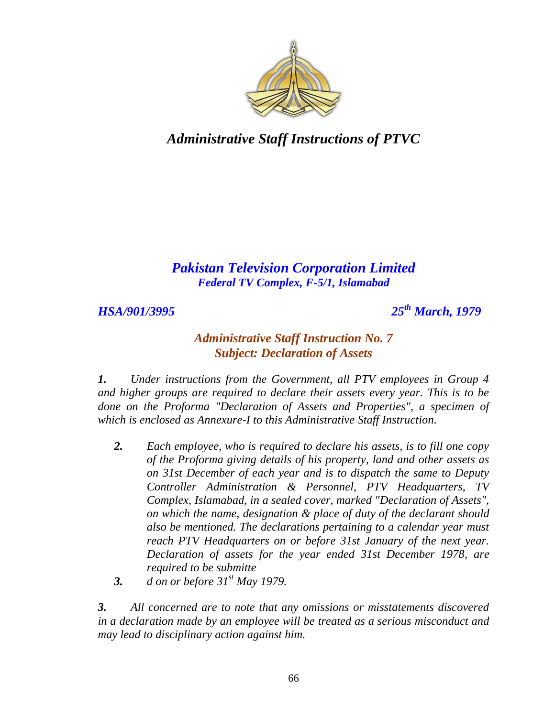

### *Pakistan Television Corporation Limited Federal TV Complex, F-5/1, Islamabad*

*HSA/901/3995 25th March, 1979*

#### *Administrative Staff Instruction No. 7 Subject: Declaration of Assets*

*1. Under instructions from the Government, all PTV employees in Group 4 and higher groups are required to declare their assets every year. This is to be done on the Proforma "Declaration of Assets and Properties", a specimen of which is enclosed as Annexure-I to this Administrative Staff Instruction.*

- *2. Each employee, who is required to declare his assets, is to fill one copy of the Proforma giving details of his property, land and other assets as on 31st December of each year and is to dispatch the same to Deputy Controller Administration & Personnel, PTV Headquarters, TV Complex, Islamabad, in a sealed cover, marked "Declaration of Assets", on which the name, designation & place of duty of the declarant should also be mentioned. The declarations pertaining to a calendar year must reach PTV Headquarters on or before 31st January of the next year. Declaration of assets for the year ended 31st December 1978, are required to be submitte*
- *3. d on or before 31st May 1979.*

*3. All concerned are to note that any omissions or misstatements discovered in a declaration made by an employee will be treated as a serious misconduct and may lead to disciplinary action against him.*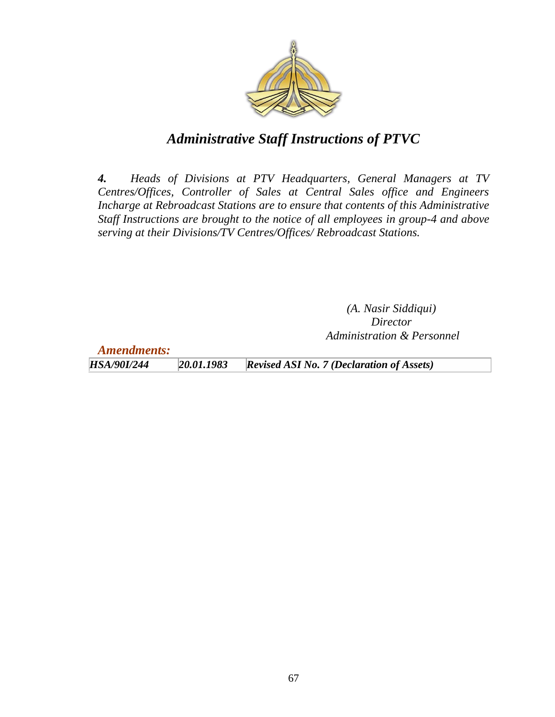

*4. Heads of Divisions at PTV Headquarters, General Managers at TV Centres/Offices, Controller of Sales at Central Sales office and Engineers Incharge at Rebroadcast Stations are to ensure that contents of this Administrative Staff Instructions are brought to the notice of all employees in group-4 and above serving at their Divisions/TV Centres/Offices/ Rebroadcast Stations.*

> *(A. Nasir Siddiqui) Director Administration & Personnel*

*Amendments: HSA/90I/244 20.01.1983 Revised ASI No. 7 (Declaration of Assets)*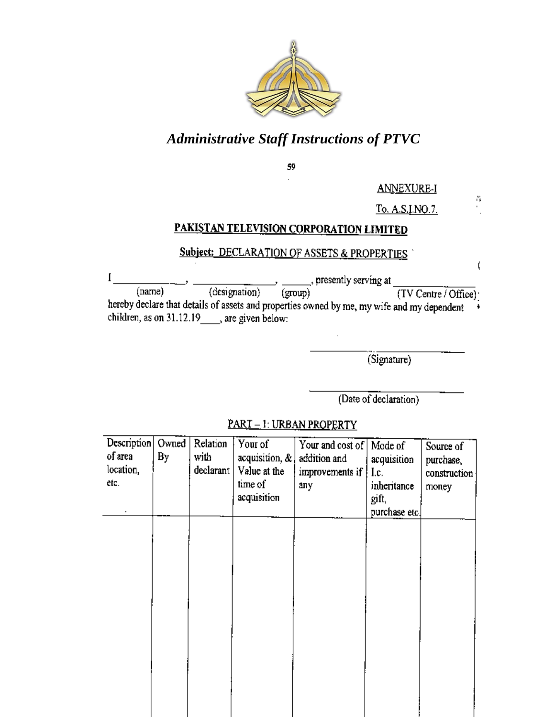

59

**ANNEXURE-I** 

To. A.S.I.NO.7.

8

ţ

#### PAKISTAN TELEVISION CORPORATION LIMITED

#### Subject: DECLARATION OF ASSETS & PROPERTIES

 $\bf{l}$ \_\_\_\_, presently serving at (designation)  $\overline{\text{(group)}}$  $(name)$  $(TV Centre / Office)$ hereby declare that details of assets and properties owned by me, my wife and my dependent Ì children, as on 31.12.19 \_\_\_\_, are given below:

(Signature)

(Date of declaration)

PART-1: URBAN PROPERTY

| Description<br>of area<br>location,<br>etc. | Owned<br>By | Relation<br>with<br>declarant | Your of<br>acquisition, &<br>Value at the<br>time of<br>acquisition | Your and cost of   Mode of<br>addition and<br>improvements if<br>any | acquisition<br>Lc.<br>inheritance<br>gift,<br>purchase etc. | Source of<br>purchase,<br>construction<br>money |
|---------------------------------------------|-------------|-------------------------------|---------------------------------------------------------------------|----------------------------------------------------------------------|-------------------------------------------------------------|-------------------------------------------------|
|                                             |             |                               |                                                                     |                                                                      |                                                             |                                                 |
|                                             |             |                               |                                                                     |                                                                      |                                                             |                                                 |
|                                             |             |                               |                                                                     |                                                                      |                                                             |                                                 |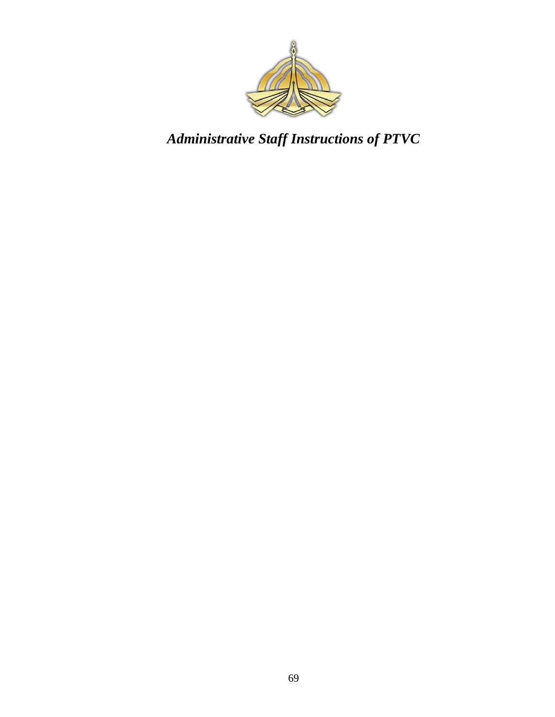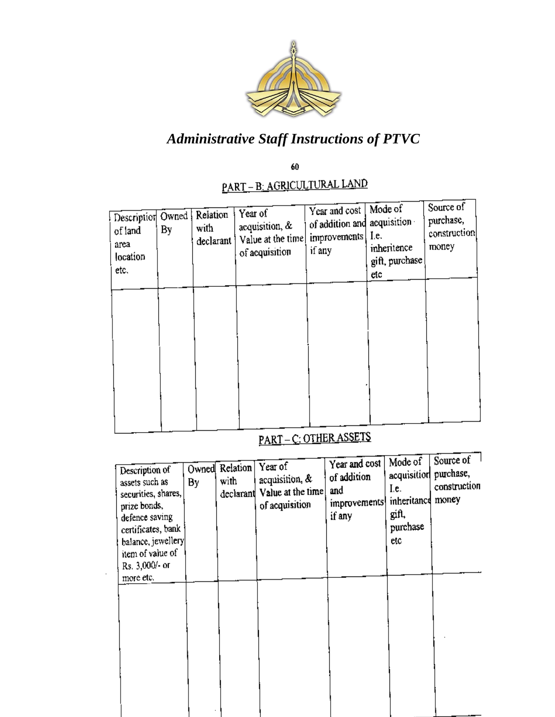

60

# <u> PART – B: AGRICULTURAL LAND</u>

| Description Owned<br>of land<br>area<br>location<br>etc. | By | Relation<br>with<br>declarant i | Year of<br>acquisition, &<br>Value at the time<br>of acquisition | Year and cost<br>of addition and<br>improvements<br>if any | Mode of<br>acquisition<br>Le.<br>inheritence<br>gift, purchase<br>etc | Source of<br>purchase,<br>construction<br>money |
|----------------------------------------------------------|----|---------------------------------|------------------------------------------------------------------|------------------------------------------------------------|-----------------------------------------------------------------------|-------------------------------------------------|
|                                                          |    |                                 |                                                                  |                                                            |                                                                       |                                                 |
|                                                          |    |                                 |                                                                  |                                                            |                                                                       |                                                 |

# PART-C: OTHER ASSETS

| Description of<br>assets such as<br>securities, shares,<br>prize bonds,<br>defence saving<br>certificates, bank<br>balance, jewellery<br>item of value of<br>Rs. 3,000/- or | By | Owned Relation<br>with | Year of<br>acquisition, &<br>declarant Value at the time<br>of acquisition | Year and cost<br>of addition<br>and<br>improvements<br>if any | Mode of<br>acquisition purchase,<br>I.e.<br>inheritance<br>gift,<br>purchase<br>etc | Source of<br>construction<br>money |
|-----------------------------------------------------------------------------------------------------------------------------------------------------------------------------|----|------------------------|----------------------------------------------------------------------------|---------------------------------------------------------------|-------------------------------------------------------------------------------------|------------------------------------|
| more etc.                                                                                                                                                                   |    |                        |                                                                            |                                                               |                                                                                     |                                    |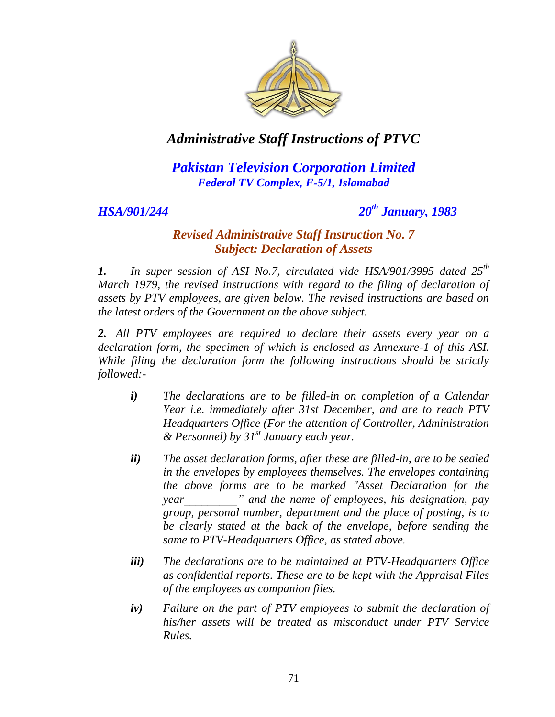

### *Pakistan Television Corporation Limited Federal TV Complex, F-5/1, Islamabad*

*HSA/901/244 20th January, 1983*

#### *Revised Administrative Staff Instruction No. 7 Subject: Declaration of Assets*

*1. In super session of ASI No.7, circulated vide HSA/901/3995 dated 25th March 1979, the revised instructions with regard to the filing of declaration of assets by PTV employees, are given below. The revised instructions are based on the latest orders of the Government on the above subject.*

*2. All PTV employees are required to declare their assets every year on a declaration form, the specimen of which is enclosed as Annexure-1 of this ASI. While filing the declaration form the following instructions should be strictly followed:-*

- *i) The declarations are to be filled-in on completion of a Calendar Year i.e. immediately after 31st December, and are to reach PTV Headquarters Office (For the attention of Controller, Administration & Personnel) by 31st January each year.*
- *ii) The asset declaration forms, after these are filled-in, are to be sealed in the envelopes by employees themselves. The envelopes containing the above forms are to be marked "Asset Declaration for the year\_\_\_\_\_\_\_\_\_" and the name of employees, his designation, pay group, personal number, department and the place of posting, is to be clearly stated at the back of the envelope, before sending the same to PTV-Headquarters Office, as stated above.*
- *iii) The declarations are to be maintained at PTV-Headquarters Office as confidential reports. These are to be kept with the Appraisal Files of the employees as companion files.*
- *iv) Failure on the part of PTV employees to submit the declaration of his/her assets will be treated as misconduct under PTV Service Rules.*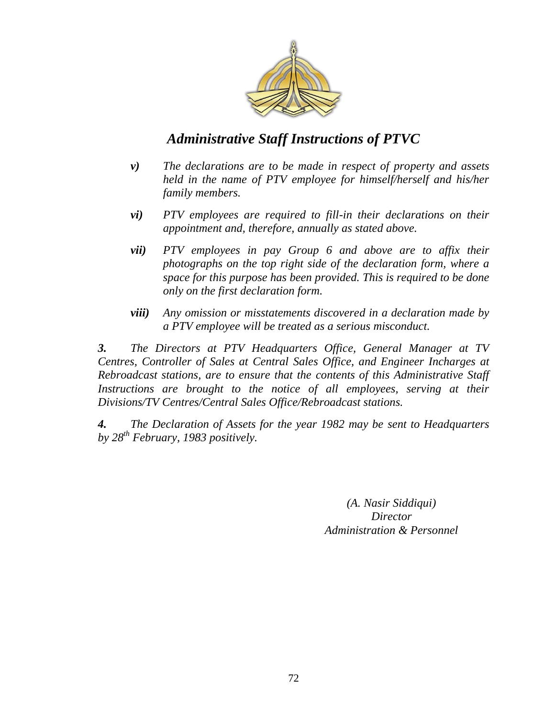

- *v) The declarations are to be made in respect of property and assets held in the name of PTV employee for himself/herself and his/her family members.*
- *vi) PTV employees are required to fill-in their declarations on their appointment and, therefore, annually as stated above.*
- *vii) PTV employees in pay Group 6 and above are to affix their photographs on the top right side of the declaration form, where a space for this purpose has been provided. This is required to be done only on the first declaration form.*
- *viii) Any omission or misstatements discovered in a declaration made by a PTV employee will be treated as a serious misconduct.*

*3. The Directors at PTV Headquarters Office, General Manager at TV Centres, Controller of Sales at Central Sales Office, and Engineer Incharges at Rebroadcast stations, are to ensure that the contents of this Administrative Staff*  Instructions are brought to the notice of all employees, serving at their *Divisions/TV Centres/Central Sales Office/Rebroadcast stations.* 

*4. The Declaration of Assets for the year 1982 may be sent to Headquarters by 28th February, 1983 positively.*

> *(A. Nasir Siddiqui) Director Administration & Personnel*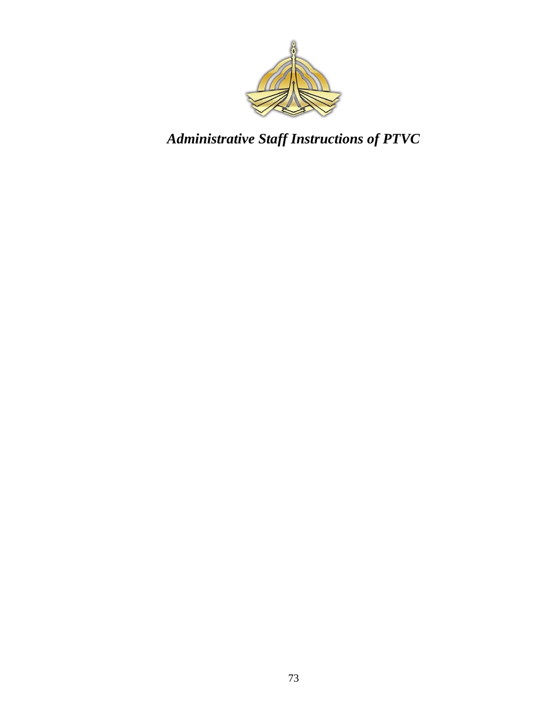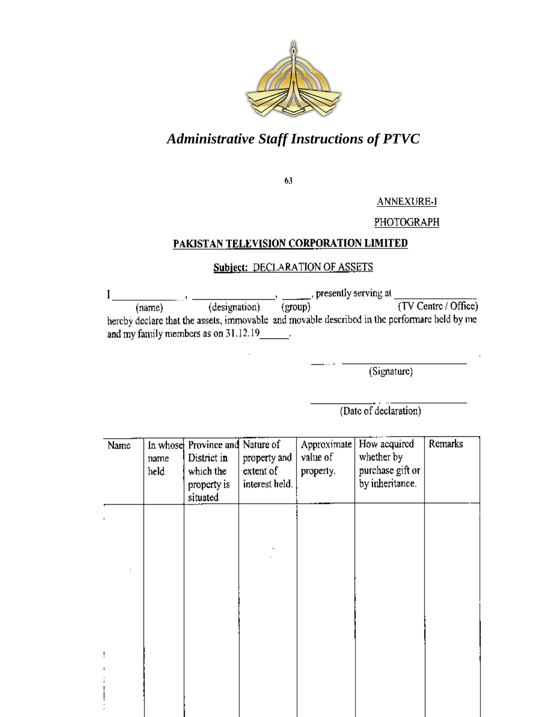

63

**ANNEXURE-I** 

#### PHOTOGRAPH

#### PAKISTAN TELEVISION CORPORATION LIMITED

#### Subject: DECLARATION OF ASSETS

(designation)  $\frac{1}{(group)}$  presently serving at  $\frac{1}{(TV \text{ Centre } / \text{ Office})}$ I (name) hereby declare that the assets, immovable and movable described in the performare held by me and my family members as on 31.12.19

(Signature)

(Date of declaration)

| Name | name<br>held | In whose Province and Nature of<br>District in<br>which the<br>property is<br>situated | property and<br>extent of<br>interest held. | Approximate<br>value of<br>property. | How acquired<br>whether by<br>purchase gift or<br>by inheritance. | Remarks |
|------|--------------|----------------------------------------------------------------------------------------|---------------------------------------------|--------------------------------------|-------------------------------------------------------------------|---------|
|      |              |                                                                                        |                                             |                                      |                                                                   |         |
|      |              |                                                                                        |                                             |                                      |                                                                   |         |
|      |              |                                                                                        |                                             |                                      |                                                                   |         |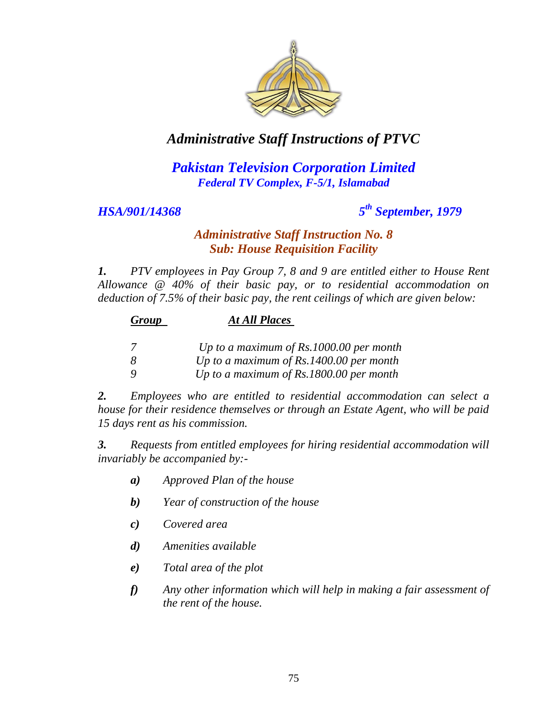

## *Pakistan Television Corporation Limited Federal TV Complex, F-5/1, Islamabad*

#### *HSA/901/14368 5*

# *th September, 1979*

#### *Administrative Staff Instruction No. 8 Sub: House Requisition Facility*

*1. PTV employees in Pay Group 7, 8 and 9 are entitled either to House Rent Allowance @ 40% of their basic pay, or to residential accommodation on deduction of 7.5% of their basic pay, the rent ceilings of which are given below:*

| Group | <b>At All Places</b> |
|-------|----------------------|
|-------|----------------------|

|  |  | Up to a maximum of $Rs.1000.00$ per month |  |  |  |  |
|--|--|-------------------------------------------|--|--|--|--|
|--|--|-------------------------------------------|--|--|--|--|

*8 Up to a maximum of Rs.1400.00 per month*

*9 Up to a maximum of Rs.1800.00 per month* 

*2. Employees who are entitled to residential accommodation can select a house for their residence themselves or through an Estate Agent, who will be paid 15 days rent as his commission.* 

*3. Requests from entitled employees for hiring residential accommodation will invariably be accompanied by:-*

- *a) Approved Plan of the house*
- *b) Year of construction of the house*
- *c) Covered area*
- *d) Amenities available*
- *e) Total area of the plot*
- *f) Any other information which will help in making a fair assessment of the rent of the house.*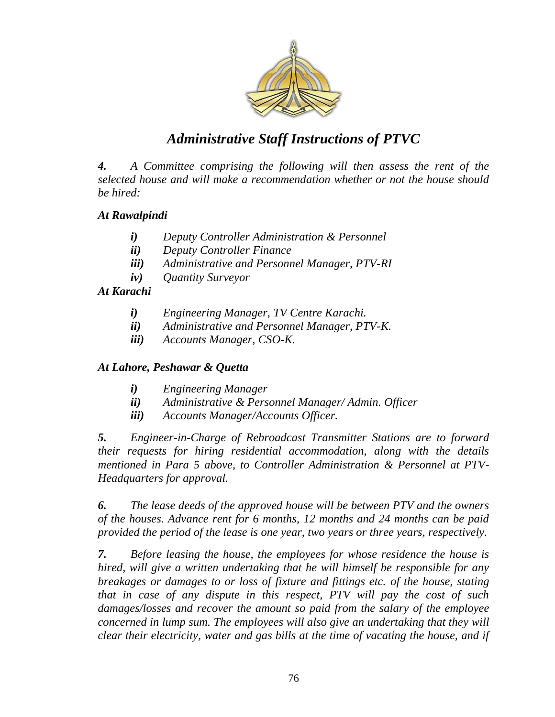

*4. A Committee comprising the following will then assess the rent of the selected house and will make a recommendation whether or not the house should be hired:* 

#### *At Rawalpindi*

- *i) Deputy Controller Administration & Personnel*
- *ii) Deputy Controller Finance*
- *iii) Administrative and Personnel Manager, PTV-RI*
- *iv) Quantity Surveyor*

#### *At Karachi*

- *i) Engineering Manager, TV Centre Karachi.*
- *ii) Administrative and Personnel Manager, PTV-K.*
- *iii) Accounts Manager, CSO-K.*

#### *At Lahore, Peshawar & Quetta*

- *i) Engineering Manager*
- *ii) Administrative & Personnel Manager/ Admin. Officer*
- *iii) Accounts Manager/Accounts Officer.*

*5. Engineer-in-Charge of Rebroadcast Transmitter Stations are to forward their requests for hiring residential accommodation, along with the details mentioned in Para 5 above, to Controller Administration & Personnel at PTV-Headquarters for approval.* 

*6. The lease deeds of the approved house will be between PTV and the owners of the houses. Advance rent for 6 months, 12 months and 24 months can be paid provided the period of the lease is one year, two years or three years, respectively.* 

*7. Before leasing the house, the employees for whose residence the house is hired, will give a written undertaking that he will himself be responsible for any breakages or damages to or loss of fixture and fittings etc. of the house, stating that in case of any dispute in this respect, PTV will pay the cost of such damages/losses and recover the amount so paid from the salary of the employee concerned in lump sum. The employees will also give an undertaking that they will clear their electricity, water and gas bills at the time of vacating the house, and if*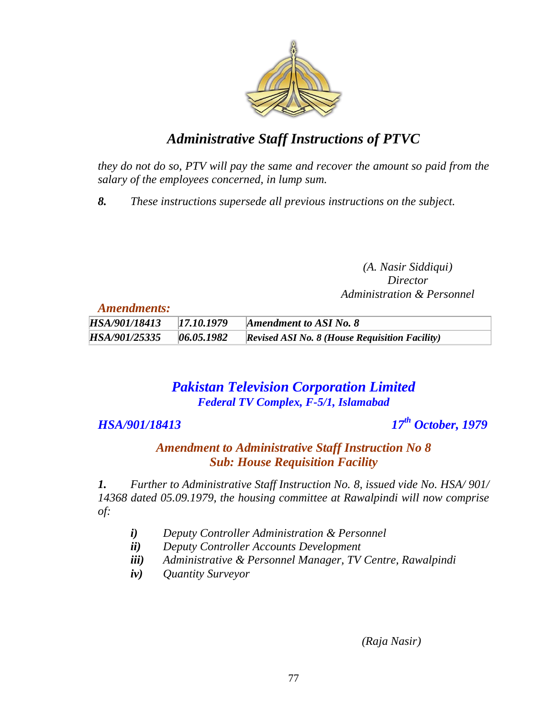

*they do not do so, PTV will pay the same and recover the amount so paid from the salary of the employees concerned, in lump sum.* 

*8. These instructions supersede all previous instructions on the subject.*

*(A. Nasir Siddiqui) Director Administration & Personnel*

*Amendments:*

| -------------------- |            |                                                       |
|----------------------|------------|-------------------------------------------------------|
| HSA/901/18413        | 17.10.1979 | <b>Amendment to ASI No. 8</b>                         |
| HSA/901/25335        | 06.05.1982 | <b>Revised ASI No. 8 (House Requisition Facility)</b> |

## *Pakistan Television Corporation Limited Federal TV Complex, F-5/1, Islamabad*

#### *HSA/901/18413*

*th October, 1979*

*Amendment to Administrative Staff Instruction No 8 Sub: House Requisition Facility*

*1. Further to Administrative Staff Instruction No. 8, issued vide No. HSA/ 901/ 14368 dated 05.09.1979, the housing committee at Rawalpindi will now comprise of:*

- *i) Deputy Controller Administration & Personnel*
- *ii) Deputy Controller Accounts Development*
- *iii) Administrative & Personnel Manager, TV Centre, Rawalpindi*
- *iv) Quantity Surveyor*

*(Raja Nasir)*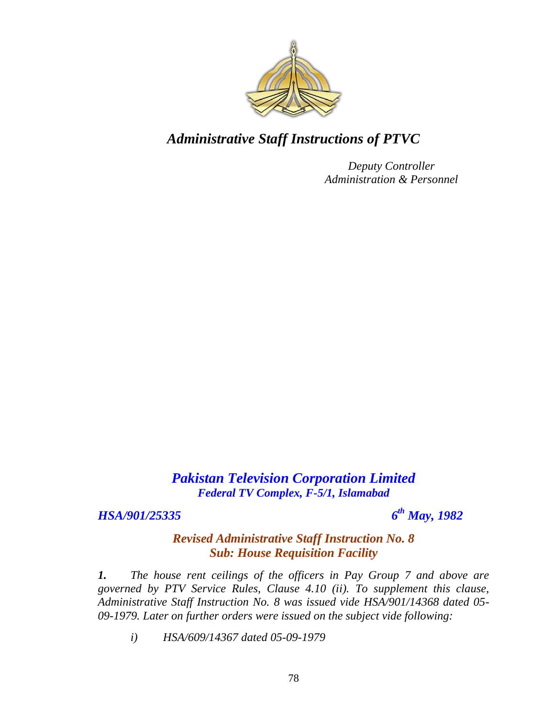

*Deputy Controller Administration & Personnel*

*Pakistan Television Corporation Limited Federal TV Complex, F-5/1, Islamabad*

#### *HSA/901/25335 6*

*th May, 1982*

### *Revised Administrative Staff Instruction No. 8 Sub: House Requisition Facility*

*1. The house rent ceilings of the officers in Pay Group 7 and above are governed by PTV Service Rules, Clause 4.10 (ii). To supplement this clause, Administrative Staff Instruction No. 8 was issued vide HSA/901/14368 dated 05- 09-1979. Later on further orders were issued on the subject vide following:*

*i) HSA/609/14367 dated 05-09-1979*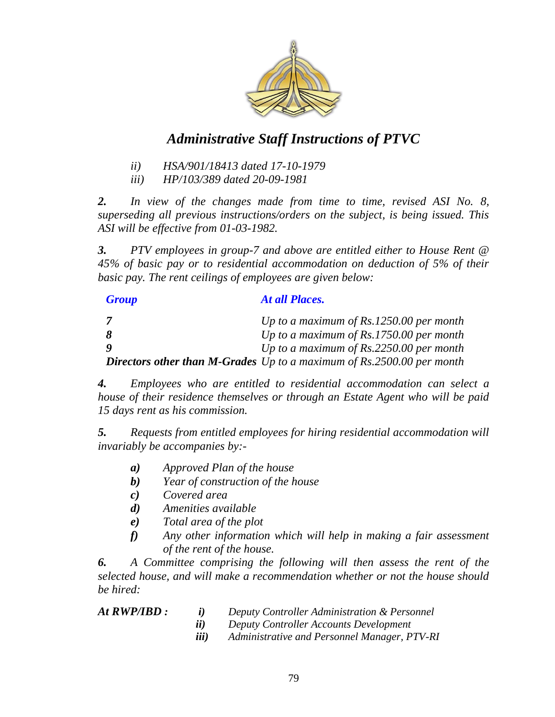

- *ii) HSA/901/18413 dated 17-10-1979*
- *iii) HP/103/389 dated 20-09-1981*

*2. In view of the changes made from time to time, revised ASI No. 8, superseding all previous instructions/orders on the subject, is being issued. This ASI will be effective from 01-03-1982.* 

*3. PTV employees in group-7 and above are entitled either to House Rent @ 45% of basic pay or to residential accommodation on deduction of 5% of their basic pay. The rent ceilings of employees are given below:*

| <b>Group</b> | At all Places.                                                                 |
|--------------|--------------------------------------------------------------------------------|
|              | Up to a maximum of Rs.1250.00 per month                                        |
|              | Up to a maximum of $Rs.1750.00$ per month                                      |
|              | Up to a maximum of $Rs.2250.00$ per month                                      |
|              | <b>Directors other than M-Grades</b> Up to a maximum of $Rs.2500.00$ per month |

*4. Employees who are entitled to residential accommodation can select a house of their residence themselves or through an Estate Agent who will be paid 15 days rent as his commission.* 

*5. Requests from entitled employees for hiring residential accommodation will invariably be accompanies by:-*

- *a) Approved Plan of the house*
- *b) Year of construction of the house*
- *c) Covered area*
- *d) Amenities available*
- *e) Total area of the plot*
- *f) Any other information which will help in making a fair assessment of the rent of the house.*

*6. A Committee comprising the following will then assess the rent of the selected house, and will make a recommendation whether or not the house should be hired:*

| At RWP/IBD : |  |
|--------------|--|
|--------------|--|

- *i*) Deputy Controller Administration & Personnel
- *ii) Deputy Controller Accounts Development*
- *iii) Administrative and Personnel Manager, PTV-RI*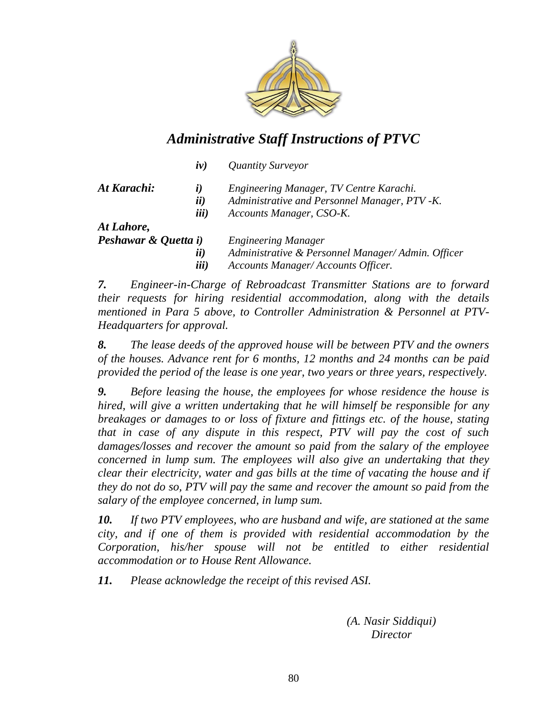

| $\dot{I}V)$        | Quantity Surveyor                                 |
|--------------------|---------------------------------------------------|
| $\dot{\mathbf{i}}$ | Engineering Manager, TV Centre Karachi.           |
|                    | Administrative and Personnel Manager, PTV -K.     |
|                    | Accounts Manager, CSO-K.                          |
|                    |                                                   |
|                    | <b>Engineering Manager</b>                        |
| ii)                | Administrative & Personnel Manager/Admin. Officer |
| iii)               | Accounts Manager/Accounts Officer.                |
|                    | ii)<br>iii)<br>Peshawar & Quetta i)               |

*7. Engineer-in-Charge of Rebroadcast Transmitter Stations are to forward their requests for hiring residential accommodation, along with the details mentioned in Para 5 above, to Controller Administration & Personnel at PTV-Headquarters for approval.* 

*8. The lease deeds of the approved house will be between PTV and the owners of the houses. Advance rent for 6 months, 12 months and 24 months can be paid provided the period of the lease is one year, two years or three years, respectively.* 

*9. Before leasing the house, the employees for whose residence the house is hired, will give a written undertaking that he will himself be responsible for any breakages or damages to or loss of fixture and fittings etc. of the house, stating that in case of any dispute in this respect, PTV will pay the cost of such damages/losses and recover the amount so paid from the salary of the employee concerned in lump sum. The employees will also give an undertaking that they clear their electricity, water and gas bills at the time of vacating the house and if they do not do so, PTV will pay the same and recover the amount so paid from the salary of the employee concerned, in lump sum.* 

*10. If two PTV employees, who are husband and wife, are stationed at the same city, and if one of them is provided with residential accommodation by the Corporation, his/her spouse will not be entitled to either residential accommodation or to House Rent Allowance.* 

*11. Please acknowledge the receipt of this revised ASI.*

*(A. Nasir Siddiqui) Director*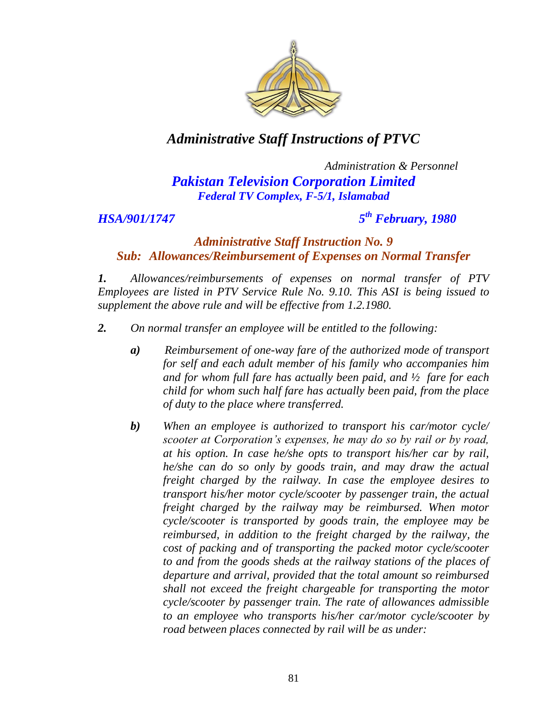

## *Administration & Personnel Pakistan Television Corporation Limited Federal TV Complex, F-5/1, Islamabad*

*HSA/901/1747 5*

## *th February, 1980*

#### *Administrative Staff Instruction No. 9 Sub: Allowances/Reimbursement of Expenses on Normal Transfer*

*1. Allowances/reimbursements of expenses on normal transfer of PTV Employees are listed in PTV Service Rule No. 9.10. This ASI is being issued to supplement the above rule and will be effective from 1.2.1980.*

- *2. On normal transfer an employee will be entitled to the following:*
	- *a) Reimbursement of one-way fare of the authorized mode of transport for self and each adult member of his family who accompanies him and for whom full fare has actually been paid, and ½ fare for each child for whom such half fare has actually been paid, from the place of duty to the place where transferred.*
	- *b) When an employee is authorized to transport his car/motor cycle/ scooter at Corporation"s expenses, he may do so by rail or by road, at his option. In case he/she opts to transport his/her car by rail, he/she can do so only by goods train, and may draw the actual freight charged by the railway. In case the employee desires to transport his/her motor cycle/scooter by passenger train, the actual freight charged by the railway may be reimbursed. When motor cycle/scooter is transported by goods train, the employee may be reimbursed, in addition to the freight charged by the railway, the cost of packing and of transporting the packed motor cycle/scooter to and from the goods sheds at the railway stations of the places of departure and arrival, provided that the total amount so reimbursed shall not exceed the freight chargeable for transporting the motor cycle/scooter by passenger train. The rate of allowances admissible to an employee who transports his/her car/motor cycle/scooter by road between places connected by rail will be as under:*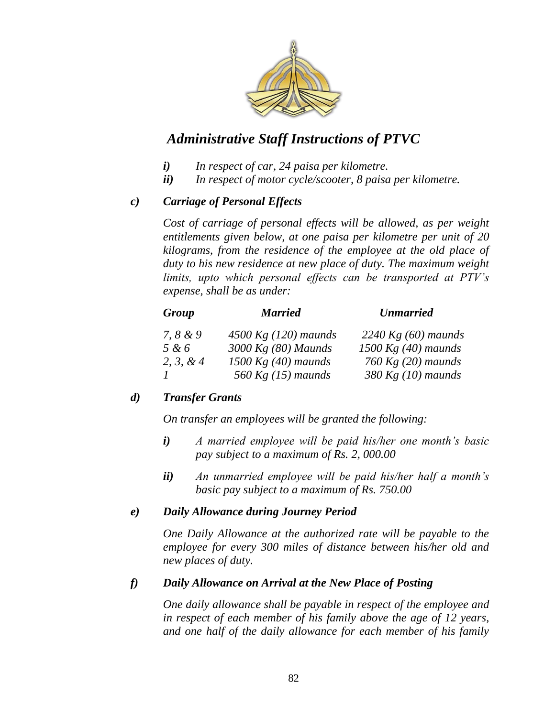

- *i) In respect of car, 24 paisa per kilometre.*
- *ii) In respect of motor cycle/scooter, 8 paisa per kilometre.*

#### *c) Carriage of Personal Effects*

*Cost of carriage of personal effects will be allowed, as per weight entitlements given below, at one paisa per kilometre per unit of 20 kilograms, from the residence of the employee at the old place of duty to his new residence at new place of duty. The maximum weight limits, upto which personal effects can be transported at PTV"s expense, shall be as under:*

| Group      | <b>Married</b>         | <b>Unmarried</b>      |
|------------|------------------------|-----------------------|
| 7, $8 & 9$ | 4500 Kg $(120)$ maunds | 2240 Kg $(60)$ maunds |
| 5 & 6      | 3000 Kg (80) Maunds    | $1500$ Kg (40) maunds |
| 2, 3, & 4  | 1500 Kg $(40)$ maunds  | 760 Kg $(20)$ maunds  |
|            | 560 Kg $(15)$ maunds   | $380$ Kg (10) maunds  |

#### *d) Transfer Grants*

*On transfer an employees will be granted the following:*

- *i) A married employee will be paid his/her one month"s basic pay subject to a maximum of Rs. 2, 000.00*
- *ii) An unmarried employee will be paid his/her half a month"s basic pay subject to a maximum of Rs. 750.00*

#### *e) Daily Allowance during Journey Period*

*One Daily Allowance at the authorized rate will be payable to the employee for every 300 miles of distance between his/her old and new places of duty.*

#### *f) Daily Allowance on Arrival at the New Place of Posting*

*One daily allowance shall be payable in respect of the employee and in respect of each member of his family above the age of 12 years, and one half of the daily allowance for each member of his family*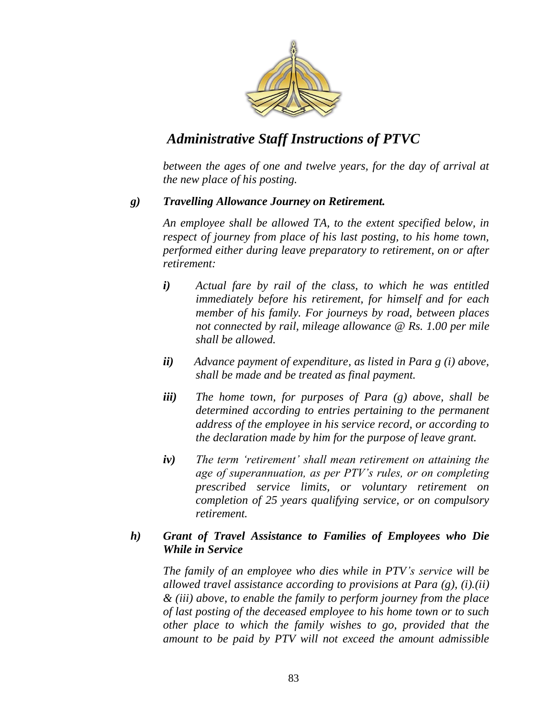

*between the ages of one and twelve years, for the day of arrival at the new place of his posting.*

#### *g) Travelling Allowance Journey on Retirement.*

*An employee shall be allowed TA, to the extent specified below, in respect of journey from place of his last posting, to his home town, performed either during leave preparatory to retirement, on or after retirement:*

- *i) Actual fare by rail of the class, to which he was entitled immediately before his retirement, for himself and for each member of his family. For journeys by road, between places not connected by rail, mileage allowance @ Rs. 1.00 per mile shall be allowed.*
- *ii) Advance payment of expenditure, as listed in Para g (i) above, shall be made and be treated as final payment.*
- *iii) The home town, for purposes of Para (g) above, shall be determined according to entries pertaining to the permanent address of the employee in his service record, or according to the declaration made by him for the purpose of leave grant.*
- *iv) The term "retirement" shall mean retirement on attaining the age of superannuation, as per PTV"s rules, or on completing prescribed service limits, or voluntary retirement on completion of 25 years qualifying service, or on compulsory retirement.*

#### *h) Grant of Travel Assistance to Families of Employees who Die While in Service*

*The family of an employee who dies while in PTV"s service will be allowed travel assistance according to provisions at Para (g), (i).(ii) & (iii) above, to enable the family to perform journey from the place of last posting of the deceased employee to his home town or to such other place to which the family wishes to go, provided that the amount to be paid by PTV will not exceed the amount admissible*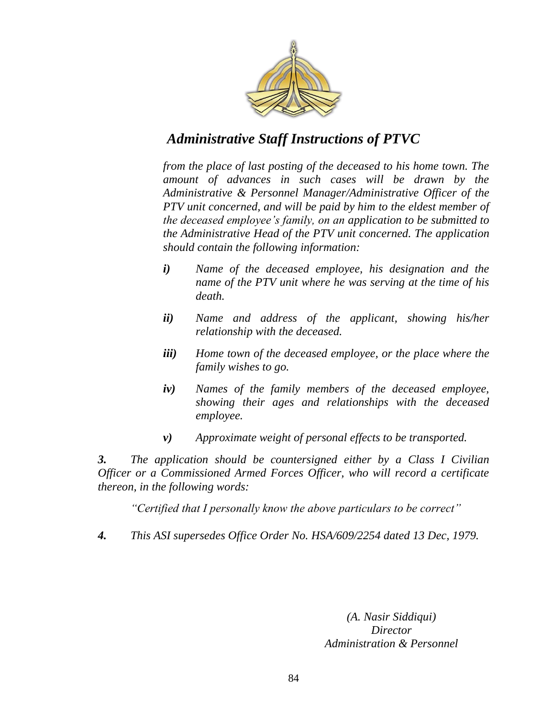

*from the place of last posting of the deceased to his home town. The amount of advances in such cases will be drawn by the Administrative & Personnel Manager/Administrative Officer of the PTV unit concerned, and will be paid by him to the eldest member of the deceased employee"s family, on an application to be submitted to the Administrative Head of the PTV unit concerned. The application should contain the following information:*

- *i) Name of the deceased employee, his designation and the name of the PTV unit where he was serving at the time of his death.*
- *ii) Name and address of the applicant, showing his/her relationship with the deceased.*
- *iii) Home town of the deceased employee, or the place where the family wishes to go.*
- *iv) Names of the family members of the deceased employee, showing their ages and relationships with the deceased employee.*
- *v) Approximate weight of personal effects to be transported.*

*3. The application should be countersigned either by a Class I Civilian Officer or a Commissioned Armed Forces Officer, who will record a certificate thereon, in the following words:*

*"Certified that I personally know the above particulars to be correct"*

*4. This ASI supersedes Office Order No. HSA/609/2254 dated 13 Dec, 1979.*

*(A. Nasir Siddiqui) Director Administration & Personnel*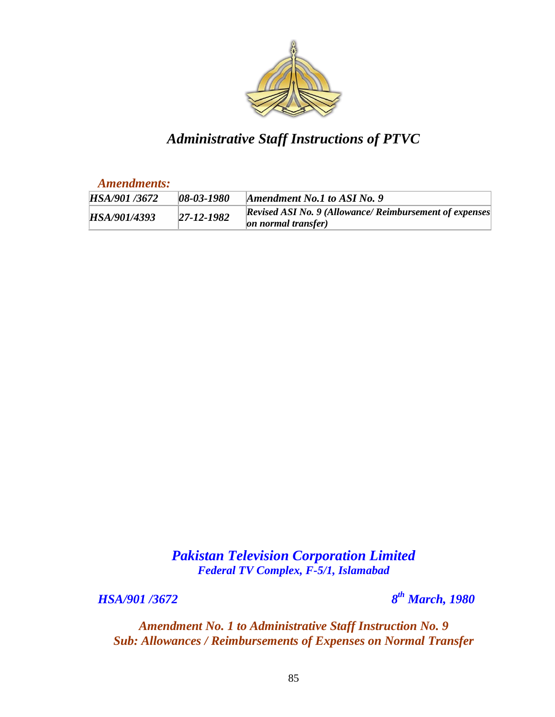

*Amendments:*

| HSA/901/3672 | $08 - 03 - 1980$ | Amendment No.1 to ASI No. 9                                                            |
|--------------|------------------|----------------------------------------------------------------------------------------|
| HSA/901/4393 | $27 - 12 - 1982$ | <b>Revised ASI No. 9 (Allowance/ Reimbursement of expenses)</b><br>on normal transfer) |

*Pakistan Television Corporation Limited Federal TV Complex, F-5/1, Islamabad*

*HSA/901* /3672

*th March, 1980*

*Amendment No. 1 to Administrative Staff Instruction No. 9 Sub: Allowances / Reimbursements of Expenses on Normal Transfer*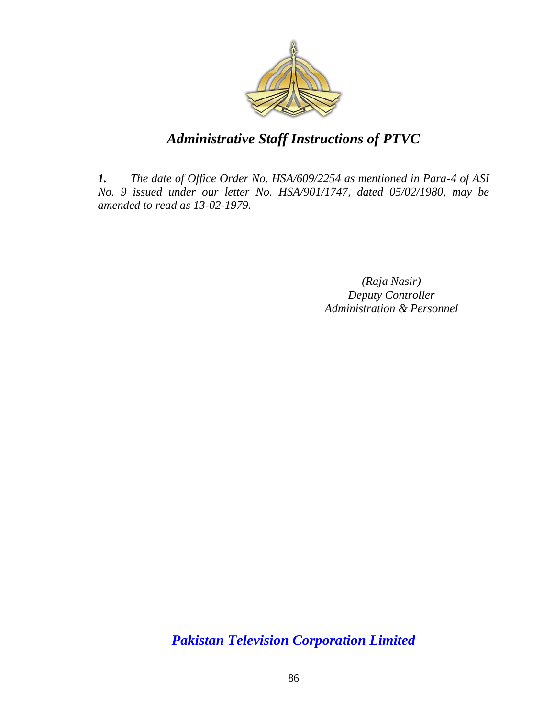

*1. The date of Office Order No. HSA/609/2254 as mentioned in Para-4 of ASI No. 9 issued under our letter No. HSA/901/1747, dated 05/02/1980, may be amended to read as 13-02-1979.*

> *(Raja Nasir) Deputy Controller Administration & Personnel*

*Pakistan Television Corporation Limited*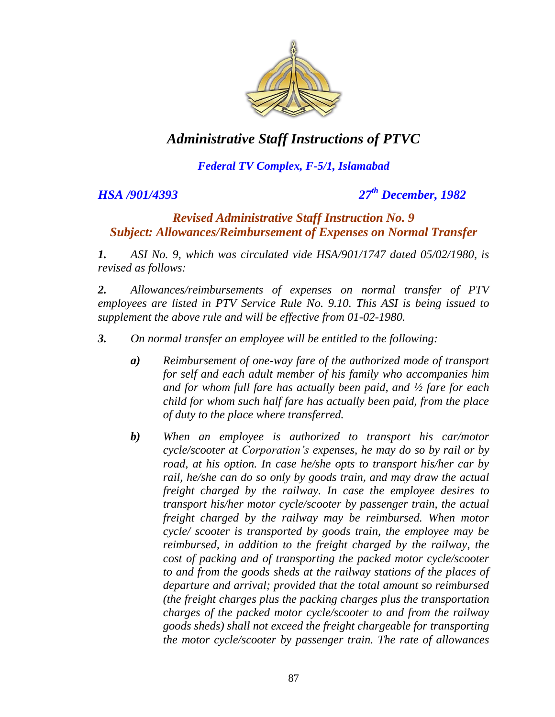

## *Federal TV Complex, F-5/1, Islamabad*

*HSA /901/4393 27th December, 1982*

#### *Revised Administrative Staff Instruction No. 9 Subject: Allowances/Reimbursement of Expenses on Normal Transfer*

*1. ASI No. 9, which was circulated vide HSA/901/1747 dated 05/02/1980, is revised as follows:*

*2. Allowances/reimbursements of expenses on normal transfer of PTV employees are listed in PTV Service Rule No. 9.10. This ASI is being issued to supplement the above rule and will be effective from 01-02-1980.* 

- *3. On normal transfer an employee will be entitled to the following:* 
	- *a) Reimbursement of one-way fare of the authorized mode of transport for self and each adult member of his family who accompanies him and for whom full fare has actually been paid, and ½ fare for each child for whom such half fare has actually been paid, from the place of duty to the place where transferred.*
	- *b) When an employee is authorized to transport his car/motor cycle/scooter at Corporation"s expenses, he may do so by rail or by road, at his option. In case he/she opts to transport his/her car by rail, he/she can do so only by goods train, and may draw the actual freight charged by the railway. In case the employee desires to transport his/her motor cycle/scooter by passenger train, the actual freight charged by the railway may be reimbursed. When motor cycle/ scooter is transported by goods train, the employee may be reimbursed, in addition to the freight charged by the railway, the cost of packing and of transporting the packed motor cycle/scooter to and from the goods sheds at the railway stations of the places of departure and arrival; provided that the total amount so reimbursed (the freight charges plus the packing charges plus the transportation charges of the packed motor cycle/scooter to and from the railway goods sheds) shall not exceed the freight chargeable for transporting the motor cycle/scooter by passenger train. The rate of allowances*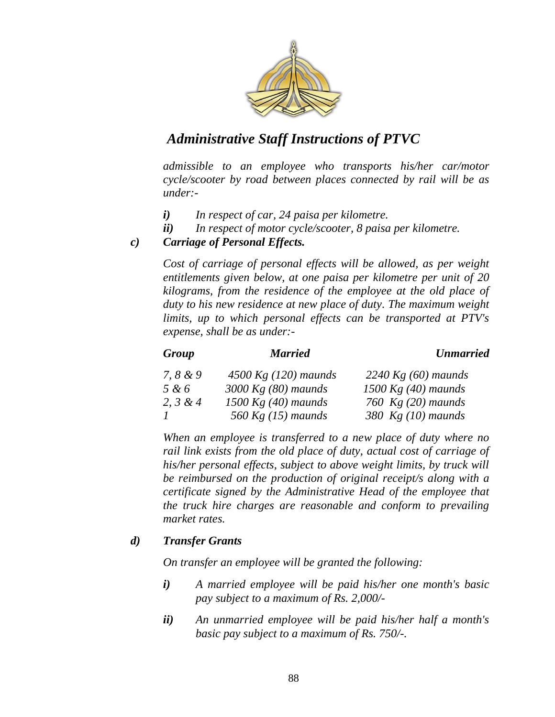

*admissible to an employee who transports his/her car/motor cycle/scooter by road between places connected by rail will be as under:-*

- *i) In respect of car, 24 paisa per kilometre.*
- *ii) In respect of motor cycle/scooter, 8 paisa per kilometre.*

#### *c) Carriage of Personal Effects.*

*Cost of carriage of personal effects will be allowed, as per weight entitlements given below, at one paisa per kilometre per unit of 20 kilograms, from the residence of the employee at the old place of duty to his new residence at new place of duty. The maximum weight limits, up to which personal effects can be transported at PTV's expense, shall be as under:-*

| Group      | <b>Married</b>         | <b>Unmarried</b>      |
|------------|------------------------|-----------------------|
| 7, 8 & 9   | 4500 Kg $(120)$ maunds | 2240 Kg $(60)$ maunds |
| 5 & 6      | $3000$ Kg (80) maunds  | $1500$ Kg (40) maunds |
| 2, $3 & 4$ | 1500 Kg $(40)$ maunds  | 760 $Kg(20)$ maunds   |
|            | 560 Kg $(15)$ maunds   | 380 $Kg(10)$ maunds   |

*When an employee is transferred to a new place of duty where no rail link exists from the old place of duty, actual cost of carriage of his/her personal effects, subject to above weight limits, by truck will be reimbursed on the production of original receipt/s along with a certificate signed by the Administrative Head of the employee that the truck hire charges are reasonable and conform to prevailing market rates.*

#### *d) Transfer Grants*

*On transfer an employee will be granted the following:* 

- *i) A married employee will be paid his/her one month's basic pay subject to a maximum of Rs. 2,000/-*
- *ii) An unmarried employee will be paid his/her half a month's basic pay subject to a maximum of Rs. 750/-.*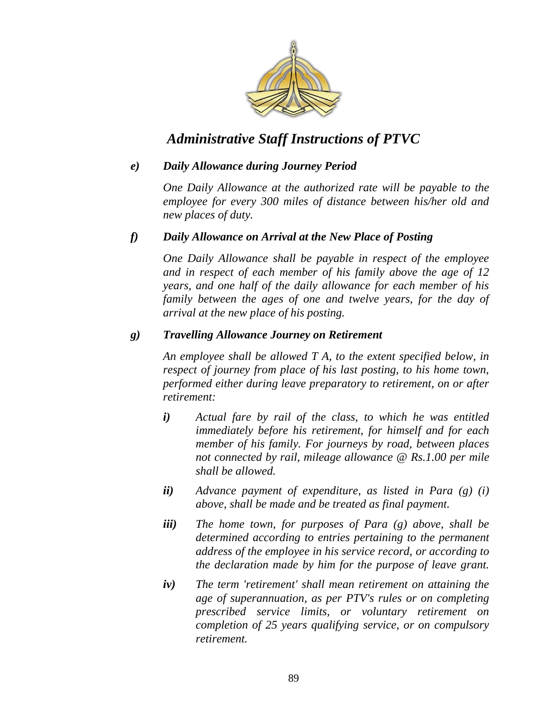

#### *e) Daily Allowance during Journey Period*

*One Daily Allowance at the authorized rate will be payable to the employee for every 300 miles of distance between his/her old and new places of duty.*

#### *f) Daily Allowance on Arrival at the New Place of Posting*

*One Daily Allowance shall be payable in respect of the employee and in respect of each member of his family above the age of 12 years, and one half of the daily allowance for each member of his family between the ages of one and twelve years, for the day of arrival at the new place of his posting.* 

#### *g) Travelling Allowance Journey on Retirement*

*An employee shall be allowed T A, to the extent specified below, in respect of journey from place of his last posting, to his home town, performed either during leave preparatory to retirement, on or after retirement:* 

- *i) Actual fare by rail of the class, to which he was entitled immediately before his retirement, for himself and for each member of his family. For journeys by road, between places not connected by rail, mileage allowance @ Rs.1.00 per mile shall be allowed.*
- *ii) Advance payment of expenditure, as listed in Para (g) (i) above, shall be made and be treated as final payment.*
- *iii) The home town, for purposes of Para (g) above, shall be determined according to entries pertaining to the permanent address of the employee in his service record, or according to the declaration made by him for the purpose of leave grant.*
- *iv) The term 'retirement' shall mean retirement on attaining the age of superannuation, as per PTV's rules or on completing prescribed service limits, or voluntary retirement on completion of 25 years qualifying service, or on compulsory retirement.*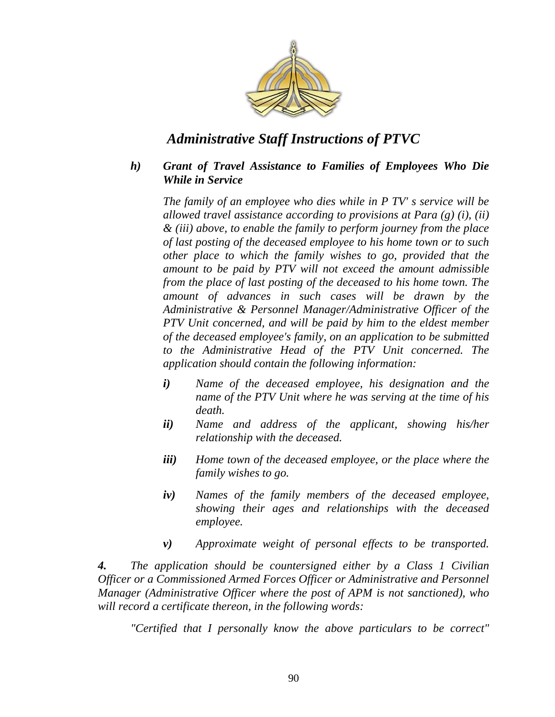

#### *h) Grant of Travel Assistance to Families of Employees Who Die While in Service*

*The family of an employee who dies while in P TV' s service will be allowed travel assistance according to provisions at Para (g) (i), (ii) & (iii) above, to enable the family to perform journey from the place of last posting of the deceased employee to his home town or to such other place to which the family wishes to go, provided that the amount to be paid by PTV will not exceed the amount admissible from the place of last posting of the deceased to his home town. The amount of advances in such cases will be drawn by the Administrative & Personnel Manager/Administrative Officer of the PTV Unit concerned, and will be paid by him to the eldest member of the deceased employee's family, on an application to be submitted to the Administrative Head of the PTV Unit concerned. The application should contain the following information:* 

- *i) Name of the deceased employee, his designation and the name of the PTV Unit where he was serving at the time of his death.*
- *ii) Name and address of the applicant, showing his/her relationship with the deceased.*
- *iii) Home town of the deceased employee, or the place where the family wishes to go.*
- *iv) Names of the family members of the deceased employee, showing their ages and relationships with the deceased employee.*
- *v) Approximate weight of personal effects to be transported.*

*4. The application should be countersigned either by a Class 1 Civilian Officer or a Commissioned Armed Forces Officer or Administrative and Personnel Manager (Administrative Officer where the post of APM is not sanctioned), who will record a certificate thereon, in the following words:* 

*"Certified that I personally know the above particulars to be correct"*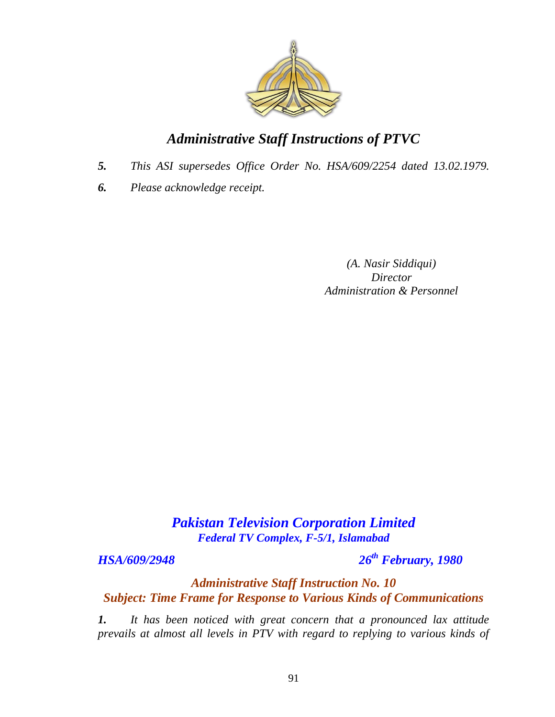

- *5. This ASI supersedes Office Order No. HSA/609/2254 dated 13.02.1979.*
- *6. Please acknowledge receipt.*

*(A. Nasir Siddiqui) Director Administration & Personnel*

## *Pakistan Television Corporation Limited Federal TV Complex, F-5/1, Islamabad*

*HSA/609/2948 26th February, 1980*

## *Administrative Staff Instruction No. 10 Subject: Time Frame for Response to Various Kinds of Communications*

*1. It has been noticed with great concern that a pronounced lax attitude prevails at almost all levels in PTV with regard to replying to various kinds of*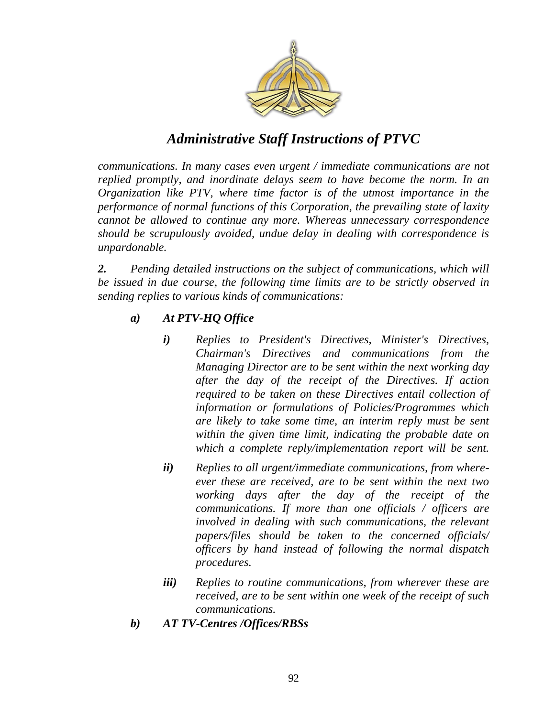

*communications. In many cases even urgent / immediate communications are not replied promptly, and inordinate delays seem to have become the norm. In an Organization like PTV, where time factor is of the utmost importance in the performance of normal functions of this Corporation, the prevailing state of laxity cannot be allowed to continue any more. Whereas unnecessary correspondence should be scrupulously avoided, undue delay in dealing with correspondence is unpardonable.* 

*2. Pending detailed instructions on the subject of communications, which will*  be issued in due course, the following time limits are to be strictly observed in *sending replies to various kinds of communications:* 

#### *a) At PTV-HQ Office*

- *i) Replies to President's Directives, Minister's Directives, Chairman's Directives and communications from the Managing Director are to be sent within the next working day after the day of the receipt of the Directives. If action required to be taken on these Directives entail collection of information or formulations of Policies/Programmes which are likely to take some time, an interim reply must be sent within the given time limit, indicating the probable date on which a complete reply/implementation report will be sent.*
- *ii) Replies to all urgent/immediate communications, from whereever these are received, are to be sent within the next two working days after the day of the receipt of the communications. If more than one officials / officers are involved in dealing with such communications, the relevant papers/files should be taken to the concerned officials/ officers by hand instead of following the normal dispatch procedures.*
- *iii) Replies to routine communications, from wherever these are received, are to be sent within one week of the receipt of such communications.*
- *b) AT TV-Centres /Offices/RBSs*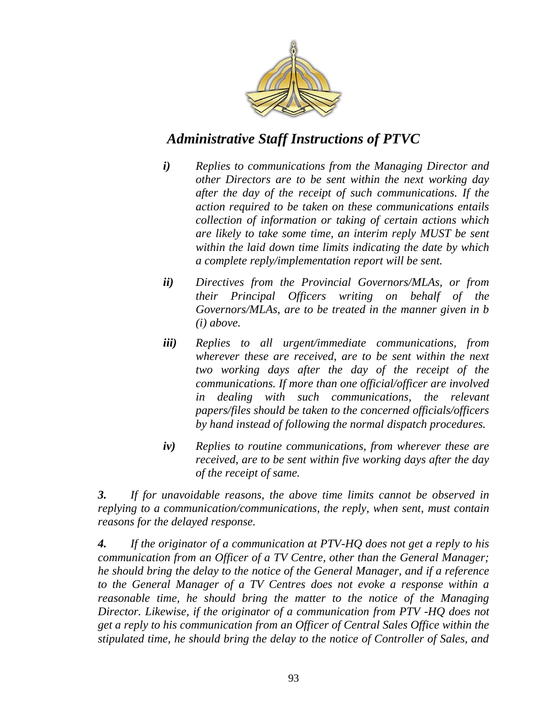

- *i) Replies to communications from the Managing Director and other Directors are to be sent within the next working day after the day of the receipt of such communications. If the action required to be taken on these communications entails collection of information or taking of certain actions which are likely to take some time, an interim reply MUST be sent within the laid down time limits indicating the date by which a complete reply/implementation report will be sent.*
- *ii) Directives from the Provincial Governors/MLAs, or from their Principal Officers writing on behalf of the Governors/MLAs, are to be treated in the manner given in b (i) above.*
- *iii) Replies to all urgent/immediate communications, from wherever these are received, are to be sent within the next two working days after the day of the receipt of the communications. If more than one official/officer are involved in dealing with such communications, the relevant papers/files should be taken to the concerned officials/officers by hand instead of following the normal dispatch procedures.*
- *iv) Replies to routine communications, from wherever these are received, are to be sent within five working days after the day of the receipt of same.*

*3. If for unavoidable reasons, the above time limits cannot be observed in replying to a communication/communications, the reply, when sent, must contain reasons for the delayed response.* 

*4. If the originator of a communication at PTV-HQ does not get a reply to his communication from an Officer of a TV Centre, other than the General Manager; he should bring the delay to the notice of the General Manager, and if a reference to the General Manager of a TV Centres does not evoke a response within a reasonable time, he should bring the matter to the notice of the Managing Director. Likewise, if the originator of a communication from PTV -HQ does not get a reply to his communication from an Officer of Central Sales Office within the stipulated time, he should bring the delay to the notice of Controller of Sales, and*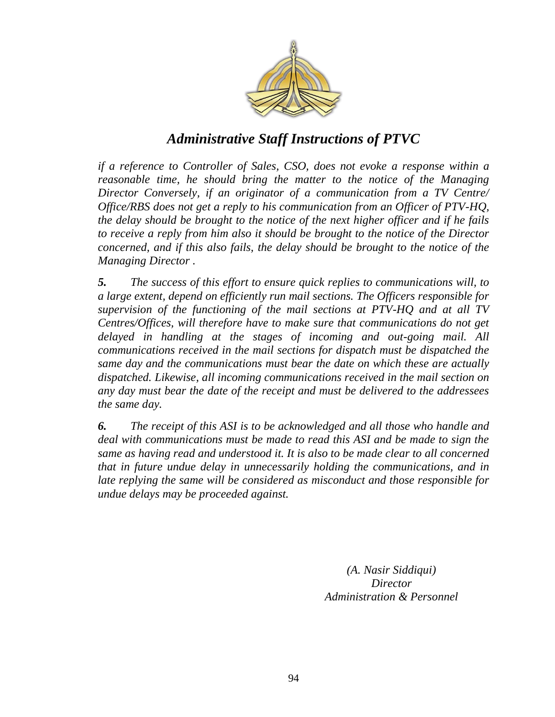

*if a reference to Controller of Sales, CSO, does not evoke a response within a reasonable time, he should bring the matter to the notice of the Managing Director Conversely, if an originator of a communication from a TV Centre/ Office/RBS does not get a reply to his communication from an Officer of PTV-HQ, the delay should be brought to the notice of the next higher officer and if he fails to receive a reply from him also it should be brought to the notice of the Director concerned, and if this also fails, the delay should be brought to the notice of the Managing Director .* 

*5. The success of this effort to ensure quick replies to communications will, to a large extent, depend on efficiently run mail sections. The Officers responsible for supervision of the functioning of the mail sections at PTV-HQ and at all TV Centres/Offices, will therefore have to make sure that communications do not get delayed in handling at the stages of incoming and out-going mail. All communications received in the mail sections for dispatch must be dispatched the same day and the communications must bear the date on which these are actually dispatched. Likewise, all incoming communications received in the mail section on any day must bear the date of the receipt and must be delivered to the addressees the same day.* 

*6. The receipt of this ASI is to be acknowledged and all those who handle and deal with communications must be made to read this ASI and be made to sign the same as having read and understood it. It is also to be made clear to all concerned that in future undue delay in unnecessarily holding the communications, and in late replying the same will be considered as misconduct and those responsible for undue delays may be proceeded against.*

> *(A. Nasir Siddiqui) Director Administration & Personnel*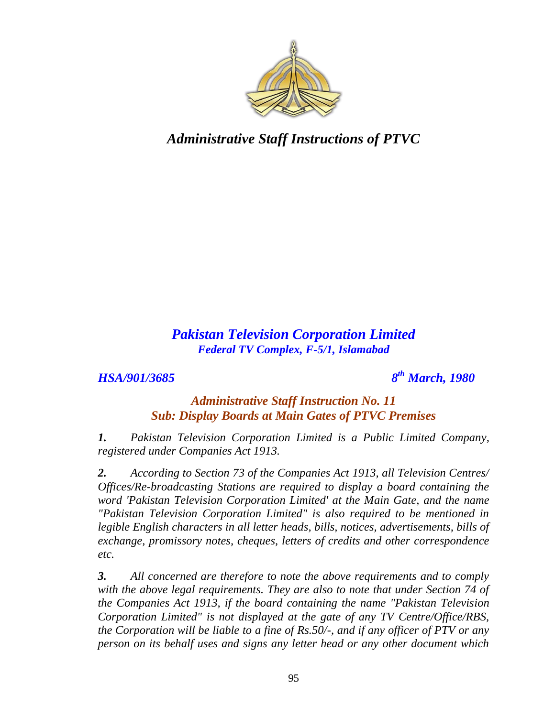

## *Pakistan Television Corporation Limited Federal TV Complex, F-5/1, Islamabad*

## *HSA/901/3685 8*

*th March, 1980*

### *Administrative Staff Instruction No. 11 Sub: Display Boards at Main Gates of PTVC Premises*

*1. Pakistan Television Corporation Limited is a Public Limited Company, registered under Companies Act 1913.*

*2. According to Section 73 of the Companies Act 1913, all Television Centres/ Offices/Re-broadcasting Stations are required to display a board containing the word 'Pakistan Television Corporation Limited' at the Main Gate, and the name "Pakistan Television Corporation Limited" is also required to be mentioned in legible English characters in all letter heads, bills, notices, advertisements, bills of exchange, promissory notes, cheques, letters of credits and other correspondence etc.* 

*3. All concerned are therefore to note the above requirements and to comply*  with the above legal requirements. They are also to note that under Section 74 of *the Companies Act 1913, if the board containing the name "Pakistan Television Corporation Limited" is not displayed at the gate of any TV Centre/Office/RBS, the Corporation will be liable to a fine of Rs.50/-, and if any officer of PTV or any person on its behalf uses and signs any letter head or any other document which*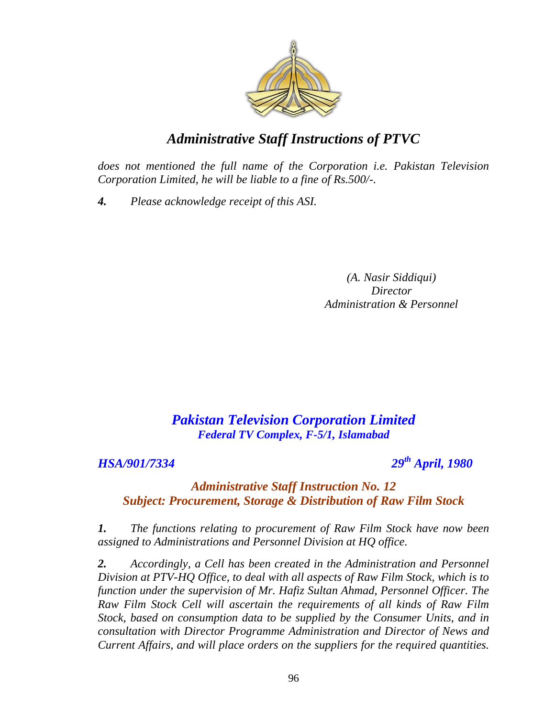

*does not mentioned the full name of the Corporation i.e. Pakistan Television Corporation Limited, he will be liable to a fine of Rs.500/-.* 

*4. Please acknowledge receipt of this ASI.*

*(A. Nasir Siddiqui) Director Administration & Personnel*

## *Pakistan Television Corporation Limited Federal TV Complex, F-5/1, Islamabad*

*HSA/901/7334 29th April, 1980*

### *Administrative Staff Instruction No. 12 Subject: Procurement, Storage & Distribution of Raw Film Stock*

*1. The functions relating to procurement of Raw Film Stock have now been assigned to Administrations and Personnel Division at HQ office.* 

*2. Accordingly, a Cell has been created in the Administration and Personnel Division at PTV-HQ Office, to deal with all aspects of Raw Film Stock, which is to function under the supervision of Mr. Hafiz Sultan Ahmad, Personnel Officer. The Raw Film Stock Cell will ascertain the requirements of all kinds of Raw Film Stock, based on consumption data to be supplied by the Consumer Units, and in consultation with Director Programme Administration and Director of News and Current Affairs, and will place orders on the suppliers for the required quantities.*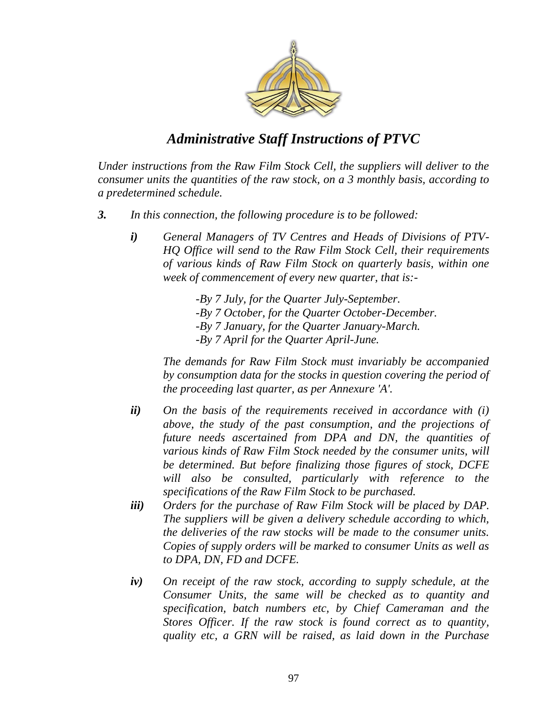

*Under instructions from the Raw Film Stock Cell, the suppliers will deliver to the consumer units the quantities of the raw stock, on a 3 monthly basis, according to a predetermined schedule.* 

- *3. In this connection, the following procedure is to be followed:* 
	- *i) General Managers of TV Centres and Heads of Divisions of PTV-HQ Office will send to the Raw Film Stock Cell, their requirements of various kinds of Raw Film Stock on quarterly basis, within one week of commencement of every new quarter, that is:-*

*-By 7 July, for the Quarter July-September. -By 7 October, for the Quarter October-December. -By 7 January, for the Quarter January-March. -By 7 April for the Quarter April-June.* 

*The demands for Raw Film Stock must invariably be accompanied by consumption data for the stocks in question covering the period of the proceeding last quarter, as per Annexure 'A'.* 

- *ii) On the basis of the requirements received in accordance with (i) above, the study of the past consumption, and the projections of future needs ascertained from DPA and DN, the quantities of various kinds of Raw Film Stock needed by the consumer units, will be determined. But before finalizing those figures of stock, DCFE will also be consulted, particularly with reference to the specifications of the Raw Film Stock to be purchased.*
- *iii) Orders for the purchase of Raw Film Stock will be placed by DAP. The suppliers will be given a delivery schedule according to which, the deliveries of the raw stocks will be made to the consumer units. Copies of supply orders will be marked to consumer Units as well as to DPA, DN, FD and DCFE.*
- *iv) On receipt of the raw stock, according to supply schedule, at the Consumer Units, the same will be checked as to quantity and specification, batch numbers etc, by Chief Cameraman and the Stores Officer. If the raw stock is found correct as to quantity, quality etc, a GRN will be raised, as laid down in the Purchase*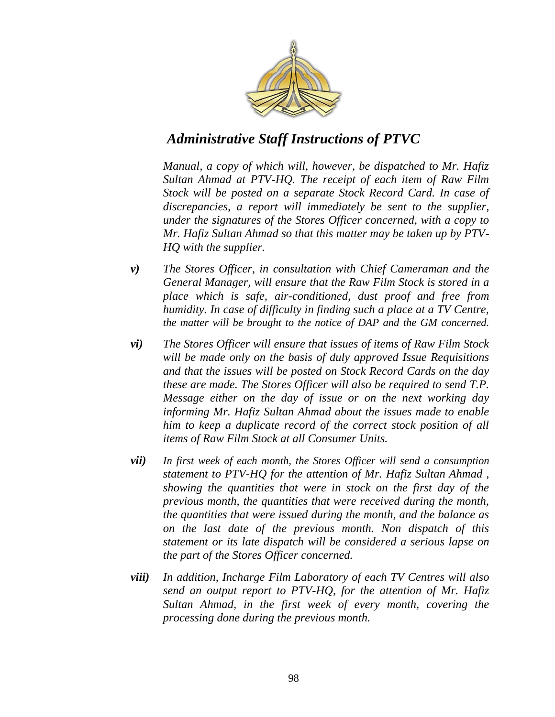

*Manual, a copy of which will, however, be dispatched to Mr. Hafiz Sultan Ahmad at PTV-HQ. The receipt of each item of Raw Film Stock will be posted on a separate Stock Record Card. In case of discrepancies, a report will immediately be sent to the supplier, under the signatures of the Stores Officer concerned, with a copy to Mr. Hafiz Sultan Ahmad so that this matter may be taken up by PTV-HQ with the supplier.* 

- *v) The Stores Officer, in consultation with Chief Cameraman and the General Manager, will ensure that the Raw Film Stock is stored in a place which is safe, air-conditioned, dust proof and free from humidity. In case of difficulty in finding such a place at a TV Centre, the matter will be brought to the notice of DAP and the GM concerned.*
- *vi) The Stores Officer will ensure that issues of items of Raw Film Stock will be made only on the basis of duly approved Issue Requisitions and that the issues will be posted on Stock Record Cards on the day these are made. The Stores Officer will also be required to send T.P. Message either on the day of issue or on the next working day informing Mr. Hafiz Sultan Ahmad about the issues made to enable him to keep a duplicate record of the correct stock position of all items of Raw Film Stock at all Consumer Units.*
- *vii) In first week of each month, the Stores Officer will send a consumption statement to PTV-HQ for the attention of Mr. Hafiz Sultan Ahmad , showing the quantities that were in stock on the first day of the previous month, the quantities that were received during the month, the quantities that were issued during the month, and the balance as on the last date of the previous month. Non dispatch of this statement or its late dispatch will be considered a serious lapse on the part of the Stores Officer concerned.*
- *viii) In addition, Incharge Film Laboratory of each TV Centres will also send an output report to PTV-HQ, for the attention of Mr. Hafiz Sultan Ahmad, in the first week of every month, covering the processing done during the previous month.*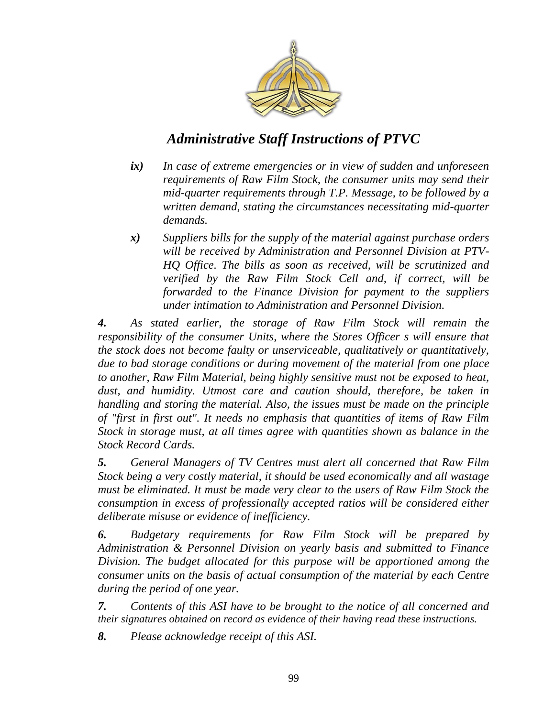

- *ix) In case of extreme emergencies or in view of sudden and unforeseen requirements of Raw Film Stock, the consumer units may send their mid-quarter requirements through T.P. Message, to be followed by a written demand, stating the circumstances necessitating mid-quarter demands.*
- *x) Suppliers bills for the supply of the material against purchase orders will be received by Administration and Personnel Division at PTV-HQ Office. The bills as soon as received, will be scrutinized and verified by the Raw Film Stock Cell and, if correct, will be forwarded to the Finance Division for payment to the suppliers under intimation to Administration and Personnel Division.*

*4. As stated earlier, the storage of Raw Film Stock will remain the responsibility of the consumer Units, where the Stores Officer s will ensure that the stock does not become faulty or unserviceable, qualitatively or quantitatively, due to bad storage conditions or during movement of the material from one place to another, Raw Film Material, being highly sensitive must not be exposed to heat, dust, and humidity. Utmost care and caution should, therefore, be taken in handling and storing the material. Also, the issues must be made on the principle of "first in first out". It needs no emphasis that quantities of items of Raw Film Stock in storage must, at all times agree with quantities shown as balance in the Stock Record Cards.* 

*5. General Managers of TV Centres must alert all concerned that Raw Film Stock being a very costly material, it should be used economically and all wastage must be eliminated. It must be made very clear to the users of Raw Film Stock the consumption in excess of professionally accepted ratios will be considered either deliberate misuse or evidence of inefficiency.* 

*6. Budgetary requirements for Raw Film Stock will be prepared by Administration & Personnel Division on yearly basis and submitted to Finance Division. The budget allocated for this purpose will be apportioned among the consumer units on the basis of actual consumption of the material by each Centre during the period of one year.* 

*7. Contents of this ASI have to be brought to the notice of all concerned and their signatures obtained on record as evidence of their having read these instructions.* 

*8. Please acknowledge receipt of this ASI.*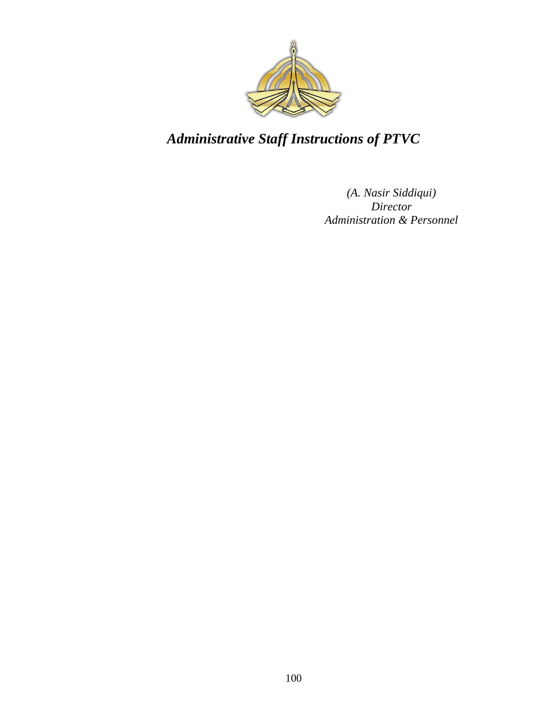

*(A. Nasir Siddiqui) Director Administration & Personnel*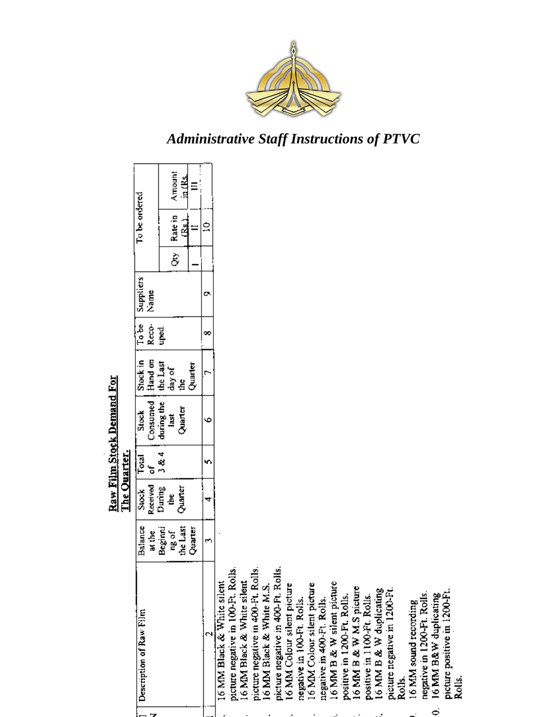

16 MM sound recording<br>negative in 1200-Ft. Roils.<br>16 MM B&W duplicating<br>picture positive in 1200-Ft.<br>Rolls.

 $\ddot{\circ}$ 

positive in 1100-Pt. Rolls.<br>16 MM B & W duplicating

picture negative in 1200-Pt.<br>Rolls.

|                                    |                   | The Quarter.       |            | Raw Film Stock Demand For      |                                      |                |                   |                     |               |         |
|------------------------------------|-------------------|--------------------|------------|--------------------------------|--------------------------------------|----------------|-------------------|---------------------|---------------|---------|
| Description of Raw Film            | Balance<br>at the | Received<br>Stock  | Total<br>ã | Consumed<br>Stock <sup>*</sup> | Stock in                             | To be<br>Reco- | Suppliers<br>Name |                     | To be ordered |         |
|                                    |                   | During             | 3 & 4      | during the                     |                                      | uped.          |                   |                     |               |         |
|                                    | Beginni           | š                  |            | last                           | Hand on<br>the Last<br>day of<br>the |                |                   |                     | Rate in       | Amount  |
|                                    | ng of<br>the Last | Quarter<br>Quarter |            | Quarter                        |                                      |                |                   | $\hat{\varepsilon}$ | ر<br>معلما    | in (Rs. |
|                                    | تا اقتصاب<br>ح    |                    |            |                                | Quarter                              |                |                   |                     |               | Ξ       |
|                                    | ٣                 | 4                  | n          | Φ                              | è                                    | ∞              | o                 |                     | $\tilde{=}$   |         |
| 16 MM Black & White silent         |                   |                    |            |                                |                                      |                |                   |                     |               |         |
| picture negative in 100-Ft. Rolls  |                   |                    |            |                                |                                      |                |                   |                     |               |         |
| 16 MM Black & White silent         |                   |                    |            |                                |                                      |                |                   |                     |               |         |
| picture negative in 400-Ft. Rolls. |                   |                    |            |                                |                                      |                |                   |                     |               |         |
| 16 MM Black & White M.S.           |                   |                    |            |                                |                                      |                |                   |                     |               |         |
| picture negative in 400-Ft. Rolls. |                   |                    |            |                                |                                      |                |                   |                     |               |         |
| 16 MM Colour silent picture        |                   |                    |            |                                |                                      |                |                   |                     |               |         |
| negative in 100-Ft. Rolls.         |                   |                    |            |                                |                                      |                |                   |                     |               |         |
| 16 MM Colour silent picture        |                   |                    |            |                                |                                      |                |                   |                     |               |         |
| negative in 400-Ft. Rolls.         |                   |                    |            |                                |                                      |                |                   |                     |               |         |
| 16 MM B & W silent picture         |                   |                    |            |                                |                                      |                |                   |                     |               |         |
| positive in 1200-Ft. Rolls.        |                   |                    |            |                                |                                      |                |                   |                     |               |         |
| 16 MM B & W M.S picture            |                   |                    |            |                                |                                      |                |                   |                     |               |         |

 $\overline{ }$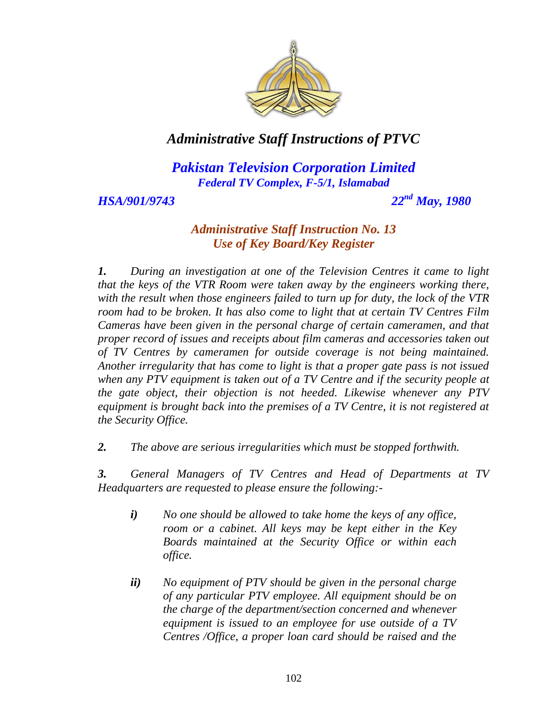

*Pakistan Television Corporation Limited Federal TV Complex, F-5/1, Islamabad*

*HSA/901/9743 22nd May, 1980*

## *Administrative Staff Instruction No. 13 Use of Key Board/Key Register*

*1. During an investigation at one of the Television Centres it came to light that the keys of the VTR Room were taken away by the engineers working there, with the result when those engineers failed to turn up for duty, the lock of the VTR room had to be broken. It has also come to light that at certain TV Centres Film Cameras have been given in the personal charge of certain cameramen, and that proper record of issues and receipts about film cameras and accessories taken out of TV Centres by cameramen for outside coverage is not being maintained. Another irregularity that has come to light is that a proper gate pass is not issued when any PTV equipment is taken out of a TV Centre and if the security people at the gate object, their objection is not heeded. Likewise whenever any PTV equipment is brought back into the premises of a TV Centre, it is not registered at the Security Office.* 

*2. The above are serious irregularities which must be stopped forthwith.* 

*3. General Managers of TV Centres and Head of Departments at TV Headquarters are requested to please ensure the following:-*

- *i) No one should be allowed to take home the keys of any office, room or a cabinet. All keys may be kept either in the Key Boards maintained at the Security Office or within each office.*
- *ii) No equipment of PTV should be given in the personal charge of any particular PTV employee. All equipment should be on the charge of the department/section concerned and whenever equipment is issued to an employee for use outside of a TV Centres /Office, a proper loan card should be raised and the*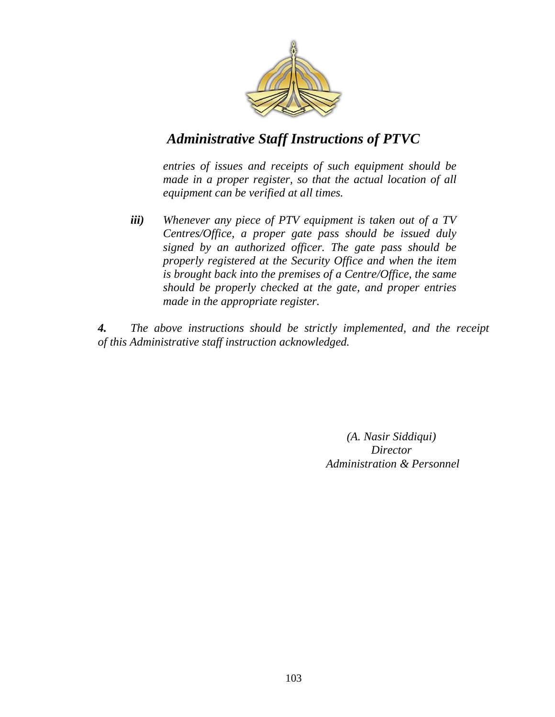

*entries of issues and receipts of such equipment should be made in a proper register, so that the actual location of all equipment can be verified at all times.* 

*iii) Whenever any piece of PTV equipment is taken out of a TV Centres/Office, a proper gate pass should be issued duly signed by an authorized officer. The gate pass should be properly registered at the Security Office and when the item is brought back into the premises of a Centre/Office, the same should be properly checked at the gate, and proper entries made in the appropriate register.* 

*4. The above instructions should be strictly implemented, and the receipt of this Administrative staff instruction acknowledged.*

> *(A. Nasir Siddiqui) Director Administration & Personnel*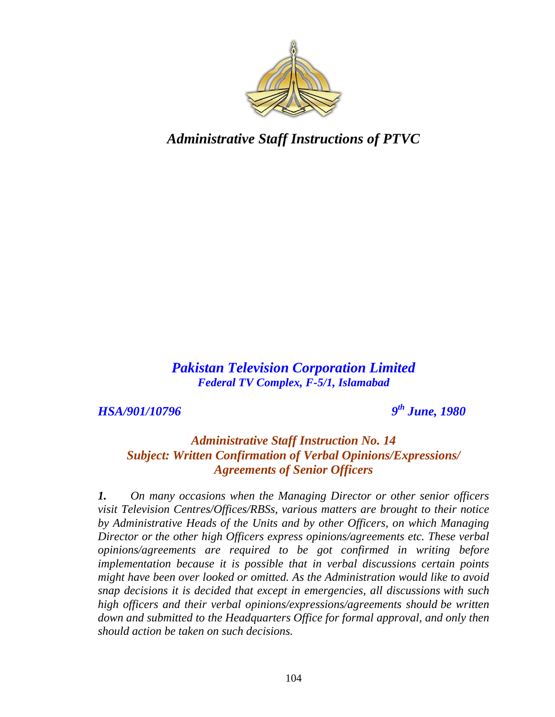

*Pakistan Television Corporation Limited Federal TV Complex, F-5/1, Islamabad*

*HSA/901/10796* 

*th June, 1980*

## *Administrative Staff Instruction No. 14 Subject: Written Confirmation of Verbal Opinions/Expressions/ Agreements of Senior Officers*

*1. On many occasions when the Managing Director or other senior officers visit Television Centres/Offices/RBSs, various matters are brought to their notice by Administrative Heads of the Units and by other Officers, on which Managing Director or the other high Officers express opinions/agreements etc. These verbal opinions/agreements are required to be got confirmed in writing before implementation because it is possible that in verbal discussions certain points might have been over looked or omitted. As the Administration would like to avoid snap decisions it is decided that except in emergencies, all discussions with such high officers and their verbal opinions/expressions/agreements should be written down and submitted to the Headquarters Office for formal approval, and only then should action be taken on such decisions.*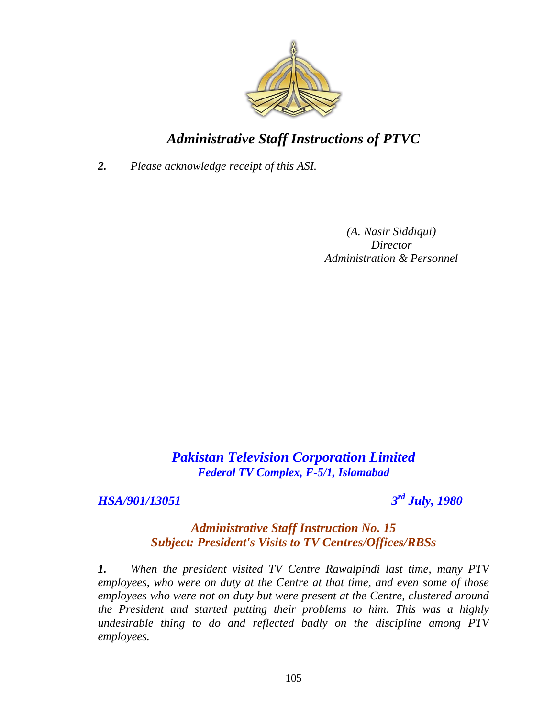

*2. Please acknowledge receipt of this ASI.*

*(A. Nasir Siddiqui) Director Administration & Personnel*

## *Pakistan Television Corporation Limited Federal TV Complex, F-5/1, Islamabad*

## *HSA/901/13051 3*

*rd July, 1980*

#### *Administrative Staff Instruction No. 15 Subject: President's Visits to TV Centres/Offices/RBSs*

*1. When the president visited TV Centre Rawalpindi last time, many PTV employees, who were on duty at the Centre at that time, and even some of those employees who were not on duty but were present at the Centre, clustered around the President and started putting their problems to him. This was a highly undesirable thing to do and reflected badly on the discipline among PTV employees.*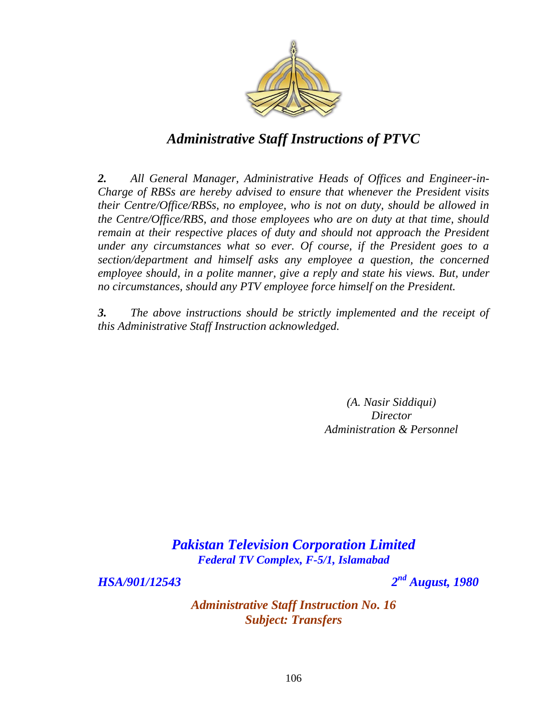

*2. All General Manager, Administrative Heads of Offices and Engineer-in-Charge of RBSs are hereby advised to ensure that whenever the President visits their Centre/Office/RBSs, no employee, who is not on duty, should be allowed in the Centre/Office/RBS, and those employees who are on duty at that time, should remain at their respective places of duty and should not approach the President under any circumstances what so ever. Of course, if the President goes to a section/department and himself asks any employee a question, the concerned*  employee should, in a polite manner, give a reply and state his views. But, under *no circumstances, should any PTV employee force himself on the President.* 

*3. The above instructions should be strictly implemented and the receipt of this Administrative Staff Instruction acknowledged.*

> *(A. Nasir Siddiqui) Director Administration & Personnel*

*Pakistan Television Corporation Limited Federal TV Complex, F-5/1, Islamabad*

*HSA/901/12543 2*

*nd August, 1980*

*Administrative Staff Instruction No. 16 Subject: Transfers*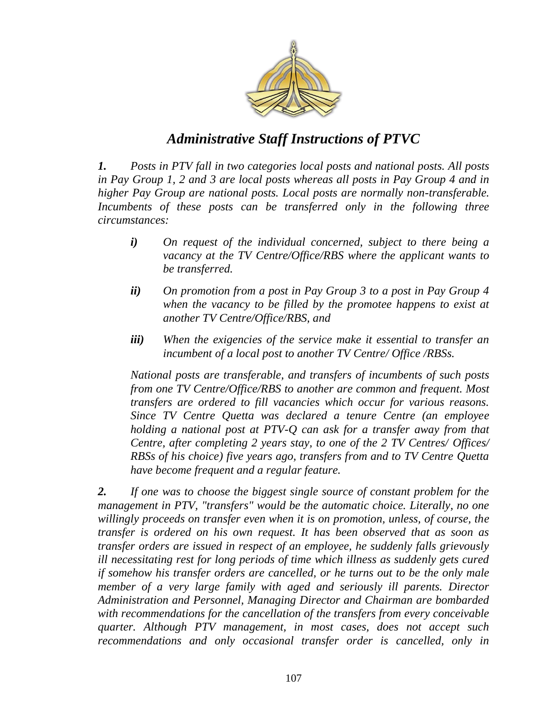

*1. Posts in PTV fall in two categories local posts and national posts. All posts in Pay Group 1, 2 and 3 are local posts whereas all posts in Pay Group 4 and in higher Pay Group are national posts. Local posts are normally non-transferable.*  Incumbents of these posts can be transferred only in the following three *circumstances:* 

- *i) On request of the individual concerned, subject to there being a vacancy at the TV Centre/Office/RBS where the applicant wants to be transferred.*
- *ii) On promotion from a post in Pay Group 3 to a post in Pay Group 4 when the vacancy to be filled by the promotee happens to exist at another TV Centre/Office/RBS, and*
- *iii) When the exigencies of the service make it essential to transfer an incumbent of a local post to another TV Centre/ Office /RBSs.*

*National posts are transferable, and transfers of incumbents of such posts from one TV Centre/Office/RBS to another are common and frequent. Most transfers are ordered to fill vacancies which occur for various reasons. Since TV Centre Quetta was declared a tenure Centre (an employee holding a national post at PTV-Q can ask for a transfer away from that Centre, after completing 2 years stay, to one of the 2 TV Centres/ Offices/ RBSs of his choice) five years ago, transfers from and to TV Centre Quetta have become frequent and a regular feature.* 

*2. If one was to choose the biggest single source of constant problem for the management in PTV, "transfers" would be the automatic choice. Literally, no one willingly proceeds on transfer even when it is on promotion, unless, of course, the transfer is ordered on his own request. It has been observed that as soon as transfer orders are issued in respect of an employee, he suddenly falls grievously ill necessitating rest for long periods of time which illness as suddenly gets cured if somehow his transfer orders are cancelled, or he turns out to be the only male member of a very large family with aged and seriously ill parents. Director Administration and Personnel, Managing Director and Chairman are bombarded with recommendations for the cancellation of the transfers from every conceivable quarter. Although PTV management, in most cases, does not accept such*  recommendations and only occasional transfer order is cancelled, only in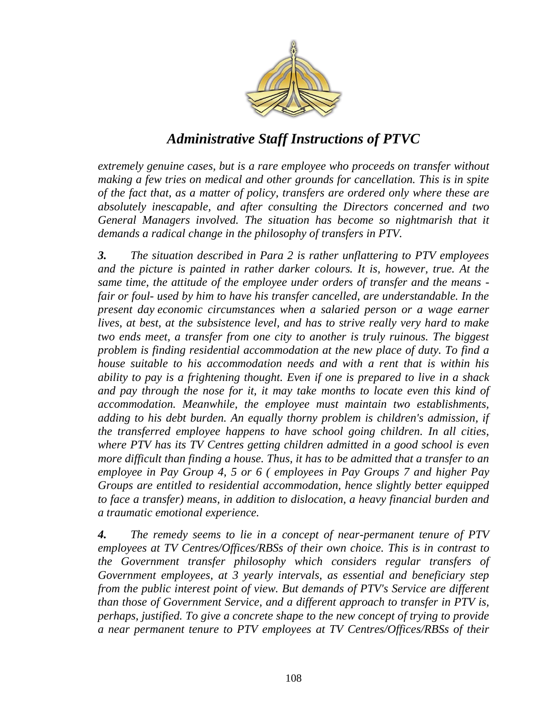

*extremely genuine cases, but is a rare employee who proceeds on transfer without making a few tries on medical and other grounds for cancellation. This is in spite of the fact that, as a matter of policy, transfers are ordered only where these are absolutely inescapable, and after consulting the Directors concerned and two*  General Managers involved. The situation has become so nightmarish that it *demands a radical change in the philosophy of transfers in PTV.* 

*3. The situation described in Para 2 is rather unflattering to PTV employees and the picture is painted in rather darker colours. It is, however, true. At the same time, the attitude of the employee under orders of transfer and the means fair or foul- used by him to have his transfer cancelled, are understandable. In the present day economic circumstances when a salaried person or a wage earner lives, at best, at the subsistence level, and has to strive really very hard to make two ends meet, a transfer from one city to another is truly ruinous. The biggest problem is finding residential accommodation at the new place of duty. To find a house suitable to his accommodation needs and with a rent that is within his ability to pay is a frightening thought. Even if one is prepared to live in a shack and pay through the nose for it, it may take months to locate even this kind of accommodation. Meanwhile, the employee must maintain two establishments, adding to his debt burden. An equally thorny problem is children's admission, if the transferred employee happens to have school going children. In all cities, where PTV has its TV Centres getting children admitted in a good school is even more difficult than finding a house. Thus, it has to be admitted that a transfer to an employee in Pay Group 4, 5 or 6 ( employees in Pay Groups 7 and higher Pay Groups are entitled to residential accommodation, hence slightly better equipped to face a transfer) means, in addition to dislocation, a heavy financial burden and a traumatic emotional experience.* 

*4. The remedy seems to lie in a concept of near-permanent tenure of PTV employees at TV Centres/Offices/RBSs of their own choice. This is in contrast to the Government transfer philosophy which considers regular transfers of Government employees, at 3 yearly intervals, as essential and beneficiary step from the public interest point of view. But demands of PTV's Service are different than those of Government Service, and a different approach to transfer in PTV is, perhaps, justified. To give a concrete shape to the new concept of trying to provide a near permanent tenure to PTV employees at TV Centres/Offices/RBSs of their*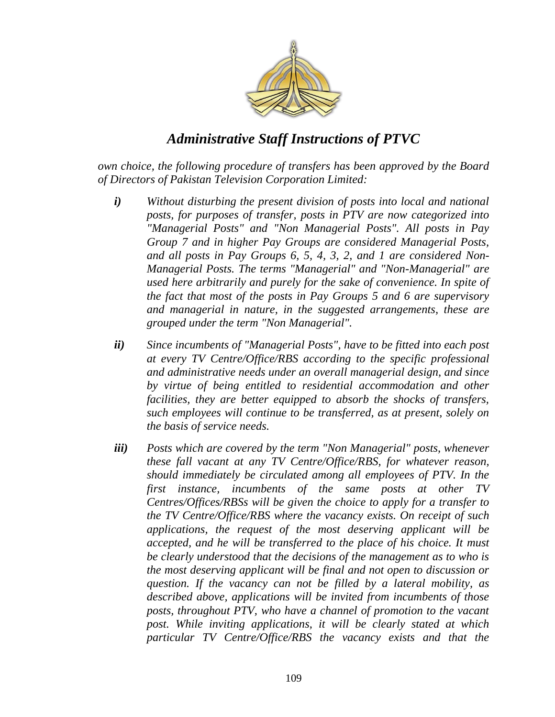

*own choice, the following procedure of transfers has been approved by the Board of Directors of Pakistan Television Corporation Limited:* 

- *i) Without disturbing the present division of posts into local and national posts, for purposes of transfer, posts in PTV are now categorized into "Managerial Posts" and "Non Managerial Posts". All posts in Pay Group 7 and in higher Pay Groups are considered Managerial Posts, and all posts in Pay Groups 6, 5, 4, 3, 2, and 1 are considered Non-Managerial Posts. The terms "Managerial" and "Non-Managerial" are used here arbitrarily and purely for the sake of convenience. In spite of the fact that most of the posts in Pay Groups 5 and 6 are supervisory and managerial in nature, in the suggested arrangements, these are grouped under the term "Non Managerial".*
- *ii) Since incumbents of "Managerial Posts", have to be fitted into each post at every TV Centre/Office/RBS according to the specific professional and administrative needs under an overall managerial design, and since by virtue of being entitled to residential accommodation and other facilities, they are better equipped to absorb the shocks of transfers, such employees will continue to be transferred, as at present, solely on the basis of service needs.*
- *iii) Posts which are covered by the term "Non Managerial" posts, whenever these fall vacant at any TV Centre/Office/RBS, for whatever reason, should immediately be circulated among all employees of PTV. In the first instance, incumbents of the same posts at other TV Centres/Offices/RBSs will be given the choice to apply for a transfer to the TV Centre/Office/RBS where the vacancy exists. On receipt of such applications, the request of the most deserving applicant will be accepted, and he will be transferred to the place of his choice. It must be clearly understood that the decisions of the management as to who is the most deserving applicant will be final and not open to discussion or question. If the vacancy can not be filled by a lateral mobility, as described above, applications will be invited from incumbents of those posts, throughout PTV, who have a channel of promotion to the vacant post. While inviting applications, it will be clearly stated at which particular TV Centre/Office/RBS the vacancy exists and that the*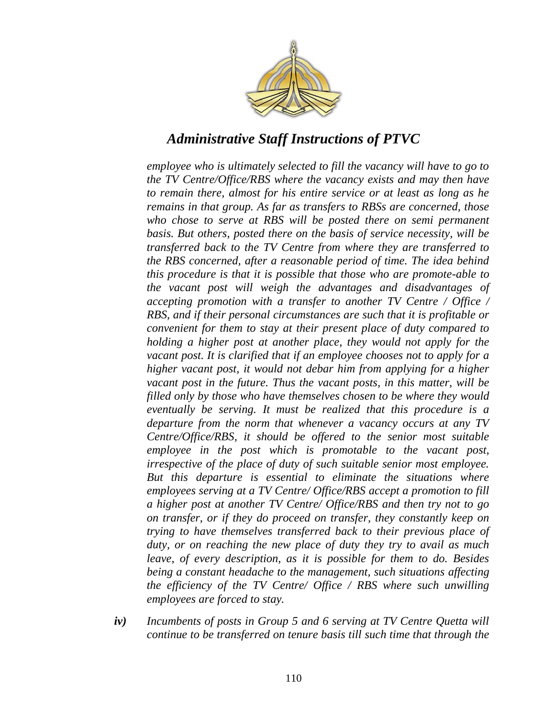

*employee who is ultimately selected to fill the vacancy will have to go to the TV Centre/Office/RBS where the vacancy exists and may then have to remain there, almost for his entire service or at least as long as he remains in that group. As far as transfers to RBSs are concerned, those who chose to serve at RBS will be posted there on semi permanent basis. But others, posted there on the basis of service necessity, will be transferred back to the TV Centre from where they are transferred to the RBS concerned, after a reasonable period of time. The idea behind this procedure is that it is possible that those who are promote-able to the vacant post will weigh the advantages and disadvantages of accepting promotion with a transfer to another TV Centre / Office / RBS, and if their personal circumstances are such that it is profitable or convenient for them to stay at their present place of duty compared to holding a higher post at another place, they would not apply for the vacant post. It is clarified that if an employee chooses not to apply for a higher vacant post, it would not debar him from applying for a higher vacant post in the future. Thus the vacant posts, in this matter, will be filled only by those who have themselves chosen to be where they would eventually be serving. It must be realized that this procedure is a departure from the norm that whenever a vacancy occurs at any TV Centre/Office/RBS, it should be offered to the senior most suitable employee in the post which is promotable to the vacant post, irrespective of the place of duty of such suitable senior most employee. But this departure is essential to eliminate the situations where employees serving at a TV Centre/ Office/RBS accept a promotion to fill a higher post at another TV Centre/ Office/RBS and then try not to go on transfer, or if they do proceed on transfer, they constantly keep on trying to have themselves transferred back to their previous place of duty, or on reaching the new place of duty they try to avail as much leave, of every description, as it is possible for them to do. Besides being a constant headache to the management, such situations affecting the efficiency of the TV Centre/ Office / RBS where such unwilling employees are forced to stay.* 

*iv) Incumbents of posts in Group 5 and 6 serving at TV Centre Quetta will continue to be transferred on tenure basis till such time that through the*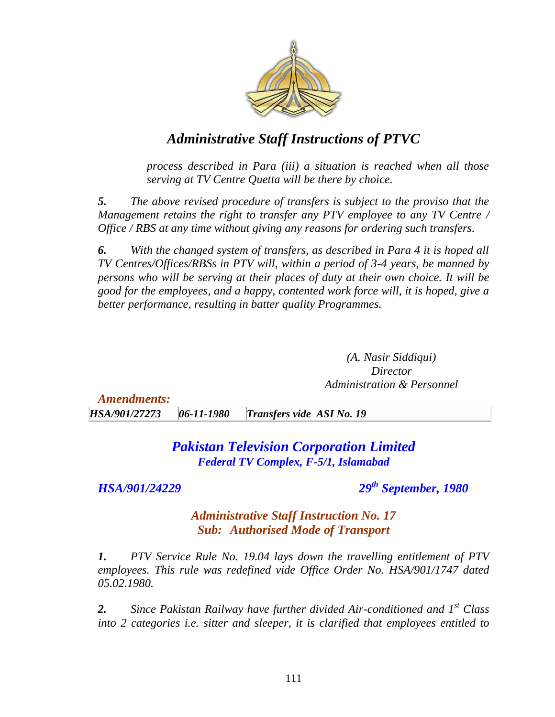

*process described in Para (iii) a situation is reached when all those serving at TV Centre Quetta will be there by choice.* 

*5. The above revised procedure of transfers is subject to the proviso that the Management retains the right to transfer any PTV employee to any TV Centre / Office / RBS at any time without giving any reasons for ordering such transfers.* 

*6. With the changed system of transfers, as described in Para 4 it is hoped all TV Centres/Offices/RBSs in PTV will, within a period of 3-4 years, be manned by persons who will be serving at their places of duty at their own choice. It will be good for the employees, and a happy, contented work force will, it is hoped, give a better performance, resulting in batter quality Programmes.*

> *(A. Nasir Siddiqui) Director Administration & Personnel*

*Amendments: HSA/901/27273 06-11-1980 Transfers vide ASI No. 19*

> *Pakistan Television Corporation Limited Federal TV Complex, F-5/1, Islamabad*

*HSA/901/24229 29th September, 1980*

#### *Administrative Staff Instruction No. 17 Sub: Authorised Mode of Transport*

*1. PTV Service Rule No. 19.04 lays down the travelling entitlement of PTV employees. This rule was redefined vide Office Order No. HSA/901/1747 dated 05.02.1980.*

*2. Since Pakistan Railway have further divided Air-conditioned and 1st Class into 2 categories i.e. sitter and sleeper, it is clarified that employees entitled to*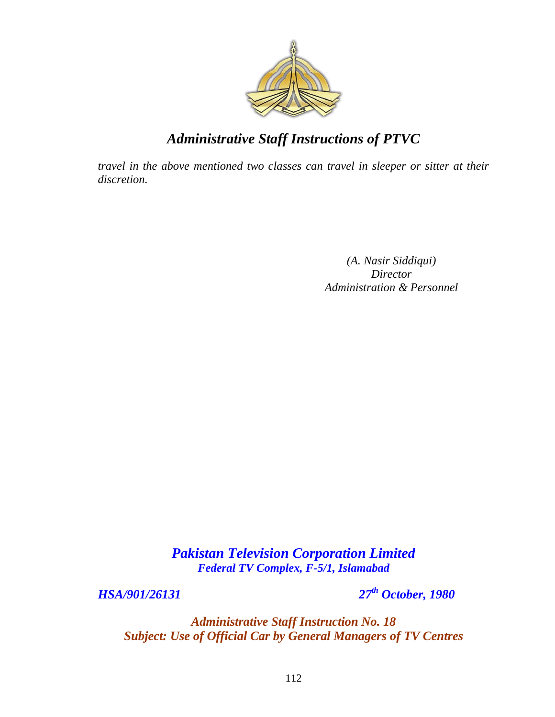

*travel in the above mentioned two classes can travel in sleeper or sitter at their discretion.*

> *(A. Nasir Siddiqui) Director Administration & Personnel*

*Pakistan Television Corporation Limited Federal TV Complex, F-5/1, Islamabad*

*HSA/901/26131 27th October, 1980*

*Administrative Staff Instruction No. 18 Subject: Use of Official Car by General Managers of TV Centres*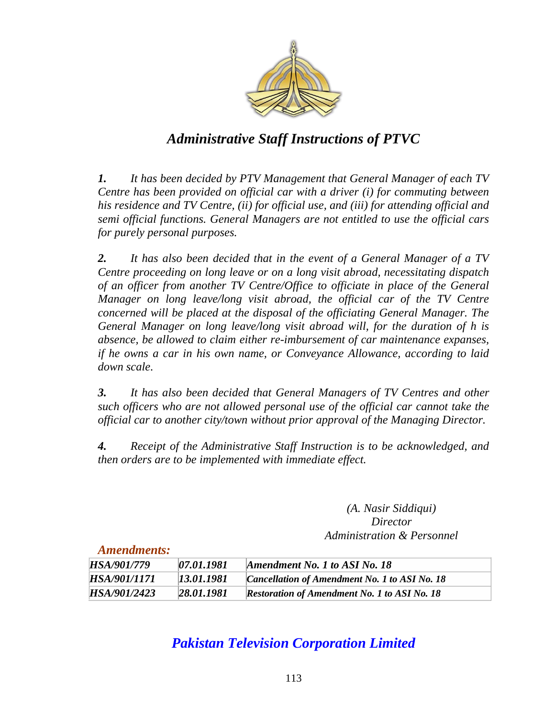

*1. It has been decided by PTV Management that General Manager of each TV Centre has been provided on official car with a driver (i) for commuting between his residence and TV Centre, (ii) for official use, and (iii) for attending official and semi official functions. General Managers are not entitled to use the official cars for purely personal purposes.* 

*2. It has also been decided that in the event of a General Manager of a TV Centre proceeding on long leave or on a long visit abroad, necessitating dispatch of an officer from another TV Centre/Office to officiate in place of the General Manager on long leave/long visit abroad, the official car of the TV Centre concerned will be placed at the disposal of the officiating General Manager. The General Manager on long leave/long visit abroad will, for the duration of h is absence, be allowed to claim either re-imbursement of car maintenance expanses, if he owns a car in his own name, or Conveyance Allowance, according to laid down scale.* 

*3. It has also been decided that General Managers of TV Centres and other such officers who are not allowed personal use of the official car cannot take the official car to another city/town without prior approval of the Managing Director.* 

*4. Receipt of the Administrative Staff Instruction is to be acknowledged, and then orders are to be implemented with immediate effect.*

> *(A. Nasir Siddiqui) Director Administration & Personnel*

#### *Amendments:*

| HSA/901/779  | 07.01.1981 | Amendment No. 1 to ASI No. 18                       |
|--------------|------------|-----------------------------------------------------|
| HSA/901/1171 | 13.01.1981 | Cancellation of Amendment No. 1 to ASI No. 18       |
| HSA/901/2423 | 28.01.1981 | <b>Restoration of Amendment No. 1 to ASI No. 18</b> |

## *Pakistan Television Corporation Limited*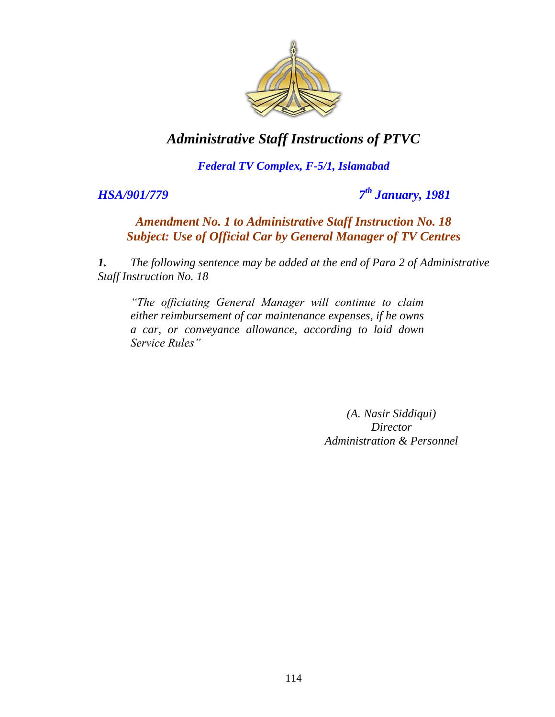

#### *Federal TV Complex, F-5/1, Islamabad*

*HSA/901/779* 

*th January, 1981*

#### *Amendment No. 1 to Administrative Staff Instruction No. 18 Subject: Use of Official Car by General Manager of TV Centres*

*1. The following sentence may be added at the end of Para 2 of Administrative Staff Instruction No. 18*

*"The officiating General Manager will continue to claim either reimbursement of car maintenance expenses, if he owns a car, or conveyance allowance, according to laid down Service Rules"*

> *(A. Nasir Siddiqui) Director Administration & Personnel*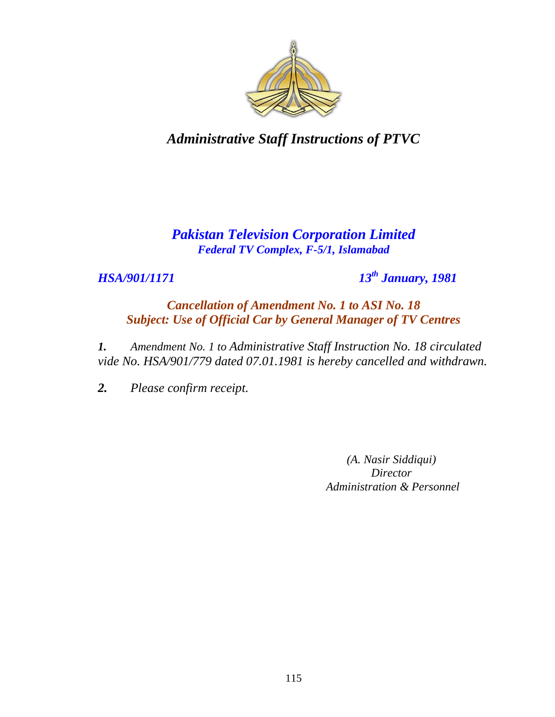

## *Pakistan Television Corporation Limited Federal TV Complex, F-5/1, Islamabad*

*HSA/901/1171 13th January, 1981*

*Cancellation of Amendment No. 1 to ASI No. 18 Subject: Use of Official Car by General Manager of TV Centres*

*1. Amendment No. 1 to Administrative Staff Instruction No. 18 circulated vide No. HSA/901/779 dated 07.01.1981 is hereby cancelled and withdrawn.*

*2. Please confirm receipt.*

*(A. Nasir Siddiqui) Director Administration & Personnel*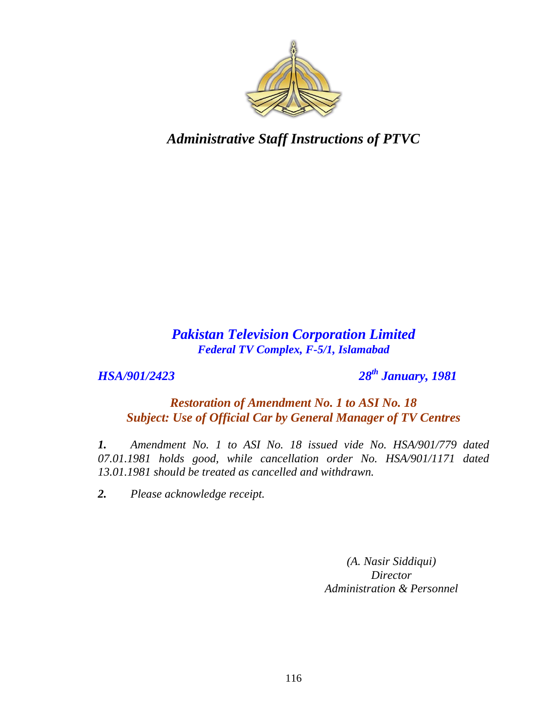

### *Pakistan Television Corporation Limited Federal TV Complex, F-5/1, Islamabad*

*HSA/901/2423 28th January, 1981*

#### *Restoration of Amendment No. 1 to ASI No. 18 Subject: Use of Official Car by General Manager of TV Centres*

*1. Amendment No. 1 to ASI No. 18 issued vide No. HSA/901/779 dated 07.01.1981 holds good, while cancellation order No. HSA/901/1171 dated 13.01.1981 should be treated as cancelled and withdrawn.*

*2. Please acknowledge receipt.*

*(A. Nasir Siddiqui) Director Administration & Personnel*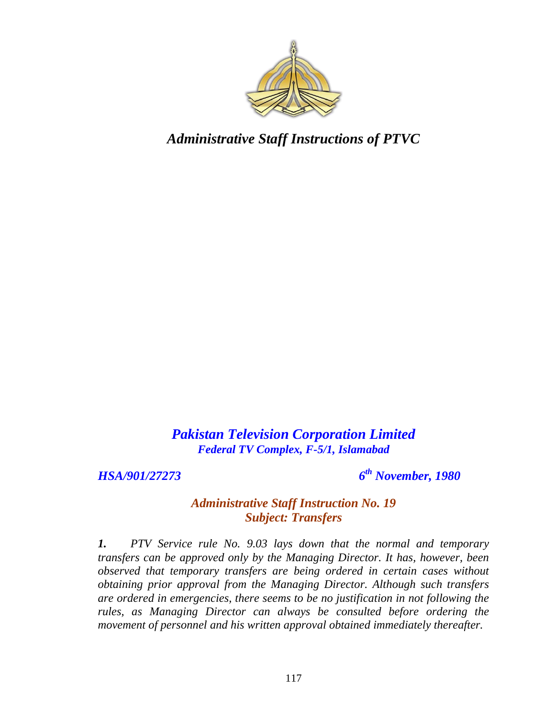

*Pakistan Television Corporation Limited Federal TV Complex, F-5/1, Islamabad*

*HSA/901/27273 6*

*th November, 1980*

#### *Administrative Staff Instruction No. 19 Subject: Transfers*

*1. PTV Service rule No. 9.03 lays down that the normal and temporary transfers can be approved only by the Managing Director. It has, however, been observed that temporary transfers are being ordered in certain cases without obtaining prior approval from the Managing Director. Although such transfers are ordered in emergencies, there seems to be no justification in not following the rules, as Managing Director can always be consulted before ordering the movement of personnel and his written approval obtained immediately thereafter.*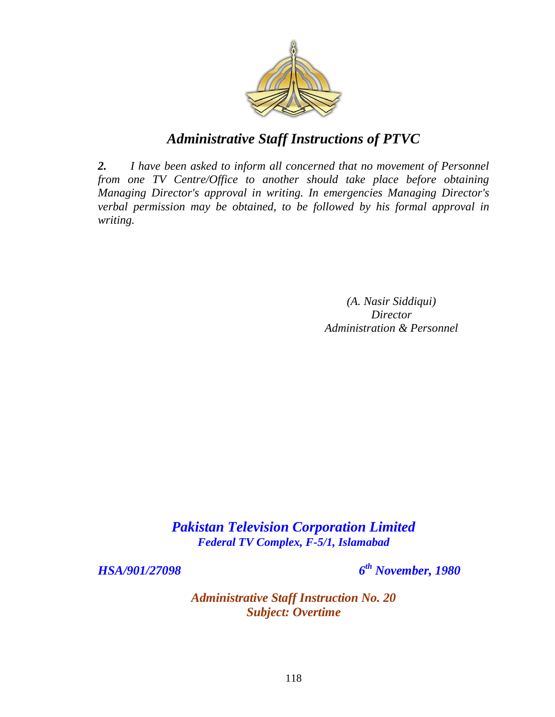

*2. I have been asked to inform all concerned that no movement of Personnel from one TV Centre/Office to another should take place before obtaining Managing Director's approval in writing. In emergencies Managing Director's verbal permission may be obtained, to be followed by his formal approval in writing.*

> *(A. Nasir Siddiqui) Director Administration & Personnel*

*Pakistan Television Corporation Limited Federal TV Complex, F-5/1, Islamabad*

*HSA/901/27098 6*

*th November, 1980*

*Administrative Staff Instruction No. 20 Subject: Overtime*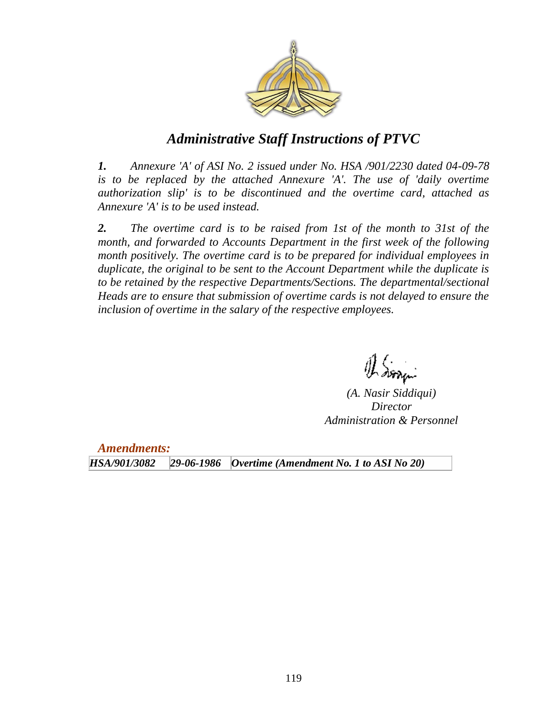

*1. Annexure 'A' of ASI No. 2 issued under No. HSA /901/2230 dated 04-09-78*  is to be replaced by the attached Annexure 'A'. The use of 'daily overtime *authorization slip' is to be discontinued and the overtime card, attached as Annexure 'A' is to be used instead.* 

*2. The overtime card is to be raised from 1st of the month to 31st of the month, and forwarded to Accounts Department in the first week of the following month positively. The overtime card is to be prepared for individual employees in duplicate, the original to be sent to the Account Department while the duplicate is*  to be retained by the respective Departments/Sections. The departmental/sectional *Heads are to ensure that submission of overtime cards is not delayed to ensure the inclusion of overtime in the salary of the respective employees.*

 $\operatorname{\mathscr{A}}\nolimits$  dona i

*(A. Nasir Siddiqui) Director Administration & Personnel*

*Amendments:*

*HSA/901/3082 29-06-1986 Overtime (Amendment No. 1 to ASI No 20)*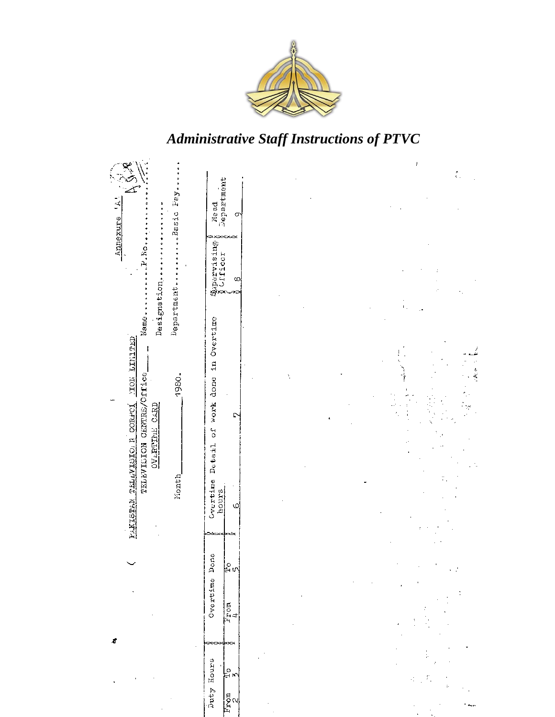

|                                                                                                                                          |                                                                                 | ł            |
|------------------------------------------------------------------------------------------------------------------------------------------|---------------------------------------------------------------------------------|--------------|
| F<br>ę                                                                                                                                   | Read<br>Department<br>$\sigma$                                                  |              |
| DepartmentBasic Fay.<br>Annexure<br>.J.No                                                                                                | $\frac{q}{\lambda}$ Uration $\frac{1}{\lambda}$<br>03                           |              |
| Designation.<br>Name.<br>TOR LINETED<br>TELEVISION CENTRE/Office<br>1980.<br>FAKISTAN TELEVISION CORFOL<br><b>CVLETIME CARD</b><br>Nonth | of work done in Overtime<br>D<br>$De$ tail<br>Cvertime<br>hours<br>Φ<br>скожраз | $\mathbf{L}$ |
|                                                                                                                                          | Overtime Done<br>$\frac{1}{2}$ 9<br>$\frac{1}{L}$ com<br>∞∞∞ф∞∞                 | × Z          |
|                                                                                                                                          | Duty Hours<br>اء<br>⊮⊾<br>$rac{F_{\text{nom}}}{2}$                              | ŗ            |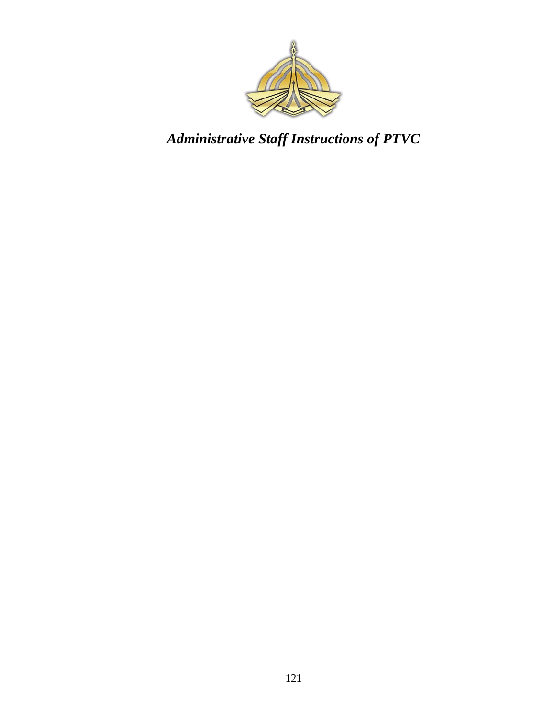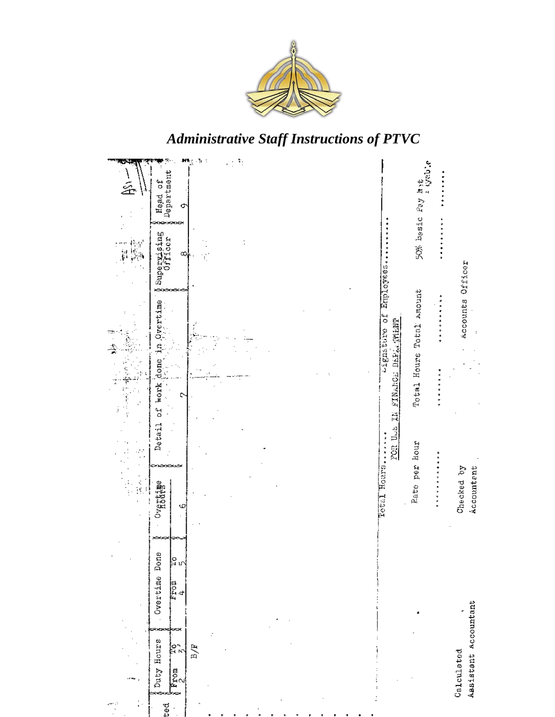

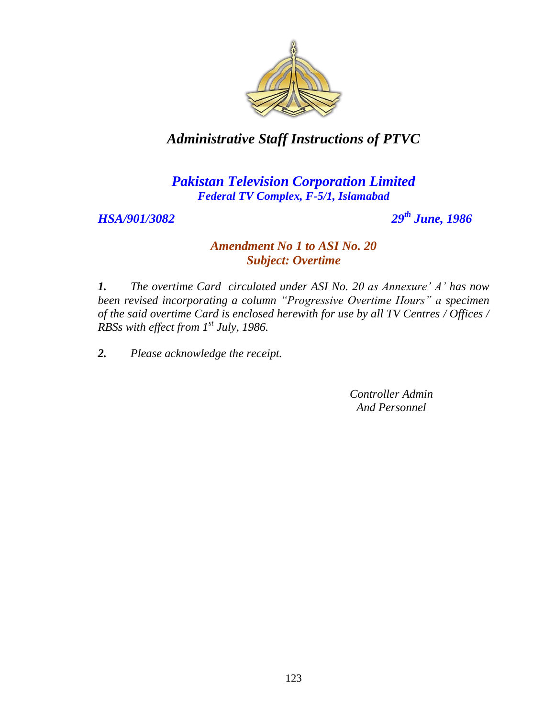

### *Pakistan Television Corporation Limited Federal TV Complex, F-5/1, Islamabad*

*HSA/901/3082 29th June, 1986*

#### *Amendment No 1 to ASI No. 20 Subject: Overtime*

*1. The overtime Card circulated under ASI No. 20 as Annexure" A" has now been revised incorporating a column "Progressive Overtime Hours" a specimen of the said overtime Card is enclosed herewith for use by all TV Centres / Offices / RBSs with effect from 1st July, 1986.*

*2. Please acknowledge the receipt.*

*Controller Admin And Personnel*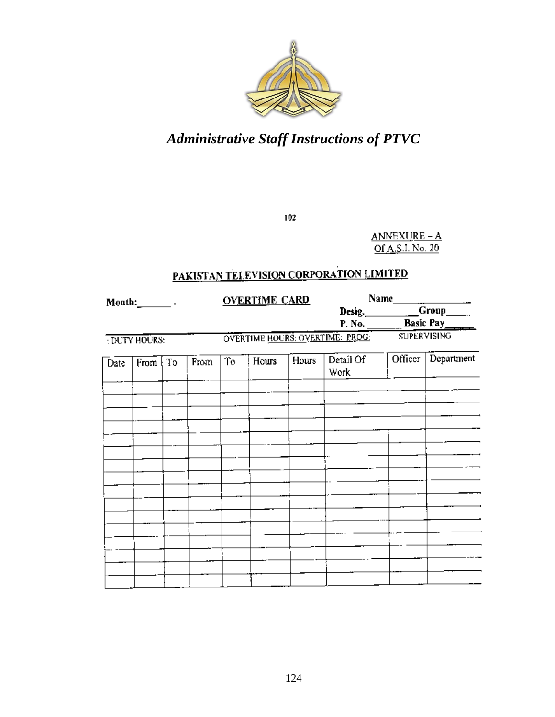

 $102$ 

 $ANNEXURE - A$  $O(A, S.I. No. 20)$ 

## PAKISTAN TELEVISION CORPORATION LIMITED

| $M$ onth: $\_\_\_\_\$ .<br><b>DUTY HOURS:</b> |                    | <b>OVERTIME CARD</b> |      |    |       | Name<br>Desig. Group            |                    |         |            |
|-----------------------------------------------|--------------------|----------------------|------|----|-------|---------------------------------|--------------------|---------|------------|
|                                               |                    |                      |      |    |       |                                 |                    |         |            |
|                                               |                    |                      |      |    |       |                                 | P. No. Basic Pay   |         |            |
|                                               |                    |                      |      |    |       | OVERTIME HOURS: OVERTIME: PROG. | <b>SUPERVISING</b> |         |            |
| Date                                          | From $\frac{1}{2}$ | To                   | From | To | Hours | Hours                           | Detail Of<br>Work  | Officer | Department |
|                                               |                    |                      |      |    |       |                                 |                    |         |            |
|                                               |                    |                      |      |    |       |                                 |                    |         |            |
|                                               |                    |                      |      |    |       |                                 |                    |         |            |
|                                               |                    |                      |      |    |       |                                 |                    |         |            |
|                                               |                    |                      |      |    |       |                                 |                    |         |            |
|                                               |                    |                      |      |    |       |                                 |                    |         |            |
|                                               |                    |                      |      |    |       |                                 |                    |         |            |
|                                               |                    |                      |      |    |       |                                 |                    |         |            |
|                                               |                    |                      |      |    |       |                                 |                    |         |            |
|                                               |                    |                      |      |    |       |                                 |                    |         |            |
|                                               |                    |                      |      |    |       |                                 |                    |         |            |
|                                               |                    |                      |      |    |       |                                 |                    |         |            |
|                                               |                    |                      |      |    |       |                                 |                    |         |            |
|                                               |                    |                      |      |    |       |                                 |                    |         |            |
|                                               |                    |                      |      |    |       |                                 |                    |         |            |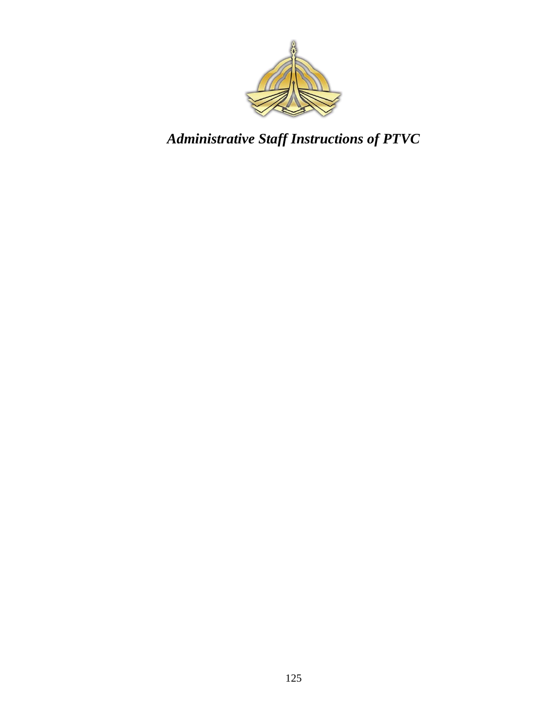